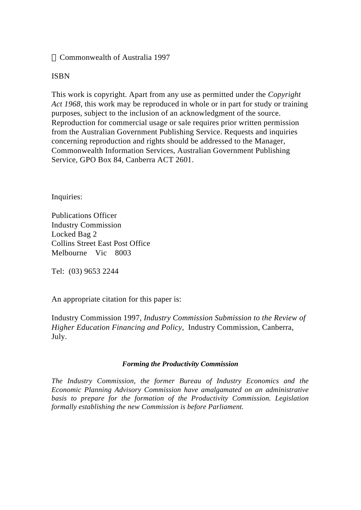#### Commonwealth of Australia 1997

#### ISBN

This work is copyright. Apart from any use as permitted under the *Copyright Act 1968*, this work may be reproduced in whole or in part for study or training purposes, subject to the inclusion of an acknowledgment of the source. Reproduction for commercial usage or sale requires prior written permission from the Australian Government Publishing Service. Requests and inquiries concerning reproduction and rights should be addressed to the Manager, Commonwealth Information Services, Australian Government Publishing Service, GPO Box 84, Canberra ACT 2601.

Inquiries:

Publications Officer Industry Commission Locked Bag 2 Collins Street East Post Office Melbourne Vic 8003

Tel: (03) 9653 2244

An appropriate citation for this paper is:

Industry Commission 1997*, Industry Commission Submission to the Review of Higher Education Financing and Policy,* Industry Commission, Canberra, July.

#### *Forming the Productivity Commission*

*The Industry Commission, the former Bureau of Industry Economics and the Economic Planning Advisory Commission have amalgamated on an administrative basis to prepare for the formation of the Productivity Commission. Legislation formally establishing the new Commission is before Parliament.*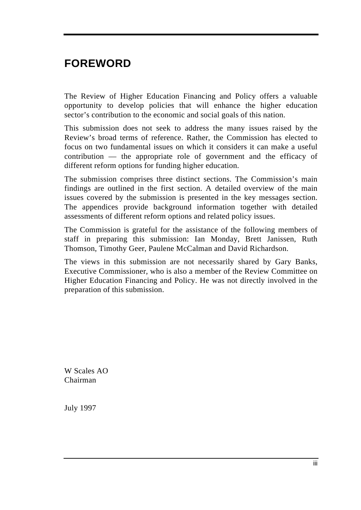## **FOREWORD**

The Review of Higher Education Financing and Policy offers a valuable opportunity to develop policies that will enhance the higher education sector's contribution to the economic and social goals of this nation.

This submission does not seek to address the many issues raised by the Review's broad terms of reference. Rather, the Commission has elected to focus on two fundamental issues on which it considers it can make a useful contribution — the appropriate role of government and the efficacy of different reform options for funding higher education.

The submission comprises three distinct sections. The Commission's main findings are outlined in the first section. A detailed overview of the main issues covered by the submission is presented in the key messages section. The appendices provide background information together with detailed assessments of different reform options and related policy issues.

The Commission is grateful for the assistance of the following members of staff in preparing this submission: Ian Monday, Brett Janissen, Ruth Thomson, Timothy Geer, Paulene McCalman and David Richardson.

The views in this submission are not necessarily shared by Gary Banks, Executive Commissioner, who is also a member of the Review Committee on Higher Education Financing and Policy. He was not directly involved in the preparation of this submission.

W Scales AO Chairman

July 1997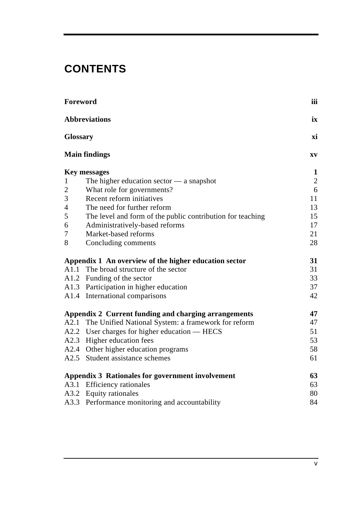# **CONTENTS**

| Foreword                                |                                                            | iii        |
|-----------------------------------------|------------------------------------------------------------|------------|
| <b>Abbreviations</b><br><b>Glossary</b> |                                                            |            |
|                                         |                                                            |            |
| <b>Key messages</b>                     |                                                            |            |
| 1                                       | The higher education sector $-$ a snapshot                 | $\sqrt{2}$ |
| $\overline{2}$                          | What role for governments?                                 | 6          |
| 3                                       | Recent reform initiatives                                  | 11         |
| 4                                       | The need for further reform                                | 13         |
| 5                                       | The level and form of the public contribution for teaching | 15         |
| 6                                       | Administratively-based reforms                             | 17         |
| 7                                       | Market-based reforms                                       | 21         |
| 8                                       | Concluding comments                                        | 28         |
|                                         | Appendix 1 An overview of the higher education sector      | 31         |
| A1.1                                    | The broad structure of the sector                          | 31         |
|                                         | A1.2 Funding of the sector                                 | 33         |
|                                         | A1.3 Participation in higher education                     | 37         |
|                                         | A1.4 International comparisons                             | 42         |
|                                         | Appendix 2 Current funding and charging arrangements       | 47         |
| A2.1                                    | The Unified National System: a framework for reform        | 47         |
|                                         | A2.2 User charges for higher education — HECS              | 51         |
| A2.3                                    | Higher education fees                                      | 53         |
| A2.4                                    | Other higher education programs                            | 58         |
|                                         | A2.5 Student assistance schemes                            | 61         |
|                                         | <b>Appendix 3 Rationales for government involvement</b>    | 63         |
|                                         | A3.1 Efficiency rationales                                 | 63         |
| A3.2                                    | <b>Equity rationales</b>                                   | 80         |
| A3.3                                    | Performance monitoring and accountability                  | 84         |
|                                         |                                                            |            |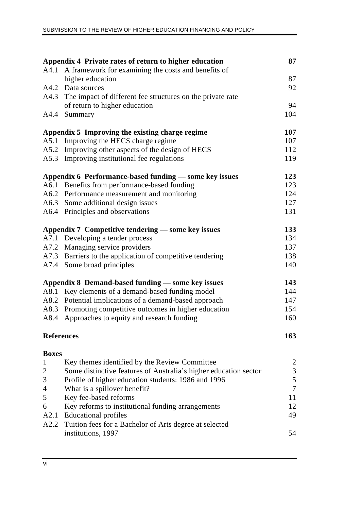|                   | Appendix 4 Private rates of return to higher education           | 87             |
|-------------------|------------------------------------------------------------------|----------------|
| A4.1              | A framework for examining the costs and benefits of              |                |
|                   | higher education                                                 | 87             |
|                   | A4.2 Data sources                                                | 92             |
|                   | A4.3 The impact of different fee structures on the private rate  |                |
|                   | of return to higher education                                    | 94             |
| A4.4              | Summary                                                          | 104            |
|                   | Appendix 5 Improving the existing charge regime                  | 107            |
|                   | A5.1 Improving the HECS charge regime                            | 107            |
|                   | A5.2 Improving other aspects of the design of HECS               | 112            |
|                   | A5.3 Improving institutional fee regulations                     | 119            |
|                   | Appendix 6 Performance-based funding — some key issues           | 123            |
|                   | A6.1 Benefits from performance-based funding                     | 123            |
|                   | A6.2 Performance measurement and monitoring                      | 124            |
|                   | A6.3 Some additional design issues                               | 127            |
|                   | A6.4 Principles and observations                                 | 131            |
|                   | Appendix 7 Competitive tendering — some key issues               | 133            |
|                   | A7.1 Developing a tender process                                 | 134            |
|                   | A7.2 Managing service providers                                  | 137            |
|                   | A7.3 Barriers to the application of competitive tendering        | 138            |
|                   | A7.4 Some broad principles                                       | 140            |
|                   | Appendix 8 Demand-based funding — some key issues                | 143            |
|                   | A8.1 Key elements of a demand-based funding model                | 144            |
|                   | A8.2 Potential implications of a demand-based approach           | 147            |
|                   | A8.3 Promoting competitive outcomes in higher education          | 154            |
| A8.4              | Approaches to equity and research funding                        | 160            |
| <b>References</b> |                                                                  | 163            |
| <b>Boxes</b>      |                                                                  |                |
| $\mathbf{1}$      | Key themes identified by the Review Committee                    | $\overline{2}$ |
| 2                 | Some distinctive features of Australia's higher education sector | $\frac{3}{5}$  |
| 3                 | Profile of higher education students: 1986 and 1996              |                |
| 4                 | What is a spillover benefit?                                     | $\overline{7}$ |
| 5                 | Key fee-based reforms                                            | 11             |
| 6                 | Key reforms to institutional funding arrangements                | 12             |
| A2.1              | <b>Educational profiles</b>                                      | 49             |
|                   | A2.2 Tuition fees for a Bachelor of Arts degree at selected      |                |
|                   | institutions, 1997                                               | 54             |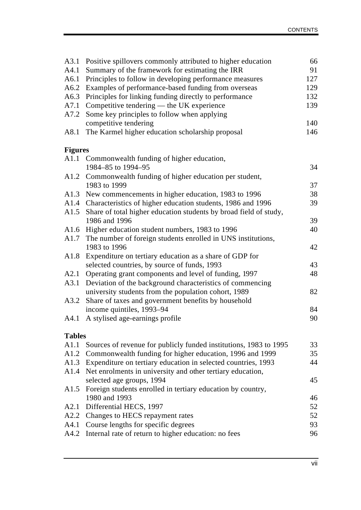| A3.1           | Positive spillovers commonly attributed to higher education                             | 66  |
|----------------|-----------------------------------------------------------------------------------------|-----|
| A4.1           | Summary of the framework for estimating the IRR                                         | 91  |
| A6.1           | Principles to follow in developing performance measures                                 | 127 |
| A6.2           | Examples of performance-based funding from overseas                                     | 129 |
| A6.3           | Principles for linking funding directly to performance                                  | 132 |
| A7.1           | Competitive tendering — the UK experience                                               | 139 |
| A7.2           | Some key principles to follow when applying                                             |     |
|                | competitive tendering                                                                   | 140 |
| A8.1           | The Karmel higher education scholarship proposal                                        | 146 |
| <b>Figures</b> |                                                                                         |     |
|                | A1.1 Commonwealth funding of higher education,                                          |     |
|                | 1984-85 to 1994-95                                                                      | 34  |
|                | A1.2 Commonwealth funding of higher education per student,                              |     |
|                | 1983 to 1999                                                                            | 37  |
| A1.3           | New commencements in higher education, 1983 to 1996                                     | 38  |
| A1.4           | Characteristics of higher education students, 1986 and 1996                             | 39  |
| A1.5           | Share of total higher education students by broad field of study,                       |     |
|                | 1986 and 1996                                                                           | 39  |
|                | A1.6 Higher education student numbers, 1983 to 1996                                     | 40  |
| A1.7           | The number of foreign students enrolled in UNS institutions,                            |     |
|                | 1983 to 1996                                                                            | 42  |
| A1.8           | Expenditure on tertiary education as a share of GDP for                                 |     |
|                | selected countries, by source of funds, 1993                                            | 43  |
| A2.1           | Operating grant components and level of funding, 1997                                   | 48  |
| A3.1           | Deviation of the background characteristics of commencing                               |     |
|                | university students from the population cohort, 1989                                    | 82  |
| A3.2           | Share of taxes and government benefits by household                                     |     |
|                | income quintiles, 1993-94                                                               | 84  |
| A4.1           | A stylised age-earnings profile                                                         | 90  |
| <b>Tables</b>  |                                                                                         |     |
| A1.1           | Sources of revenue for publicly funded institutions, 1983 to 1995                       | 33  |
| A1.2           | Commonwealth funding for higher education, 1996 and 1999                                | 35  |
| A1.3           | Expenditure on tertiary education in selected countries, 1993                           | 44  |
| A1.4           | Net enrolments in university and other tertiary education,<br>selected age groups, 1994 | 45  |
| A1.5           | Foreign students enrolled in tertiary education by country,                             |     |
|                | 1980 and 1993                                                                           | 46  |
| A2.1           | Differential HECS, 1997                                                                 | 52  |
| A2.2           | Changes to HECS repayment rates                                                         | 52  |
| A4.1           | Course lengths for specific degrees                                                     | 93  |
| A4.2           | Internal rate of return to higher education: no fees                                    | 96  |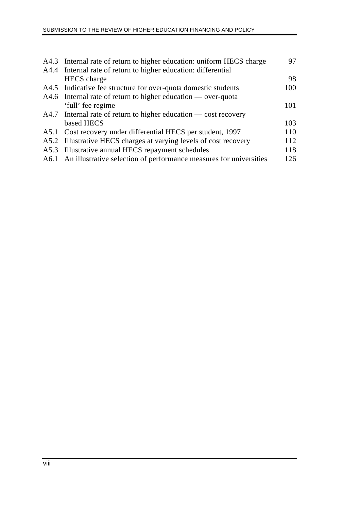| A4.3 Internal rate of return to higher education: uniform HECS charge   | 97  |
|-------------------------------------------------------------------------|-----|
| A4.4 Internal rate of return to higher education: differential          |     |
| <b>HECS</b> charge                                                      | 98  |
| A4.5 Indicative fee structure for over-quota domestic students          | 100 |
| $A4.6$ Internal rate of return to higher education — over-quota         |     |
| 'full' fee regime                                                       | 101 |
| $A4.7$ Internal rate of return to higher education — cost recovery      |     |
| based HECS                                                              | 103 |
| A5.1 Cost recovery under differential HECS per student, 1997            | 110 |
| A5.2 Illustrative HECS charges at varying levels of cost recovery       | 112 |
| A5.3 Illustrative annual HECS repayment schedules                       | 118 |
| A6.1 An illustrative selection of performance measures for universities | 126 |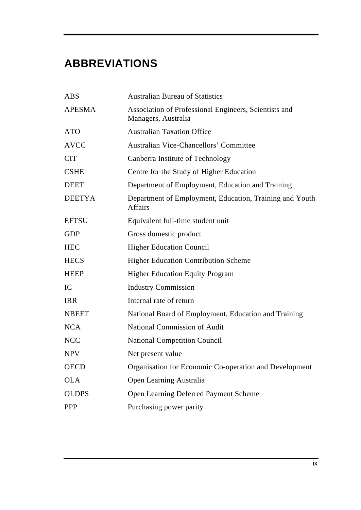# **ABBREVIATIONS**

| <b>ABS</b>    | <b>Australian Bureau of Statistics</b>                                       |
|---------------|------------------------------------------------------------------------------|
| <b>APESMA</b> | Association of Professional Engineers, Scientists and<br>Managers, Australia |
| <b>ATO</b>    | <b>Australian Taxation Office</b>                                            |
| <b>AVCC</b>   | <b>Australian Vice-Chancellors' Committee</b>                                |
| <b>CIT</b>    | Canberra Institute of Technology                                             |
| <b>CSHE</b>   | Centre for the Study of Higher Education                                     |
| <b>DEET</b>   | Department of Employment, Education and Training                             |
| <b>DEETYA</b> | Department of Employment, Education, Training and Youth<br><b>Affairs</b>    |
| <b>EFTSU</b>  | Equivalent full-time student unit                                            |
| <b>GDP</b>    | Gross domestic product                                                       |
| <b>HEC</b>    | <b>Higher Education Council</b>                                              |
| <b>HECS</b>   | <b>Higher Education Contribution Scheme</b>                                  |
| <b>HEEP</b>   | <b>Higher Education Equity Program</b>                                       |
| IC            | <b>Industry Commission</b>                                                   |
| <b>IRR</b>    | Internal rate of return                                                      |
| <b>NBEET</b>  | National Board of Employment, Education and Training                         |
| <b>NCA</b>    | <b>National Commission of Audit</b>                                          |
| <b>NCC</b>    | <b>National Competition Council</b>                                          |
| <b>NPV</b>    | Net present value                                                            |
| <b>OECD</b>   | Organisation for Economic Co-operation and Development                       |
| <b>OLA</b>    | Open Learning Australia                                                      |
| <b>OLDPS</b>  | Open Learning Deferred Payment Scheme                                        |
| <b>PPP</b>    | Purchasing power parity                                                      |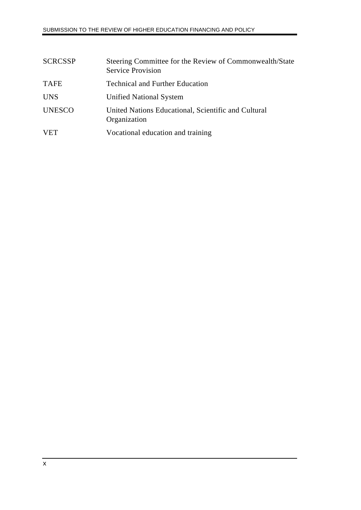| <b>SCRCSSP</b> | Steering Committee for the Review of Commonwealth/State<br><b>Service Provision</b> |
|----------------|-------------------------------------------------------------------------------------|
| <b>TAFE</b>    | <b>Technical and Further Education</b>                                              |
| <b>UNS</b>     | <b>Unified National System</b>                                                      |
| <b>UNESCO</b>  | United Nations Educational, Scientific and Cultural<br>Organization                 |
| <b>VET</b>     | Vocational education and training                                                   |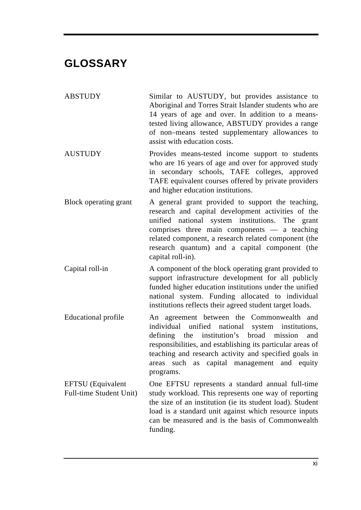## **GLOSSARY**

ABSTUDY Similar to AUSTUDY, but provides assistance to Aboriginal and Torres Strait Islander students who are 14 years of age and over. In addition to a meanstested living allowance, ABSTUDY provides a range of non–means tested supplementary allowances to assist with education costs.

- AUSTUDY Provides means-tested income support to students who are 16 years of age and over for approved study in secondary schools, TAFE colleges, approved TAFE equivalent courses offered by private providers and higher education institutions.
- Block operating grant A general grant provided to support the teaching, research and capital development activities of the unified national system institutions. The grant comprises three main components — a teaching related component, a research related component (the research quantum) and a capital component (the capital roll-in).
- Capital roll-in A component of the block operating grant provided to support infrastructure development for all publicly funded higher education institutions under the unified national system. Funding allocated to individual institutions reflects their agreed student target loads.
- Educational profile An agreement between the Commonwealth and individual unified national system institutions, defining the institution's broad mission and responsibilities, and establishing its particular areas of teaching and research activity and specified goals in areas such as capital management and equity programs.

EFTSU (Equivalent Full-time Student Unit) One EFTSU represents a standard annual full-time study workload. This represents one way of reporting the size of an institution (ie its student load). Student load is a standard unit against which resource inputs can be measured and is the basis of Commonwealth funding.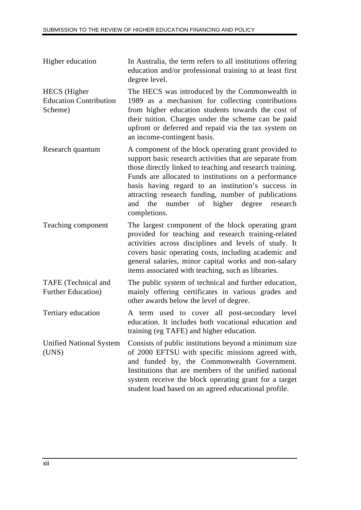- Higher education In Australia, the term refers to all institutions offering education and/or professional training to at least first degree level.
- HECS (Higher Education Contribution Scheme) The HECS was introduced by the Commonwealth in 1989 as a mechanism for collecting contributions from higher education students towards the cost of their tuition. Charges under the scheme can be paid upfront or deferred and repaid via the tax system on an income-contingent basis.
- Research quantum A component of the block operating grant provided to support basic research activities that are separate from those directly linked to teaching and research training. Funds are allocated to institutions on a performance basis having regard to an institution's success in attracting research funding, number of publications and the number of higher degree research completions.
- Teaching component The largest component of the block operating grant provided for teaching and research training-related activities across disciplines and levels of study. It covers basic operating costs, including academic and general salaries, minor capital works and non-salary items associated with teaching, such as libraries.
- TAFE (Technical and Further Education) The public system of technical and further education, mainly offering certificates in various grades and other awards below the level of degree.
- Tertiary education A term used to cover all post-secondary level education. It includes both vocational education and training (eg TAFE) and higher education.
- Unified National System (UNS) Consists of public institutions beyond a minimum size of 2000 EFTSU with specific missions agreed with, and funded by, the Commonwealth Government. Institutions that are members of the unified national system receive the block operating grant for a target student load based on an agreed educational profile.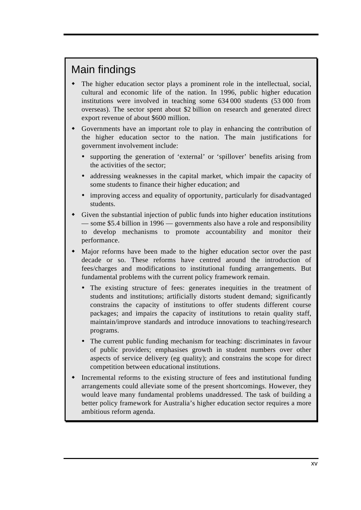# Main findings

- The higher education sector plays a prominent role in the intellectual, social, cultural and economic life of the nation. In 1996, public higher education institutions were involved in teaching some 634 000 students (53 000 from overseas). The sector spent about \$2 billion on research and generated direct export revenue of about \$600 million.
- Governments have an important role to play in enhancing the contribution of the higher education sector to the nation. The main justifications for government involvement include:
	- ü supporting the generation of 'external' or 'spillover' benefits arising from the activities of the sector;
	- addressing weaknesses in the capital market, which impair the capacity of some students to finance their higher education; and
	- ü improving access and equality of opportunity, particularly for disadvantaged students.
- Given the substantial injection of public funds into higher education institutions — some \$5.4 billion in 1996 — governments also have a role and responsibility to develop mechanisms to promote accountability and monitor their performance.
- w Major reforms have been made to the higher education sector over the past decade or so. These reforms have centred around the introduction of fees/charges and modifications to institutional funding arrangements. But fundamental problems with the current policy framework remain.
	- The existing structure of fees: generates inequities in the treatment of students and institutions; artificially distorts student demand; significantly constrains the capacity of institutions to offer students different course packages; and impairs the capacity of institutions to retain quality staff, maintain/improve standards and introduce innovations to teaching/research programs.
	- ü The current public funding mechanism for teaching: discriminates in favour of public providers; emphasises growth in student numbers over other aspects of service delivery (eg quality); and constrains the scope for direct competition between educational institutions.
- Incremental reforms to the existing structure of fees and institutional funding arrangements could alleviate some of the present shortcomings. However, they would leave many fundamental problems unaddressed. The task of building a better policy framework for Australia's higher education sector requires a more ambitious reform agenda.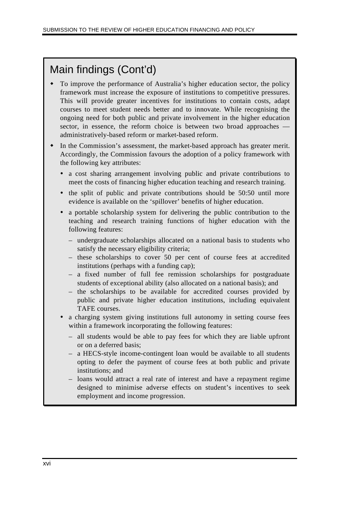# Main findings (Cont'd)

- $\bullet$  To improve the performance of Australia's higher education sector, the policy framework must increase the exposure of institutions to competitive pressures. This will provide greater incentives for institutions to contain costs, adapt courses to meet student needs better and to innovate. While recognising the ongoing need for both public and private involvement in the higher education sector, in essence, the reform choice is between two broad approaches administratively-based reform or market-based reform.
- In the Commission's assessment, the market-based approach has greater merit. Accordingly, the Commission favours the adoption of a policy framework with the following key attributes:
	- ü a cost sharing arrangement involving public and private contributions to meet the costs of financing higher education teaching and research training.
	- ü the split of public and private contributions should be 50:50 until more evidence is available on the 'spillover' benefits of higher education.
	- ü a portable scholarship system for delivering the public contribution to the teaching and research training functions of higher education with the following features:
		- undergraduate scholarships allocated on a national basis to students who satisfy the necessary eligibility criteria;
		- these scholarships to cover 50 per cent of course fees at accredited institutions (perhaps with a funding cap);
		- a fixed number of full fee remission scholarships for postgraduate students of exceptional ability (also allocated on a national basis); and
		- the scholarships to be available for accredited courses provided by public and private higher education institutions, including equivalent TAFE courses.
	- a charging system giving institutions full autonomy in setting course fees within a framework incorporating the following features:
		- all students would be able to pay fees for which they are liable upfront or on a deferred basis;
		- a HECS-style income-contingent loan would be available to all students opting to defer the payment of course fees at both public and private institutions; and
		- loans would attract a real rate of interest and have a repayment regime designed to minimise adverse effects on student's incentives to seek employment and income progression.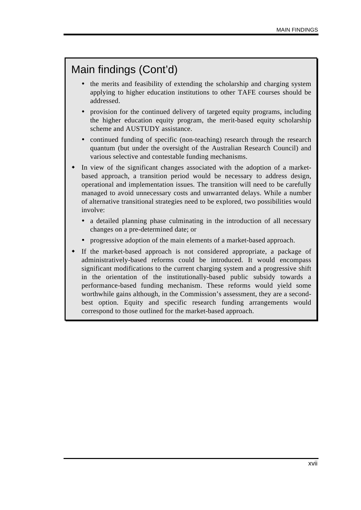# Main findings (Cont'd)

- ü the merits and feasibility of extending the scholarship and charging system applying to higher education institutions to other TAFE courses should be addressed.
- ü provision for the continued delivery of targeted equity programs, including the higher education equity program, the merit-based equity scholarship scheme and AUSTUDY assistance.
- continued funding of specific (non-teaching) research through the research quantum (but under the oversight of the Australian Research Council) and various selective and contestable funding mechanisms.
- In view of the significant changes associated with the adoption of a marketbased approach, a transition period would be necessary to address design, operational and implementation issues. The transition will need to be carefully managed to avoid unnecessary costs and unwarranted delays. While a number of alternative transitional strategies need to be explored, two possibilities would involve:
	- ü a detailed planning phase culminating in the introduction of all necessary changes on a pre-determined date; or
	- ü progressive adoption of the main elements of a market-based approach.
- If the market-based approach is not considered appropriate, a package of administratively-based reforms could be introduced. It would encompass significant modifications to the current charging system and a progressive shift in the orientation of the institutionally-based public subsidy towards a performance-based funding mechanism. These reforms would yield some worthwhile gains although, in the Commission's assessment, they are a secondbest option. Equity and specific research funding arrangements would correspond to those outlined for the market-based approach.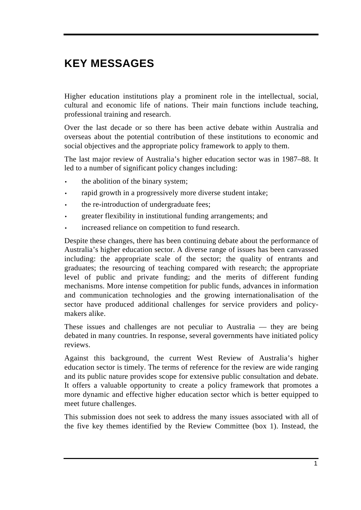# **KEY MESSAGES**

Higher education institutions play a prominent role in the intellectual, social, cultural and economic life of nations. Their main functions include teaching, professional training and research.

Over the last decade or so there has been active debate within Australia and overseas about the potential contribution of these institutions to economic and social objectives and the appropriate policy framework to apply to them.

The last major review of Australia's higher education sector was in 1987–88. It led to a number of significant policy changes including:

- the abolition of the binary system;
- rapid growth in a progressively more diverse student intake;
- the re-introduction of undergraduate fees;
- greater flexibility in institutional funding arrangements; and
- increased reliance on competition to fund research.

Despite these changes, there has been continuing debate about the performance of Australia's higher education sector. A diverse range of issues has been canvassed including: the appropriate scale of the sector; the quality of entrants and graduates; the resourcing of teaching compared with research; the appropriate level of public and private funding; and the merits of different funding mechanisms. More intense competition for public funds, advances in information and communication technologies and the growing internationalisation of the sector have produced additional challenges for service providers and policymakers alike.

These issues and challenges are not peculiar to Australia — they are being debated in many countries. In response, several governments have initiated policy reviews.

Against this background, the current West Review of Australia's higher education sector is timely. The terms of reference for the review are wide ranging and its public nature provides scope for extensive public consultation and debate. It offers a valuable opportunity to create a policy framework that promotes a more dynamic and effective higher education sector which is better equipped to meet future challenges.

This submission does not seek to address the many issues associated with all of the five key themes identified by the Review Committee (box 1). Instead, the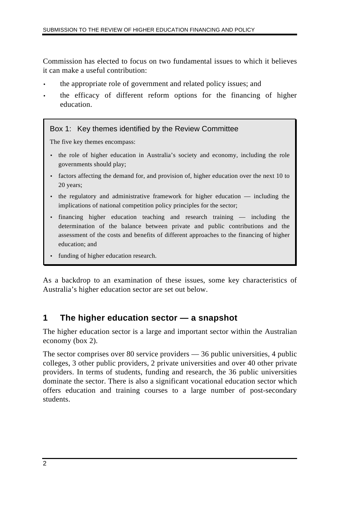Commission has elected to focus on two fundamental issues to which it believes it can make a useful contribution:

- the appropriate role of government and related policy issues; and
- the efficacy of different reform options for the financing of higher education.

#### Box 1: Key themes identified by the Review Committee

The five key themes encompass:

- the role of higher education in Australia's society and economy, including the role governments should play;
- factors affecting the demand for, and provision of, higher education over the next 10 to 20 years;
- the regulatory and administrative framework for higher education including the implications of national competition policy principles for the sector;
- financing higher education teaching and research training including the determination of the balance between private and public contributions and the assessment of the costs and benefits of different approaches to the financing of higher education; and
- funding of higher education research.

As a backdrop to an examination of these issues, some key characteristics of Australia's higher education sector are set out below.

## **1 The higher education sector — a snapshot**

The higher education sector is a large and important sector within the Australian economy (box 2).

The sector comprises over 80 service providers — 36 public universities, 4 public colleges, 3 other public providers, 2 private universities and over 40 other private providers. In terms of students, funding and research, the 36 public universities dominate the sector. There is also a significant vocational education sector which offers education and training courses to a large number of post-secondary students.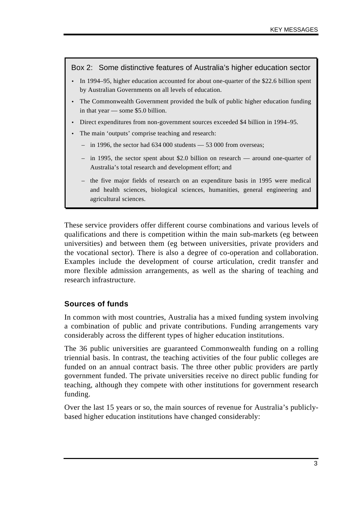#### Box 2: Some distinctive features of Australia's higher education sector

- In 1994–95, higher education accounted for about one-quarter of the \$22.6 billion spent by Australian Governments on all levels of education.
- The Commonwealth Government provided the bulk of public higher education funding in that year — some \$5.0 billion.
- Direct expenditures from non-government sources exceeded \$4 billion in 1994–95.
- The main 'outputs' comprise teaching and research:
	- in 1996, the sector had 634 000 students 53 000 from overseas;
	- in 1995, the sector spent about \$2.0 billion on research around one-quarter of Australia's total research and development effort; and
	- the five major fields of research on an expenditure basis in 1995 were medical and health sciences, biological sciences, humanities, general engineering and agricultural sciences.

These service providers offer different course combinations and various levels of qualifications and there is competition within the main sub-markets (eg between universities) and between them (eg between universities, private providers and the vocational sector). There is also a degree of co-operation and collaboration. Examples include the development of course articulation, credit transfer and more flexible admission arrangements, as well as the sharing of teaching and research infrastructure.

#### **Sources of funds**

In common with most countries, Australia has a mixed funding system involving a combination of public and private contributions. Funding arrangements vary considerably across the different types of higher education institutions.

The 36 public universities are guaranteed Commonwealth funding on a rolling triennial basis. In contrast, the teaching activities of the four public colleges are funded on an annual contract basis. The three other public providers are partly government funded. The private universities receive no direct public funding for teaching, although they compete with other institutions for government research funding.

Over the last 15 years or so, the main sources of revenue for Australia's publiclybased higher education institutions have changed considerably: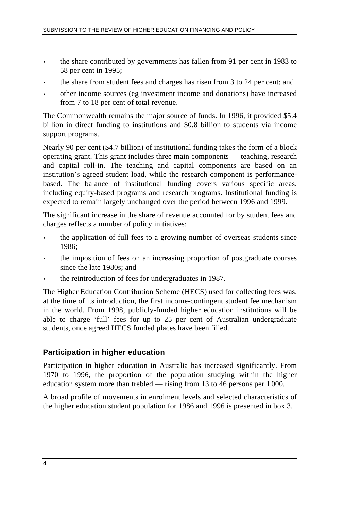- the share contributed by governments has fallen from 91 per cent in 1983 to 58 per cent in 1995;
- the share from student fees and charges has risen from 3 to 24 per cent; and
- other income sources (eg investment income and donations) have increased from 7 to 18 per cent of total revenue.

The Commonwealth remains the major source of funds. In 1996, it provided \$5.4 billion in direct funding to institutions and \$0.8 billion to students via income support programs.

Nearly 90 per cent (\$4.7 billion) of institutional funding takes the form of a block operating grant. This grant includes three main components — teaching, research and capital roll-in. The teaching and capital components are based on an institution's agreed student load, while the research component is performancebased. The balance of institutional funding covers various specific areas, including equity-based programs and research programs. Institutional funding is expected to remain largely unchanged over the period between 1996 and 1999.

The significant increase in the share of revenue accounted for by student fees and charges reflects a number of policy initiatives:

- the application of full fees to a growing number of overseas students since 1986;
- the imposition of fees on an increasing proportion of postgraduate courses since the late 1980s; and
- the reintroduction of fees for undergraduates in 1987.

The Higher Education Contribution Scheme (HECS) used for collecting fees was, at the time of its introduction, the first income-contingent student fee mechanism in the world. From 1998, publicly-funded higher education institutions will be able to charge 'full' fees for up to 25 per cent of Australian undergraduate students, once agreed HECS funded places have been filled.

### **Participation in higher education**

Participation in higher education in Australia has increased significantly. From 1970 to 1996, the proportion of the population studying within the higher education system more than trebled — rising from 13 to 46 persons per 1 000.

A broad profile of movements in enrolment levels and selected characteristics of the higher education student population for 1986 and 1996 is presented in box 3.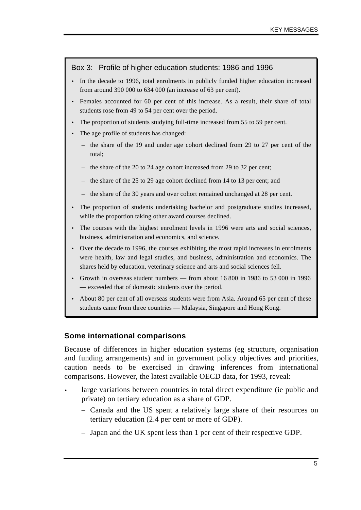#### Box 3: Profile of higher education students: 1986 and 1996

- In the decade to 1996, total enrolments in publicly funded higher education increased from around 390 000 to 634 000 (an increase of 63 per cent).
- Females accounted for 60 per cent of this increase. As a result, their share of total students rose from 49 to 54 per cent over the period.
- The proportion of students studying full-time increased from 55 to 59 per cent.
- The age profile of students has changed:
	- the share of the 19 and under age cohort declined from 29 to 27 per cent of the total;
	- the share of the 20 to 24 age cohort increased from 29 to 32 per cent;
	- the share of the 25 to 29 age cohort declined from 14 to 13 per cent; and
	- the share of the 30 years and over cohort remained unchanged at 28 per cent.
- The proportion of students undertaking bachelor and postgraduate studies increased, while the proportion taking other award courses declined.
- The courses with the highest enrolment levels in 1996 were arts and social sciences, business, administration and economics, and science.
- Over the decade to 1996, the courses exhibiting the most rapid increases in enrolments were health, law and legal studies, and business, administration and economics. The shares held by education, veterinary science and arts and social sciences fell.
- Growth in overseas student numbers from about 16 800 in 1986 to 53 000 in 1996 — exceeded that of domestic students over the period.
- About 80 per cent of all overseas students were from Asia. Around 65 per cent of these students came from three countries — Malaysia, Singapore and Hong Kong.

#### **Some international comparisons**

Because of differences in higher education systems (eg structure, organisation and funding arrangements) and in government policy objectives and priorities, caution needs to be exercised in drawing inferences from international comparisons. However, the latest available OECD data, for 1993, reveal:

- large variations between countries in total direct expenditure (ie public and private) on tertiary education as a share of GDP.
	- Canada and the US spent a relatively large share of their resources on tertiary education (2.4 per cent or more of GDP).
	- Japan and the UK spent less than 1 per cent of their respective GDP.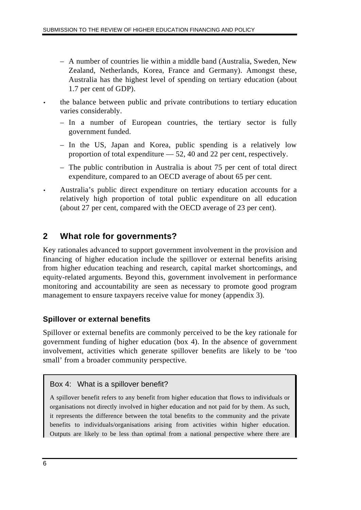- A number of countries lie within a middle band (Australia, Sweden, New Zealand, Netherlands, Korea, France and Germany). Amongst these, Australia has the highest level of spending on tertiary education (about 1.7 per cent of GDP).
- the balance between public and private contributions to tertiary education varies considerably.
	- In a number of European countries, the tertiary sector is fully government funded.
	- In the US, Japan and Korea, public spending is a relatively low proportion of total expenditure — 52, 40 and 22 per cent, respectively.
	- The public contribution in Australia is about 75 per cent of total direct expenditure, compared to an OECD average of about 65 per cent.
- Australia's public direct expenditure on tertiary education accounts for a relatively high proportion of total public expenditure on all education (about 27 per cent, compared with the OECD average of 23 per cent).

## **2 What role for governments?**

Key rationales advanced to support government involvement in the provision and financing of higher education include the spillover or external benefits arising from higher education teaching and research, capital market shortcomings, and equity-related arguments. Beyond this, government involvement in performance monitoring and accountability are seen as necessary to promote good program management to ensure taxpayers receive value for money (appendix 3).

## **Spillover or external benefits**

Spillover or external benefits are commonly perceived to be the key rationale for government funding of higher education (box 4). In the absence of government involvement, activities which generate spillover benefits are likely to be 'too small' from a broader community perspective.

## Box 4: What is a spillover benefit?

A spillover benefit refers to any benefit from higher education that flows to individuals or organisations not directly involved in higher education and not paid for by them. As such, it represents the difference between the total benefits to the community and the private benefits to individuals/organisations arising from activities within higher education. Outputs are likely to be less than optimal from a national perspective where there are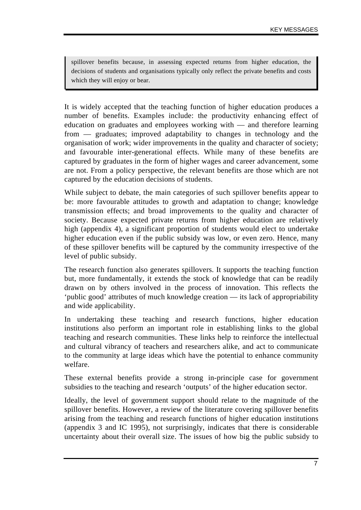spillover benefits because, in assessing expected returns from higher education, the decisions of students and organisations typically only reflect the private benefits and costs which they will enjoy or bear.

It is widely accepted that the teaching function of higher education produces a number of benefits. Examples include: the productivity enhancing effect of education on graduates and employees working with — and therefore learning from — graduates; improved adaptability to changes in technology and the organisation of work; wider improvements in the quality and character of society; and favourable inter-generational effects. While many of these benefits are captured by graduates in the form of higher wages and career advancement, some are not. From a policy perspective, the relevant benefits are those which are not captured by the education decisions of students.

While subject to debate, the main categories of such spillover benefits appear to be: more favourable attitudes to growth and adaptation to change; knowledge transmission effects; and broad improvements to the quality and character of society. Because expected private returns from higher education are relatively high (appendix 4), a significant proportion of students would elect to undertake higher education even if the public subsidy was low, or even zero. Hence, many of these spillover benefits will be captured by the community irrespective of the level of public subsidy.

The research function also generates spillovers. It supports the teaching function but, more fundamentally, it extends the stock of knowledge that can be readily drawn on by others involved in the process of innovation. This reflects the 'public good' attributes of much knowledge creation — its lack of appropriability and wide applicability.

In undertaking these teaching and research functions, higher education institutions also perform an important role in establishing links to the global teaching and research communities. These links help to reinforce the intellectual and cultural vibrancy of teachers and researchers alike, and act to communicate to the community at large ideas which have the potential to enhance community welfare.

These external benefits provide a strong in-principle case for government subsidies to the teaching and research 'outputs' of the higher education sector.

Ideally, the level of government support should relate to the magnitude of the spillover benefits. However, a review of the literature covering spillover benefits arising from the teaching and research functions of higher education institutions (appendix 3 and IC 1995), not surprisingly, indicates that there is considerable uncertainty about their overall size. The issues of how big the public subsidy to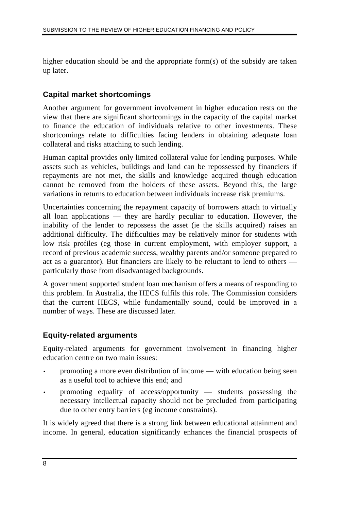higher education should be and the appropriate form(s) of the subsidy are taken up later.

## **Capital market shortcomings**

Another argument for government involvement in higher education rests on the view that there are significant shortcomings in the capacity of the capital market to finance the education of individuals relative to other investments. These shortcomings relate to difficulties facing lenders in obtaining adequate loan collateral and risks attaching to such lending.

Human capital provides only limited collateral value for lending purposes. While assets such as vehicles, buildings and land can be repossessed by financiers if repayments are not met, the skills and knowledge acquired though education cannot be removed from the holders of these assets. Beyond this, the large variations in returns to education between individuals increase risk premiums.

Uncertainties concerning the repayment capacity of borrowers attach to virtually all loan applications — they are hardly peculiar to education. However, the inability of the lender to repossess the asset (ie the skills acquired) raises an additional difficulty. The difficulties may be relatively minor for students with low risk profiles (eg those in current employment, with employer support, a record of previous academic success, wealthy parents and/or someone prepared to act as a guarantor). But financiers are likely to be reluctant to lend to others particularly those from disadvantaged backgrounds.

A government supported student loan mechanism offers a means of responding to this problem. In Australia, the HECS fulfils this role. The Commission considers that the current HECS, while fundamentally sound, could be improved in a number of ways. These are discussed later.

## **Equity-related arguments**

Equity-related arguments for government involvement in financing higher education centre on two main issues:

- promoting a more even distribution of income with education being seen as a useful tool to achieve this end; and
- promoting equality of access/opportunity students possessing the necessary intellectual capacity should not be precluded from participating due to other entry barriers (eg income constraints).

It is widely agreed that there is a strong link between educational attainment and income. In general, education significantly enhances the financial prospects of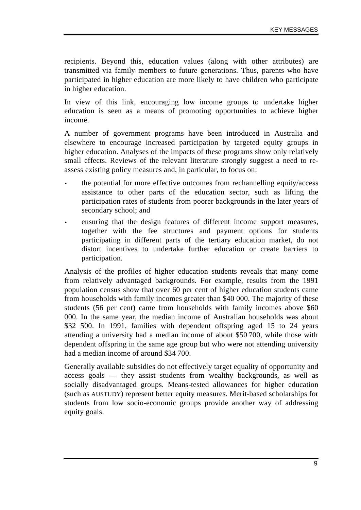recipients. Beyond this, education values (along with other attributes) are transmitted via family members to future generations. Thus, parents who have participated in higher education are more likely to have children who participate in higher education.

In view of this link, encouraging low income groups to undertake higher education is seen as a means of promoting opportunities to achieve higher income.

A number of government programs have been introduced in Australia and elsewhere to encourage increased participation by targeted equity groups in higher education. Analyses of the impacts of these programs show only relatively small effects. Reviews of the relevant literature strongly suggest a need to reassess existing policy measures and, in particular, to focus on:

- the potential for more effective outcomes from rechannelling equity/access assistance to other parts of the education sector, such as lifting the participation rates of students from poorer backgrounds in the later years of secondary school; and
- ensuring that the design features of different income support measures, together with the fee structures and payment options for students participating in different parts of the tertiary education market, do not distort incentives to undertake further education or create barriers to participation.

Analysis of the profiles of higher education students reveals that many come from relatively advantaged backgrounds. For example, results from the 1991 population census show that over 60 per cent of higher education students came from households with family incomes greater than \$40 000. The majority of these students (56 per cent) came from households with family incomes above \$60 000. In the same year, the median income of Australian households was about \$32 500. In 1991, families with dependent offspring aged 15 to 24 years attending a university had a median income of about \$50 700, while those with dependent offspring in the same age group but who were not attending university had a median income of around \$34 700.

Generally available subsidies do not effectively target equality of opportunity and access goals — they assist students from wealthy backgrounds, as well as socially disadvantaged groups. Means-tested allowances for higher education (such as AUSTUDY) represent better equity measures. Merit-based scholarships for students from low socio-economic groups provide another way of addressing equity goals.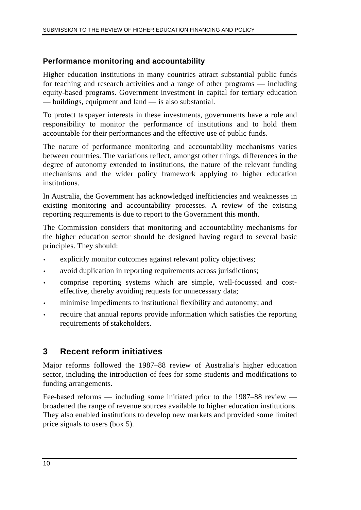## **Performance monitoring and accountability**

Higher education institutions in many countries attract substantial public funds for teaching and research activities and a range of other programs — including equity-based programs. Government investment in capital for tertiary education — buildings, equipment and land — is also substantial.

To protect taxpayer interests in these investments, governments have a role and responsibility to monitor the performance of institutions and to hold them accountable for their performances and the effective use of public funds.

The nature of performance monitoring and accountability mechanisms varies between countries. The variations reflect, amongst other things, differences in the degree of autonomy extended to institutions, the nature of the relevant funding mechanisms and the wider policy framework applying to higher education institutions.

In Australia, the Government has acknowledged inefficiencies and weaknesses in existing monitoring and accountability processes. A review of the existing reporting requirements is due to report to the Government this month.

The Commission considers that monitoring and accountability mechanisms for the higher education sector should be designed having regard to several basic principles. They should:

- explicitly monitor outcomes against relevant policy objectives;
- avoid duplication in reporting requirements across jurisdictions;
- comprise reporting systems which are simple, well-focussed and costeffective, thereby avoiding requests for unnecessary data;
- minimise impediments to institutional flexibility and autonomy; and
- require that annual reports provide information which satisfies the reporting requirements of stakeholders.

## **3 Recent reform initiatives**

Major reforms followed the 1987–88 review of Australia's higher education sector, including the introduction of fees for some students and modifications to funding arrangements.

Fee-based reforms — including some initiated prior to the 1987–88 review broadened the range of revenue sources available to higher education institutions. They also enabled institutions to develop new markets and provided some limited price signals to users (box 5).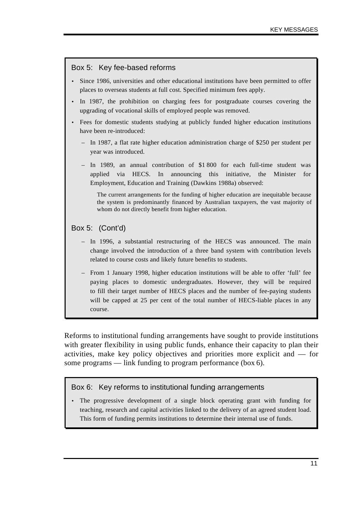#### Box 5: Key fee-based reforms

- Since 1986, universities and other educational institutions have been permitted to offer places to overseas students at full cost. Specified minimum fees apply.
- In 1987, the prohibition on charging fees for postgraduate courses covering the upgrading of vocational skills of employed people was removed.
- Fees for domestic students studying at publicly funded higher education institutions have been re-introduced:
	- In 1987, a flat rate higher education administration charge of \$250 per student per year was introduced.
	- In 1989, an annual contribution of \$1 800 for each full-time student was applied via HECS. In announcing this initiative, the Minister for Employment, Education and Training (Dawkins 1988a) observed:

The current arrangements for the funding of higher education are inequitable because the system is predominantly financed by Australian taxpayers, the vast majority of whom do not directly benefit from higher education.

#### Box 5: (Cont'd)

- In 1996, a substantial restructuring of the HECS was announced. The main change involved the introduction of a three band system with contribution levels related to course costs and likely future benefits to students.
- From 1 January 1998, higher education institutions will be able to offer 'full' fee paying places to domestic undergraduates. However, they will be required to fill their target number of HECS places and the number of fee-paying students will be capped at 25 per cent of the total number of HECS-liable places in any course.

Reforms to institutional funding arrangements have sought to provide institutions with greater flexibility in using public funds, enhance their capacity to plan their activities, make key policy objectives and priorities more explicit and — for some programs — link funding to program performance (box 6).

#### Box 6: Key reforms to institutional funding arrangements

• The progressive development of a single block operating grant with funding for teaching, research and capital activities linked to the delivery of an agreed student load. This form of funding permits institutions to determine their internal use of funds.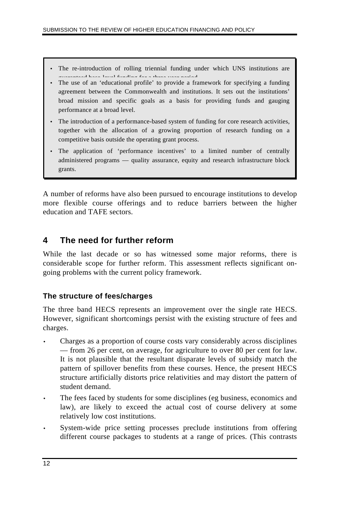- The re-introduction of rolling triennial funding under which UNS institutions are  $\alpha$  and  $\beta$  is a second funding funding funding funding funding funding funding  $\beta$
- The use of an 'educational profile' to provide a framework for specifying a funding agreement between the Commonwealth and institutions. It sets out the institutions' broad mission and specific goals as a basis for providing funds and gauging performance at a broad level.
- The introduction of a performance-based system of funding for core research activities, together with the allocation of a growing proportion of research funding on a competitive basis outside the operating grant process.
- The application of 'performance incentives' to a limited number of centrally administered programs — quality assurance, equity and research infrastructure block grants.

A number of reforms have also been pursued to encourage institutions to develop more flexible course offerings and to reduce barriers between the higher education and TAFE sectors.

## **4 The need for further reform**

While the last decade or so has witnessed some major reforms, there is considerable scope for further reform. This assessment reflects significant ongoing problems with the current policy framework.

### **The structure of fees/charges**

The three band HECS represents an improvement over the single rate HECS. However, significant shortcomings persist with the existing structure of fees and charges.

- Charges as a proportion of course costs vary considerably across disciplines — from 26 per cent, on average, for agriculture to over 80 per cent for law. It is not plausible that the resultant disparate levels of subsidy match the pattern of spillover benefits from these courses. Hence, the present HECS structure artificially distorts price relativities and may distort the pattern of student demand.
- The fees faced by students for some disciplines (eg business, economics and law), are likely to exceed the actual cost of course delivery at some relatively low cost institutions.
- System-wide price setting processes preclude institutions from offering different course packages to students at a range of prices. (This contrasts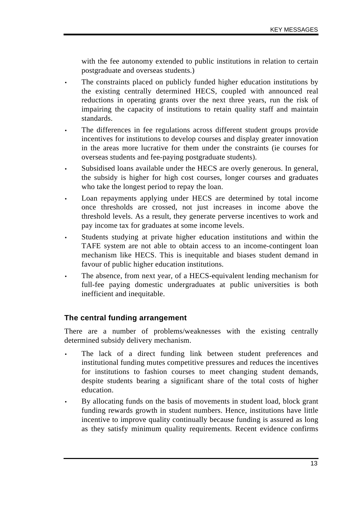with the fee autonomy extended to public institutions in relation to certain postgraduate and overseas students.)

- The constraints placed on publicly funded higher education institutions by the existing centrally determined HECS, coupled with announced real reductions in operating grants over the next three years, run the risk of impairing the capacity of institutions to retain quality staff and maintain standards.
- The differences in fee regulations across different student groups provide incentives for institutions to develop courses and display greater innovation in the areas more lucrative for them under the constraints (ie courses for overseas students and fee-paying postgraduate students).
- Subsidised loans available under the HECS are overly generous. In general, the subsidy is higher for high cost courses, longer courses and graduates who take the longest period to repay the loan.
- Loan repayments applying under HECS are determined by total income once thresholds are crossed, not just increases in income above the threshold levels. As a result, they generate perverse incentives to work and pay income tax for graduates at some income levels.
- Students studying at private higher education institutions and within the TAFE system are not able to obtain access to an income-contingent loan mechanism like HECS. This is inequitable and biases student demand in favour of public higher education institutions.
- The absence, from next year, of a HECS-equivalent lending mechanism for full-fee paying domestic undergraduates at public universities is both inefficient and inequitable.

### **The central funding arrangement**

There are a number of problems/weaknesses with the existing centrally determined subsidy delivery mechanism.

- The lack of a direct funding link between student preferences and institutional funding mutes competitive pressures and reduces the incentives for institutions to fashion courses to meet changing student demands, despite students bearing a significant share of the total costs of higher education.
- By allocating funds on the basis of movements in student load, block grant funding rewards growth in student numbers. Hence, institutions have little incentive to improve quality continually because funding is assured as long as they satisfy minimum quality requirements. Recent evidence confirms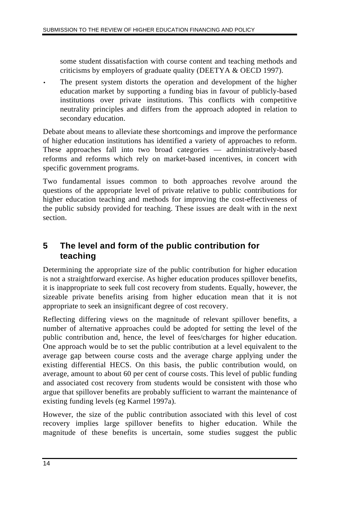some student dissatisfaction with course content and teaching methods and criticisms by employers of graduate quality (DEETYA & OECD 1997).

The present system distorts the operation and development of the higher education market by supporting a funding bias in favour of publicly-based institutions over private institutions. This conflicts with competitive neutrality principles and differs from the approach adopted in relation to secondary education.

Debate about means to alleviate these shortcomings and improve the performance of higher education institutions has identified a variety of approaches to reform. These approaches fall into two broad categories — administratively-based reforms and reforms which rely on market-based incentives, in concert with specific government programs.

Two fundamental issues common to both approaches revolve around the questions of the appropriate level of private relative to public contributions for higher education teaching and methods for improving the cost-effectiveness of the public subsidy provided for teaching. These issues are dealt with in the next section.

## **5 The level and form of the public contribution for teaching**

Determining the appropriate size of the public contribution for higher education is not a straightforward exercise. As higher education produces spillover benefits, it is inappropriate to seek full cost recovery from students. Equally, however, the sizeable private benefits arising from higher education mean that it is not appropriate to seek an insignificant degree of cost recovery.

Reflecting differing views on the magnitude of relevant spillover benefits, a number of alternative approaches could be adopted for setting the level of the public contribution and, hence, the level of fees/charges for higher education. One approach would be to set the public contribution at a level equivalent to the average gap between course costs and the average charge applying under the existing differential HECS. On this basis, the public contribution would, on average, amount to about 60 per cent of course costs. This level of public funding and associated cost recovery from students would be consistent with those who argue that spillover benefits are probably sufficient to warrant the maintenance of existing funding levels (eg Karmel 1997a).

However, the size of the public contribution associated with this level of cost recovery implies large spillover benefits to higher education. While the magnitude of these benefits is uncertain, some studies suggest the public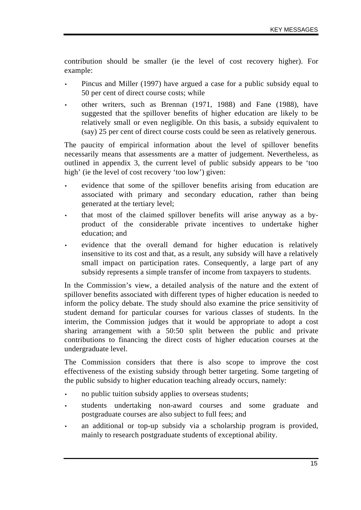contribution should be smaller (ie the level of cost recovery higher). For example:

- Pincus and Miller (1997) have argued a case for a public subsidy equal to 50 per cent of direct course costs; while
- other writers, such as Brennan (1971, 1988) and Fane (1988), have suggested that the spillover benefits of higher education are likely to be relatively small or even negligible. On this basis, a subsidy equivalent to (say) 25 per cent of direct course costs could be seen as relatively generous.

The paucity of empirical information about the level of spillover benefits necessarily means that assessments are a matter of judgement. Nevertheless, as outlined in appendix 3, the current level of public subsidy appears to be 'too high' (ie the level of cost recovery 'too low') given:

- evidence that some of the spillover benefits arising from education are associated with primary and secondary education, rather than being generated at the tertiary level;
- that most of the claimed spillover benefits will arise anyway as a byproduct of the considerable private incentives to undertake higher education; and
- evidence that the overall demand for higher education is relatively insensitive to its cost and that, as a result, any subsidy will have a relatively small impact on participation rates. Consequently, a large part of any subsidy represents a simple transfer of income from taxpayers to students.

In the Commission's view, a detailed analysis of the nature and the extent of spillover benefits associated with different types of higher education is needed to inform the policy debate. The study should also examine the price sensitivity of student demand for particular courses for various classes of students. In the interim, the Commission judges that it would be appropriate to adopt a cost sharing arrangement with a 50:50 split between the public and private contributions to financing the direct costs of higher education courses at the undergraduate level.

The Commission considers that there is also scope to improve the cost effectiveness of the existing subsidy through better targeting. Some targeting of the public subsidy to higher education teaching already occurs, namely:

- no public tuition subsidy applies to overseas students;
- students undertaking non-award courses and some graduate and postgraduate courses are also subject to full fees; and
- an additional or top-up subsidy via a scholarship program is provided, mainly to research postgraduate students of exceptional ability.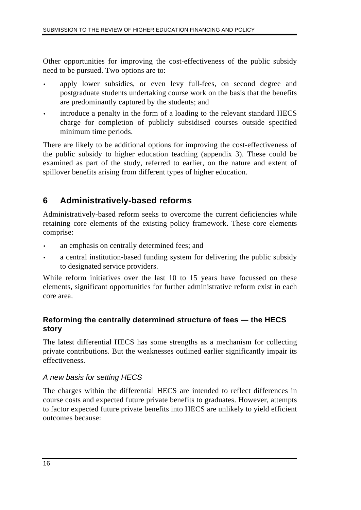Other opportunities for improving the cost-effectiveness of the public subsidy need to be pursued. Two options are to:

- apply lower subsidies, or even levy full-fees, on second degree and postgraduate students undertaking course work on the basis that the benefits are predominantly captured by the students; and
- introduce a penalty in the form of a loading to the relevant standard HECS charge for completion of publicly subsidised courses outside specified minimum time periods.

There are likely to be additional options for improving the cost-effectiveness of the public subsidy to higher education teaching (appendix 3). These could be examined as part of the study, referred to earlier, on the nature and extent of spillover benefits arising from different types of higher education.

## **6 Administratively-based reforms**

Administratively-based reform seeks to overcome the current deficiencies while retaining core elements of the existing policy framework. These core elements comprise:

- an emphasis on centrally determined fees; and
- a central institution-based funding system for delivering the public subsidy to designated service providers.

While reform initiatives over the last 10 to 15 years have focussed on these elements, significant opportunities for further administrative reform exist in each core area.

### **Reforming the centrally determined structure of fees — the HECS story**

The latest differential HECS has some strengths as a mechanism for collecting private contributions. But the weaknesses outlined earlier significantly impair its effectiveness.

### *A new basis for setting HECS*

The charges within the differential HECS are intended to reflect differences in course costs and expected future private benefits to graduates. However, attempts to factor expected future private benefits into HECS are unlikely to yield efficient outcomes because: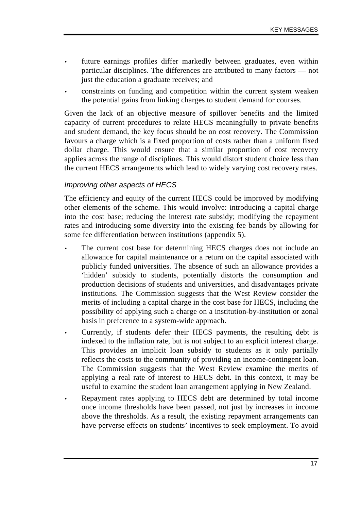- future earnings profiles differ markedly between graduates, even within particular disciplines. The differences are attributed to many factors — not just the education a graduate receives; and
- constraints on funding and competition within the current system weaken the potential gains from linking charges to student demand for courses.

Given the lack of an objective measure of spillover benefits and the limited capacity of current procedures to relate HECS meaningfully to private benefits and student demand, the key focus should be on cost recovery. The Commission favours a charge which is a fixed proportion of costs rather than a uniform fixed dollar charge. This would ensure that a similar proportion of cost recovery applies across the range of disciplines. This would distort student choice less than the current HECS arrangements which lead to widely varying cost recovery rates.

#### *Improving other aspects of HECS*

The efficiency and equity of the current HECS could be improved by modifying other elements of the scheme. This would involve: introducing a capital charge into the cost base; reducing the interest rate subsidy; modifying the repayment rates and introducing some diversity into the existing fee bands by allowing for some fee differentiation between institutions (appendix 5).

- The current cost base for determining HECS charges does not include an allowance for capital maintenance or a return on the capital associated with publicly funded universities. The absence of such an allowance provides a 'hidden' subsidy to students, potentially distorts the consumption and production decisions of students and universities, and disadvantages private institutions. The Commission suggests that the West Review consider the merits of including a capital charge in the cost base for HECS, including the possibility of applying such a charge on a institution-by-institution or zonal basis in preference to a system-wide approach.
- Currently, if students defer their HECS payments, the resulting debt is indexed to the inflation rate, but is not subject to an explicit interest charge. This provides an implicit loan subsidy to students as it only partially reflects the costs to the community of providing an income-contingent loan. The Commission suggests that the West Review examine the merits of applying a real rate of interest to HECS debt. In this context, it may be useful to examine the student loan arrangement applying in New Zealand.
- Repayment rates applying to HECS debt are determined by total income once income thresholds have been passed, not just by increases in income above the thresholds. As a result, the existing repayment arrangements can have perverse effects on students' incentives to seek employment. To avoid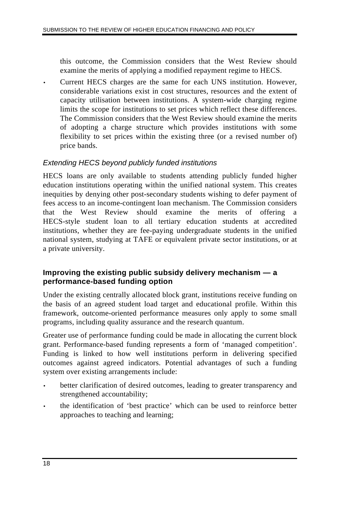this outcome, the Commission considers that the West Review should examine the merits of applying a modified repayment regime to HECS.

• Current HECS charges are the same for each UNS institution. However, considerable variations exist in cost structures, resources and the extent of capacity utilisation between institutions. A system-wide charging regime limits the scope for institutions to set prices which reflect these differences. The Commission considers that the West Review should examine the merits of adopting a charge structure which provides institutions with some flexibility to set prices within the existing three (or a revised number of) price bands.

### *Extending HECS beyond publicly funded institutions*

HECS loans are only available to students attending publicly funded higher education institutions operating within the unified national system. This creates inequities by denying other post-secondary students wishing to defer payment of fees access to an income-contingent loan mechanism. The Commission considers that the West Review should examine the merits of offering HECS-style student loan to all tertiary education students at accredited institutions, whether they are fee-paying undergraduate students in the unified national system, studying at TAFE or equivalent private sector institutions, or at a private university.

### **Improving the existing public subsidy delivery mechanism — a performance-based funding option**

Under the existing centrally allocated block grant, institutions receive funding on the basis of an agreed student load target and educational profile. Within this framework, outcome-oriented performance measures only apply to some small programs, including quality assurance and the research quantum.

Greater use of performance funding could be made in allocating the current block grant. Performance-based funding represents a form of 'managed competition'. Funding is linked to how well institutions perform in delivering specified outcomes against agreed indicators. Potential advantages of such a funding system over existing arrangements include:

- better clarification of desired outcomes, leading to greater transparency and strengthened accountability;
- the identification of 'best practice' which can be used to reinforce better approaches to teaching and learning;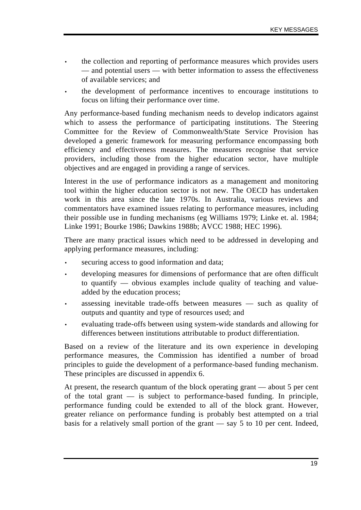- the collection and reporting of performance measures which provides users — and potential users — with better information to assess the effectiveness of available services; and
- the development of performance incentives to encourage institutions to focus on lifting their performance over time.

Any performance-based funding mechanism needs to develop indicators against which to assess the performance of participating institutions. The Steering Committee for the Review of Commonwealth/State Service Provision has developed a generic framework for measuring performance encompassing both efficiency and effectiveness measures. The measures recognise that service providers, including those from the higher education sector, have multiple objectives and are engaged in providing a range of services.

Interest in the use of performance indicators as a management and monitoring tool within the higher education sector is not new. The OECD has undertaken work in this area since the late 1970s. In Australia, various reviews and commentators have examined issues relating to performance measures, including their possible use in funding mechanisms (eg Williams 1979; Linke et. al. 1984; Linke 1991; Bourke 1986; Dawkins 1988b; AVCC 1988; HEC 1996).

There are many practical issues which need to be addressed in developing and applying performance measures, including:

- securing access to good information and data;
- developing measures for dimensions of performance that are often difficult to quantify — obvious examples include quality of teaching and valueadded by the education process;
- assessing inevitable trade-offs between measures such as quality of outputs and quantity and type of resources used; and
- evaluating trade-offs between using system-wide standards and allowing for differences between institutions attributable to product differentiation.

Based on a review of the literature and its own experience in developing performance measures, the Commission has identified a number of broad principles to guide the development of a performance-based funding mechanism. These principles are discussed in appendix 6.

At present, the research quantum of the block operating grant — about 5 per cent of the total grant — is subject to performance-based funding. In principle, performance funding could be extended to all of the block grant. However, greater reliance on performance funding is probably best attempted on a trial basis for a relatively small portion of the grant — say 5 to 10 per cent. Indeed,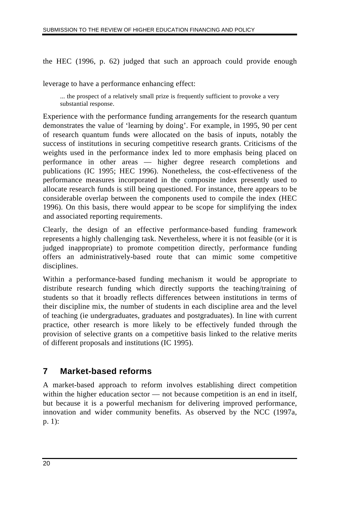the HEC (1996, p. 62) judged that such an approach could provide enough

leverage to have a performance enhancing effect:

... the prospect of a relatively small prize is frequently sufficient to provoke a very substantial response.

Experience with the performance funding arrangements for the research quantum demonstrates the value of 'learning by doing'. For example, in 1995, 90 per cent of research quantum funds were allocated on the basis of inputs, notably the success of institutions in securing competitive research grants. Criticisms of the weights used in the performance index led to more emphasis being placed on performance in other areas — higher degree research completions and publications (IC 1995; HEC 1996). Nonetheless, the cost-effectiveness of the performance measures incorporated in the composite index presently used to allocate research funds is still being questioned. For instance, there appears to be considerable overlap between the components used to compile the index (HEC 1996). On this basis, there would appear to be scope for simplifying the index and associated reporting requirements.

Clearly, the design of an effective performance-based funding framework represents a highly challenging task. Nevertheless, where it is not feasible (or it is judged inappropriate) to promote competition directly, performance funding offers an administratively-based route that can mimic some competitive disciplines.

Within a performance-based funding mechanism it would be appropriate to distribute research funding which directly supports the teaching/training of students so that it broadly reflects differences between institutions in terms of their discipline mix, the number of students in each discipline area and the level of teaching (ie undergraduates, graduates and postgraduates). In line with current practice, other research is more likely to be effectively funded through the provision of selective grants on a competitive basis linked to the relative merits of different proposals and institutions (IC 1995).

## **7 Market-based reforms**

A market-based approach to reform involves establishing direct competition within the higher education sector — not because competition is an end in itself, but because it is a powerful mechanism for delivering improved performance, innovation and wider community benefits. As observed by the NCC (1997a, p. 1):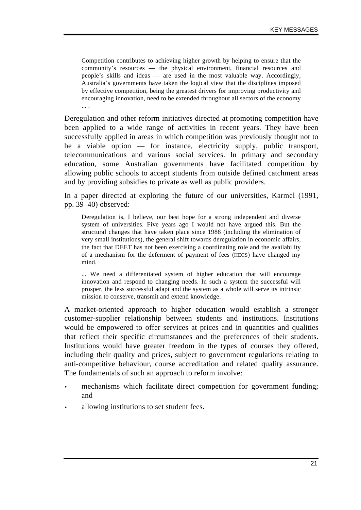Competition contributes to achieving higher growth by helping to ensure that the community's resources — the physical environment, financial resources and people's skills and ideas — are used in the most valuable way. Accordingly, Australia's governments have taken the logical view that the disciplines imposed by effective competition, being the greatest drivers for improving productivity and encouraging innovation, need to be extended throughout all sectors of the economy ... .

Deregulation and other reform initiatives directed at promoting competition have been applied to a wide range of activities in recent years. They have been successfully applied in areas in which competition was previously thought not to be a viable option — for instance, electricity supply, public transport, telecommunications and various social services. In primary and secondary education, some Australian governments have facilitated competition by allowing public schools to accept students from outside defined catchment areas and by providing subsidies to private as well as public providers.

In a paper directed at exploring the future of our universities, Karmel (1991, pp. 39–40) observed:

Deregulation is, I believe, our best hope for a strong independent and diverse system of universities. Five years ago I would not have argued this. But the structural changes that have taken place since 1988 (including the elimination of very small institutions), the general shift towards deregulation in economic affairs, the fact that DEET has not been exercising a coordinating role and the availability of a mechanism for the deferment of payment of fees (HECS) have changed my mind.

... We need a differentiated system of higher education that will encourage innovation and respond to changing needs. In such a system the successful will prosper, the less successful adapt and the system as a whole will serve its intrinsic mission to conserve, transmit and extend knowledge.

A market-oriented approach to higher education would establish a stronger customer-supplier relationship between students and institutions. Institutions would be empowered to offer services at prices and in quantities and qualities that reflect their specific circumstances and the preferences of their students. Institutions would have greater freedom in the types of courses they offered, including their quality and prices, subject to government regulations relating to anti-competitive behaviour, course accreditation and related quality assurance. The fundamentals of such an approach to reform involve:

- mechanisms which facilitate direct competition for government funding; and
- allowing institutions to set student fees.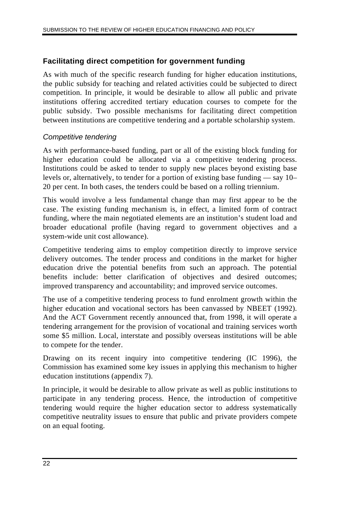## **Facilitating direct competition for government funding**

As with much of the specific research funding for higher education institutions, the public subsidy for teaching and related activities could be subjected to direct competition. In principle, it would be desirable to allow all public and private institutions offering accredited tertiary education courses to compete for the public subsidy. Two possible mechanisms for facilitating direct competition between institutions are competitive tendering and a portable scholarship system.

### *Competitive tendering*

As with performance-based funding, part or all of the existing block funding for higher education could be allocated via a competitive tendering process. Institutions could be asked to tender to supply new places beyond existing base levels or, alternatively, to tender for a portion of existing base funding — say 10– 20 per cent. In both cases, the tenders could be based on a rolling triennium.

This would involve a less fundamental change than may first appear to be the case. The existing funding mechanism is, in effect, a limited form of contract funding, where the main negotiated elements are an institution's student load and broader educational profile (having regard to government objectives and a system-wide unit cost allowance).

Competitive tendering aims to employ competition directly to improve service delivery outcomes. The tender process and conditions in the market for higher education drive the potential benefits from such an approach. The potential benefits include: better clarification of objectives and desired outcomes; improved transparency and accountability; and improved service outcomes.

The use of a competitive tendering process to fund enrolment growth within the higher education and vocational sectors has been canvassed by NBEET (1992). And the ACT Government recently announced that, from 1998, it will operate a tendering arrangement for the provision of vocational and training services worth some \$5 million. Local, interstate and possibly overseas institutions will be able to compete for the tender.

Drawing on its recent inquiry into competitive tendering (IC 1996), the Commission has examined some key issues in applying this mechanism to higher education institutions (appendix 7).

In principle, it would be desirable to allow private as well as public institutions to participate in any tendering process. Hence, the introduction of competitive tendering would require the higher education sector to address systematically competitive neutrality issues to ensure that public and private providers compete on an equal footing.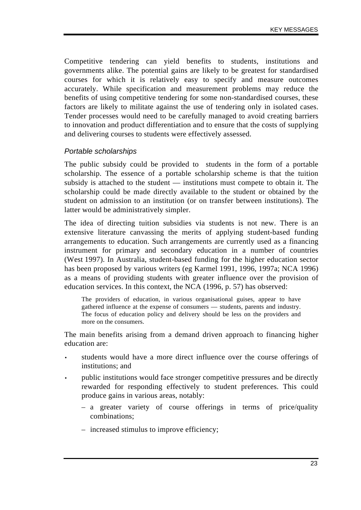Competitive tendering can yield benefits to students, institutions and governments alike. The potential gains are likely to be greatest for standardised courses for which it is relatively easy to specify and measure outcomes accurately. While specification and measurement problems may reduce the benefits of using competitive tendering for some non-standardised courses, these factors are likely to militate against the use of tendering only in isolated cases. Tender processes would need to be carefully managed to avoid creating barriers to innovation and product differentiation and to ensure that the costs of supplying and delivering courses to students were effectively assessed.

#### *Portable scholarships*

The public subsidy could be provided to students in the form of a portable scholarship. The essence of a portable scholarship scheme is that the tuition subsidy is attached to the student — institutions must compete to obtain it. The scholarship could be made directly available to the student or obtained by the student on admission to an institution (or on transfer between institutions). The latter would be administratively simpler.

The idea of directing tuition subsidies via students is not new. There is an extensive literature canvassing the merits of applying student-based funding arrangements to education. Such arrangements are currently used as a financing instrument for primary and secondary education in a number of countries (West 1997). In Australia, student-based funding for the higher education sector has been proposed by various writers (eg Karmel 1991, 1996, 1997a; NCA 1996) as a means of providing students with greater influence over the provision of education services. In this context, the NCA (1996, p. 57) has observed:

The providers of education, in various organisational guises, appear to have gathered influence at the expense of consumers — students, parents and industry. The focus of education policy and delivery should be less on the providers and more on the consumers.

The main benefits arising from a demand driven approach to financing higher education are:

- students would have a more direct influence over the course offerings of institutions; and
- public institutions would face stronger competitive pressures and be directly rewarded for responding effectively to student preferences. This could produce gains in various areas, notably:
	- a greater variety of course offerings in terms of price/quality combinations;
	- increased stimulus to improve efficiency;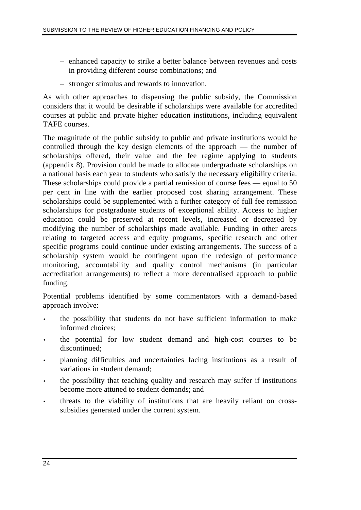- enhanced capacity to strike a better balance between revenues and costs in providing different course combinations; and
- stronger stimulus and rewards to innovation.

As with other approaches to dispensing the public subsidy, the Commission considers that it would be desirable if scholarships were available for accredited courses at public and private higher education institutions, including equivalent TAFE courses.

The magnitude of the public subsidy to public and private institutions would be controlled through the key design elements of the approach — the number of scholarships offered, their value and the fee regime applying to students (appendix 8). Provision could be made to allocate undergraduate scholarships on a national basis each year to students who satisfy the necessary eligibility criteria. These scholarships could provide a partial remission of course fees — equal to 50 per cent in line with the earlier proposed cost sharing arrangement. These scholarships could be supplemented with a further category of full fee remission scholarships for postgraduate students of exceptional ability. Access to higher education could be preserved at recent levels, increased or decreased by modifying the number of scholarships made available. Funding in other areas relating to targeted access and equity programs, specific research and other specific programs could continue under existing arrangements. The success of a scholarship system would be contingent upon the redesign of performance monitoring, accountability and quality control mechanisms (in particular accreditation arrangements) to reflect a more decentralised approach to public funding.

Potential problems identified by some commentators with a demand-based approach involve:

- the possibility that students do not have sufficient information to make informed choices;
- the potential for low student demand and high-cost courses to be discontinued;
- planning difficulties and uncertainties facing institutions as a result of variations in student demand;
- the possibility that teaching quality and research may suffer if institutions become more attuned to student demands; and
- threats to the viability of institutions that are heavily reliant on crosssubsidies generated under the current system.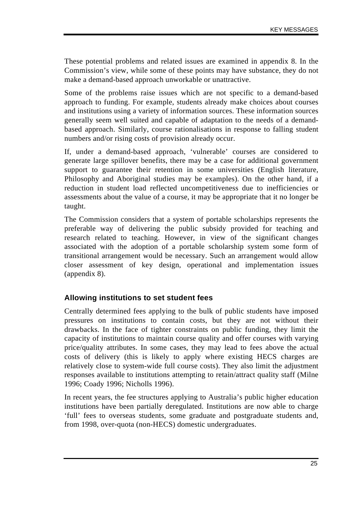These potential problems and related issues are examined in appendix 8. In the Commission's view, while some of these points may have substance, they do not make a demand-based approach unworkable or unattractive.

Some of the problems raise issues which are not specific to a demand-based approach to funding. For example, students already make choices about courses and institutions using a variety of information sources. These information sources generally seem well suited and capable of adaptation to the needs of a demandbased approach. Similarly, course rationalisations in response to falling student numbers and/or rising costs of provision already occur.

If, under a demand-based approach, 'vulnerable' courses are considered to generate large spillover benefits, there may be a case for additional government support to guarantee their retention in some universities (English literature, Philosophy and Aboriginal studies may be examples). On the other hand, if a reduction in student load reflected uncompetitiveness due to inefficiencies or assessments about the value of a course, it may be appropriate that it no longer be taught.

The Commission considers that a system of portable scholarships represents the preferable way of delivering the public subsidy provided for teaching and research related to teaching. However, in view of the significant changes associated with the adoption of a portable scholarship system some form of transitional arrangement would be necessary. Such an arrangement would allow closer assessment of key design, operational and implementation issues (appendix 8).

### **Allowing institutions to set student fees**

Centrally determined fees applying to the bulk of public students have imposed pressures on institutions to contain costs, but they are not without their drawbacks. In the face of tighter constraints on public funding, they limit the capacity of institutions to maintain course quality and offer courses with varying price/quality attributes. In some cases, they may lead to fees above the actual costs of delivery (this is likely to apply where existing HECS charges are relatively close to system-wide full course costs). They also limit the adjustment responses available to institutions attempting to retain/attract quality staff (Milne 1996; Coady 1996; Nicholls 1996).

In recent years, the fee structures applying to Australia's public higher education institutions have been partially deregulated. Institutions are now able to charge 'full' fees to overseas students, some graduate and postgraduate students and, from 1998, over-quota (non-HECS) domestic undergraduates.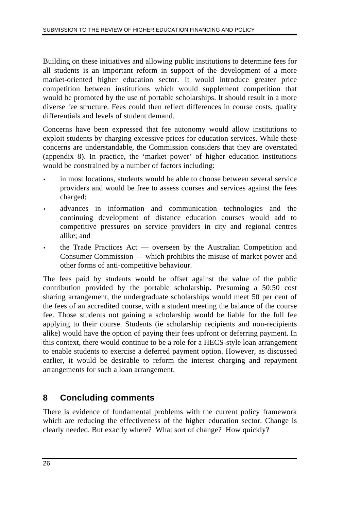Building on these initiatives and allowing public institutions to determine fees for all students is an important reform in support of the development of a more market-oriented higher education sector. It would introduce greater price competition between institutions which would supplement competition that would be promoted by the use of portable scholarships. It should result in a more diverse fee structure. Fees could then reflect differences in course costs, quality differentials and levels of student demand.

Concerns have been expressed that fee autonomy would allow institutions to exploit students by charging excessive prices for education services. While these concerns are understandable, the Commission considers that they are overstated (appendix 8). In practice, the 'market power' of higher education institutions would be constrained by a number of factors including:

- in most locations, students would be able to choose between several service providers and would be free to assess courses and services against the fees charged;
- advances in information and communication technologies and the continuing development of distance education courses would add to competitive pressures on service providers in city and regional centres alike; and
- the Trade Practices Act overseen by the Australian Competition and Consumer Commission — which prohibits the misuse of market power and other forms of anti-competitive behaviour.

The fees paid by students would be offset against the value of the public contribution provided by the portable scholarship. Presuming a 50:50 cost sharing arrangement, the undergraduate scholarships would meet 50 per cent of the fees of an accredited course, with a student meeting the balance of the course fee. Those students not gaining a scholarship would be liable for the full fee applying to their course. Students (ie scholarship recipients and non-recipients alike) would have the option of paying their fees upfront or deferring payment. In this context, there would continue to be a role for a HECS-style loan arrangement to enable students to exercise a deferred payment option. However, as discussed earlier, it would be desirable to reform the interest charging and repayment arrangements for such a loan arrangement.

# **8 Concluding comments**

There is evidence of fundamental problems with the current policy framework which are reducing the effectiveness of the higher education sector. Change is clearly needed. But exactly where? What sort of change? How quickly?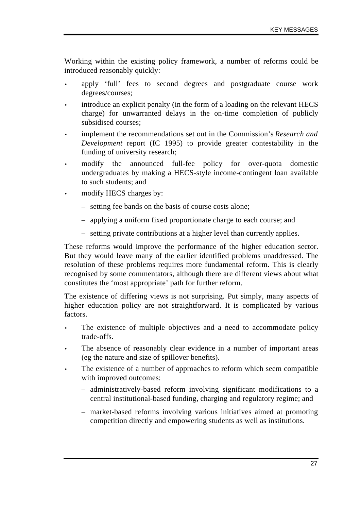Working within the existing policy framework, a number of reforms could be introduced reasonably quickly:

- apply 'full' fees to second degrees and postgraduate course work degrees/courses;
- introduce an explicit penalty (in the form of a loading on the relevant HECS charge) for unwarranted delays in the on-time completion of publicly subsidised courses;
- implement the recommendations set out in the Commission's *Research and Development* report (IC 1995) to provide greater contestability in the funding of university research;
- modify the announced full-fee policy for over-quota domestic undergraduates by making a HECS-style income-contingent loan available to such students; and
- modify HECS charges by:
	- setting fee bands on the basis of course costs alone;
	- applying a uniform fixed proportionate charge to each course; and
	- setting private contributions at a higher level than currently applies.

These reforms would improve the performance of the higher education sector. But they would leave many of the earlier identified problems unaddressed. The resolution of these problems requires more fundamental reform. This is clearly recognised by some commentators, although there are different views about what constitutes the 'most appropriate' path for further reform.

The existence of differing views is not surprising. Put simply, many aspects of higher education policy are not straightforward. It is complicated by various factors.

- The existence of multiple objectives and a need to accommodate policy trade-offs.
- The absence of reasonably clear evidence in a number of important areas (eg the nature and size of spillover benefits).
- The existence of a number of approaches to reform which seem compatible with improved outcomes:
	- administratively-based reform involving significant modifications to a central institutional-based funding, charging and regulatory regime; and
	- market-based reforms involving various initiatives aimed at promoting competition directly and empowering students as well as institutions.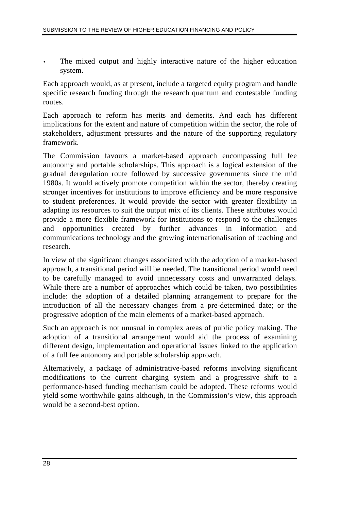The mixed output and highly interactive nature of the higher education system.

Each approach would, as at present, include a targeted equity program and handle specific research funding through the research quantum and contestable funding routes.

Each approach to reform has merits and demerits. And each has different implications for the extent and nature of competition within the sector, the role of stakeholders, adjustment pressures and the nature of the supporting regulatory framework.

The Commission favours a market-based approach encompassing full fee autonomy and portable scholarships. This approach is a logical extension of the gradual deregulation route followed by successive governments since the mid 1980s. It would actively promote competition within the sector, thereby creating stronger incentives for institutions to improve efficiency and be more responsive to student preferences. It would provide the sector with greater flexibility in adapting its resources to suit the output mix of its clients. These attributes would provide a more flexible framework for institutions to respond to the challenges and opportunities created by further advances in information and communications technology and the growing internationalisation of teaching and research.

In view of the significant changes associated with the adoption of a market-based approach, a transitional period will be needed. The transitional period would need to be carefully managed to avoid unnecessary costs and unwarranted delays. While there are a number of approaches which could be taken, two possibilities include: the adoption of a detailed planning arrangement to prepare for the introduction of all the necessary changes from a pre-determined date; or the progressive adoption of the main elements of a market-based approach.

Such an approach is not unusual in complex areas of public policy making. The adoption of a transitional arrangement would aid the process of examining different design, implementation and operational issues linked to the application of a full fee autonomy and portable scholarship approach.

Alternatively, a package of administrative-based reforms involving significant modifications to the current charging system and a progressive shift to a performance-based funding mechanism could be adopted. These reforms would yield some worthwhile gains although, in the Commission's view, this approach would be a second-best option.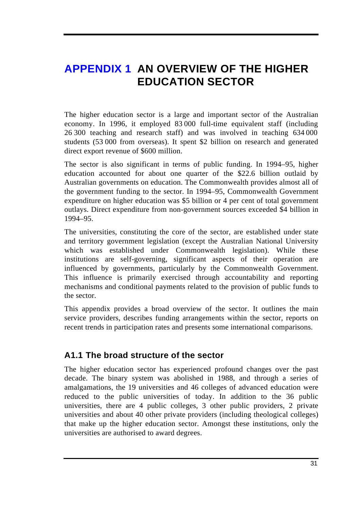# **APPENDIX 1 AN OVERVIEW OF THE HIGHER EDUCATION SECTOR**

The higher education sector is a large and important sector of the Australian economy. In 1996, it employed 83 000 full-time equivalent staff (including 26 300 teaching and research staff) and was involved in teaching 634 000 students (53 000 from overseas). It spent \$2 billion on research and generated direct export revenue of \$600 million.

The sector is also significant in terms of public funding. In 1994–95, higher education accounted for about one quarter of the \$22.6 billion outlaid by Australian governments on education. The Commonwealth provides almost all of the government funding to the sector. In 1994–95, Commonwealth Government expenditure on higher education was \$5 billion or 4 per cent of total government outlays. Direct expenditure from non-government sources exceeded \$4 billion in 1994–95.

The universities, constituting the core of the sector, are established under state and territory government legislation (except the Australian National University which was established under Commonwealth legislation). While these institutions are self-governing, significant aspects of their operation are influenced by governments, particularly by the Commonwealth Government. This influence is primarily exercised through accountability and reporting mechanisms and conditional payments related to the provision of public funds to the sector.

This appendix provides a broad overview of the sector. It outlines the main service providers, describes funding arrangements within the sector, reports on recent trends in participation rates and presents some international comparisons.

# **A1.1 The broad structure of the sector**

The higher education sector has experienced profound changes over the past decade. The binary system was abolished in 1988, and through a series of amalgamations, the 19 universities and 46 colleges of advanced education were reduced to the public universities of today. In addition to the 36 public universities, there are 4 public colleges, 3 other public providers, 2 private universities and about 40 other private providers (including theological colleges) that make up the higher education sector. Amongst these institutions, only the universities are authorised to award degrees.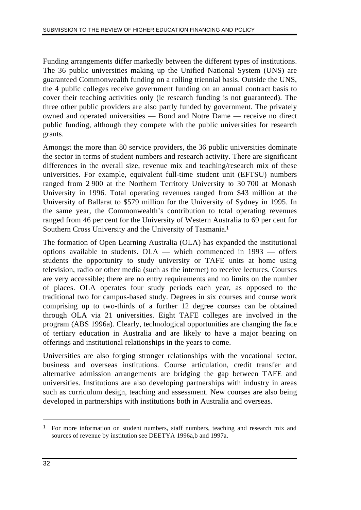Funding arrangements differ markedly between the different types of institutions. The 36 public universities making up the Unified National System (UNS) are guaranteed Commonwealth funding on a rolling triennial basis. Outside the UNS, the 4 public colleges receive government funding on an annual contract basis to cover their teaching activities only (ie research funding is not guaranteed). The three other public providers are also partly funded by government. The privately owned and operated universities — Bond and Notre Dame — receive no direct public funding, although they compete with the public universities for research grants.

Amongst the more than 80 service providers, the 36 public universities dominate the sector in terms of student numbers and research activity. There are significant differences in the overall size, revenue mix and teaching/research mix of these universities. For example, equivalent full-time student unit (EFTSU) numbers ranged from 2 900 at the Northern Territory University to 30 700 at Monash University in 1996. Total operating revenues ranged from \$43 million at the University of Ballarat to \$579 million for the University of Sydney in 1995. In the same year, the Commonwealth's contribution to total operating revenues ranged from 46 per cent for the University of Western Australia to 69 per cent for Southern Cross University and the University of Tasmania.1

The formation of Open Learning Australia (OLA) has expanded the institutional options available to students. OLA — which commenced in 1993 — offers students the opportunity to study university or TAFE units at home using television, radio or other media (such as the internet) to receive lectures. Courses are very accessible; there are no entry requirements and no limits on the number of places. OLA operates four study periods each year, as opposed to the traditional two for campus-based study. Degrees in six courses and course work comprising up to two-thirds of a further 12 degree courses can be obtained through OLA via 21 universities. Eight TAFE colleges are involved in the program (ABS 1996a). Clearly, technological opportunities are changing the face of tertiary education in Australia and are likely to have a major bearing on offerings and institutional relationships in the years to come.

Universities are also forging stronger relationships with the vocational sector, business and overseas institutions. Course articulation, credit transfer and alternative admission arrangements are bridging the gap between TAFE and universities. Institutions are also developing partnerships with industry in areas such as curriculum design, teaching and assessment. New courses are also being developed in partnerships with institutions both in Australia and overseas.

 $\overline{a}$ 

<sup>&</sup>lt;sup>1</sup> For more information on student numbers, staff numbers, teaching and research mix and sources of revenue by institution see DEETYA 1996a,b and 1997a.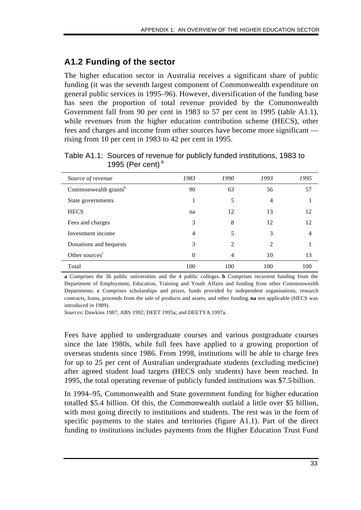# **A1.2 Funding of the sector**

The higher education sector in Australia receives a significant share of public funding (it was the seventh largest component of Commonwealth expenditure on general public services in 1995–96). However, diversification of the funding base has seen the proportion of total revenue provided by the Commonwealth Government fall from 90 per cent in 1983 to 57 per cent in 1995 (table A1.1), while revenues from the higher education contribution scheme (HECS), other fees and charges and income from other sources have become more significant rising from 10 per cent in 1983 to 42 per cent in 1995.

| Source of revenue                | 1983 | 1990           | 1993 | 1995 |
|----------------------------------|------|----------------|------|------|
| Commonwealth grants <sup>b</sup> | 90   | 63             | 56   | 57   |
| State governments                | 1    | 5              | 4    |      |
| <b>HECS</b>                      | na   | 12             | 13   | 12   |
| Fees and charges                 | 3    | 8              | 12   | 12   |
| Investment income                | 4    | 5              | 3    |      |
| Donations and bequests           | 3    | $\mathfrak{D}$ | 2    |      |
| Other sources <sup>c</sup>       | 0    | 4              | 10   | 13   |
| Total                            | 100  | 100            | 100  | 100  |

Table A1.1: Sources of revenue for publicly funded institutions, 1983 to 1995 (Per cent) $a$ 

**a** Comprises the 36 public universities and the 4 public colleges. **b** Comprises recurrent funding from the Department of Employment, Education, Training and Youth Affairs and funding from other Commonwealth Departments. **c** Comprises scholarships and prizes, funds provided by independent organisations, research contracts, loans, proceeds from the sale of products and assets, and other funding. **na** not applicable (HECS was introduced in 1989).

*Sources*: Dawkins 1987; ABS 1992; DEET 1995a; and DEETYA 1997a.

Fees have applied to undergraduate courses and various postgraduate courses since the late 1980s, while full fees have applied to a growing proportion of overseas students since 1986. From 1998, institutions will be able to charge fees for up to 25 per cent of Australian undergraduate students (excluding medicine) after agreed student load targets (HECS only students) have been reached. In 1995, the total operating revenue of publicly funded institutions was \$7.5 billion.

In 1994–95, Commonwealth and State government funding for higher education totalled \$5.4 billion. Of this, the Commonwealth outlaid a little over \$5 billion, with most going directly to institutions and students. The rest was in the form of specific payments to the states and territories (figure A1.1). Part of the direct funding to institutions includes payments from the Higher Education Trust Fund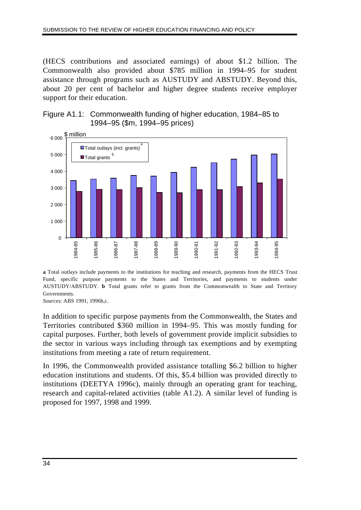(HECS contributions and associated earnings) of about \$1.2 billion. The Commonwealth also provided about \$785 million in 1994–95 for student assistance through programs such as AUSTUDY and ABSTUDY. Beyond this, about 20 per cent of bachelor and higher degree students receive employer support for their education.





**a** Total outlays include payments to the institutions for teaching and research, payments from the HECS Trust Fund, specific purpose payments to the States and Territories, and payments to students under AUSTUDY/ABSTUDY. **b** Total grants refer to grants from the Commonwealth to State and Territory Governments.

*Sources*: ABS 1991, 1996b,c.

In addition to specific purpose payments from the Commonwealth, the States and Territories contributed \$360 million in 1994–95. This was mostly funding for capital purposes. Further, both levels of government provide implicit subsidies to the sector in various ways including through tax exemptions and by exempting institutions from meeting a rate of return requirement.

In 1996, the Commonwealth provided assistance totalling \$6.2 billion to higher education institutions and students. Of this, \$5.4 billion was provided directly to institutions (DEETYA 1996c), mainly through an operating grant for teaching, research and capital-related activities (table A1.2). A similar level of funding is proposed for 1997, 1998 and 1999.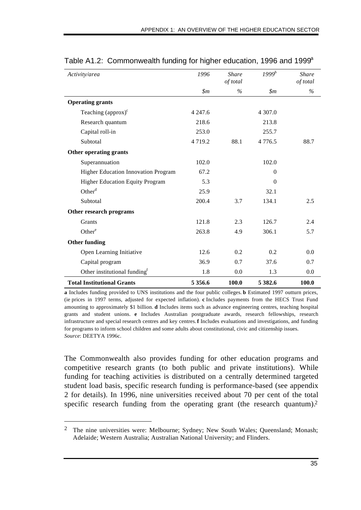| Activity/area                            | 1996           | <b>Share</b><br>of total | $1999^b$       | <b>Share</b><br>of total |
|------------------------------------------|----------------|--------------------------|----------------|--------------------------|
|                                          | $\mathfrak{m}$ | $\%$                     | $\mathfrak{m}$ | $\%$                     |
| <b>Operating grants</b>                  |                |                          |                |                          |
| Teaching $\left(\text{approx}\right)^c$  | 4 2 4 7 .6     |                          | 4 307.0        |                          |
| Research quantum                         | 218.6          |                          | 213.8          |                          |
| Capital roll-in                          | 253.0          |                          | 255.7          |                          |
| Subtotal                                 | 4 7 1 9 . 2    | 88.1                     | 4776.5         | 88.7                     |
| Other operating grants                   |                |                          |                |                          |
| Superannuation                           | 102.0          |                          | 102.0          |                          |
| Higher Education Innovation Program      | 67.2           |                          | $\Omega$       |                          |
| <b>Higher Education Equity Program</b>   | 5.3            |                          | $\Omega$       |                          |
| Other <sup>d</sup>                       | 25.9           |                          | 32.1           |                          |
| Subtotal                                 | 200.4          | 3.7                      | 134.1          | 2.5                      |
| Other research programs                  |                |                          |                |                          |
| Grants                                   | 121.8          | 2.3                      | 126.7          | 2.4                      |
| Other <sup>e</sup>                       | 263.8          | 4.9                      | 306.1          | 5.7                      |
| <b>Other funding</b>                     |                |                          |                |                          |
| Open Learning Initiative                 | 12.6           | 0.2                      | 0.2            | 0.0                      |
| Capital program                          | 36.9           | 0.7                      | 37.6           | 0.7                      |
| Other institutional funding <sup>f</sup> | 1.8            | $0.0\,$                  | 1.3            | 0.0                      |
| <b>Total Institutional Grants</b>        | 5 3 5 6 . 6    | 100.0                    | 5 3 8 2.6      | 100.0                    |

### Table A1.2: Commonwealth funding for higher education, 1996 and 1999<sup>a</sup>

**a** Includes funding provided to UNS institutions and the four public colleges. **b** Estimated 1997 outturn prices, (ie prices in 1997 terms, adjusted for expected inflation). **c** Includes payments from the HECS Trust Fund amounting to approximately \$1 billion. **d** Includes items such as advance engineering centres, teaching hospital grants and student unions. **e** Includes Australian postgraduate awards, research fellowships, research infrastructure and special research centres and key centres. **f** Includes evaluations and investigations, and funding for programs to inform school children and some adults about constitutional, civic and citizenship issues. *Source*: DEETYA 1996c.

The Commonwealth also provides funding for other education programs and competitive research grants (to both public and private institutions). While funding for teaching activities is distributed on a centrally determined targeted student load basis, specific research funding is performance-based (see appendix 2 for details). In 1996, nine universities received about 70 per cent of the total specific research funding from the operating grant (the research quantum).<sup>2</sup>

 $\overline{a}$ 

<sup>&</sup>lt;sup>2</sup> The nine universities were: Melbourne; Sydney; New South Wales; Queensland; Monash; Adelaide; Western Australia; Australian National University; and Flinders.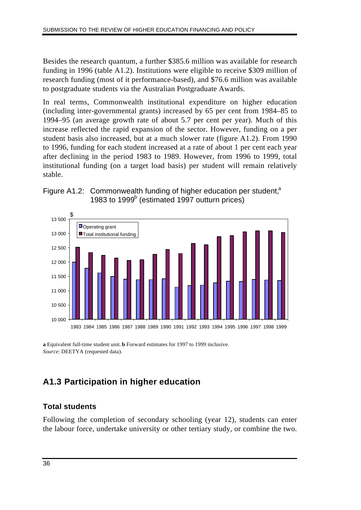Besides the research quantum, a further \$385.6 million was available for research funding in 1996 (table A1.2). Institutions were eligible to receive \$309 million of research funding (most of it performance-based), and \$76.6 million was available to postgraduate students via the Australian Postgraduate Awards.

In real terms, Commonwealth institutional expenditure on higher education (including inter-governmental grants) increased by 65 per cent from 1984–85 to 1994–95 (an average growth rate of about 5.7 per cent per year). Much of this increase reflected the rapid expansion of the sector. However, funding on a per student basis also increased, but at a much slower rate (figure A1.2). From 1990 to 1996, funding for each student increased at a rate of about 1 per cent each year after declining in the period 1983 to 1989. However, from 1996 to 1999, total institutional funding (on a target load basis) per student will remain relatively stable.





**a** Equivalent full-time student unit. **b** Forward estimates for 1997 to 1999 inclusive. *Source*: DEETYA (requested data).

# **A1.3 Participation in higher education**

### **Total students**

Following the completion of secondary schooling (year 12), students can enter the labour force, undertake university or other tertiary study, or combine the two.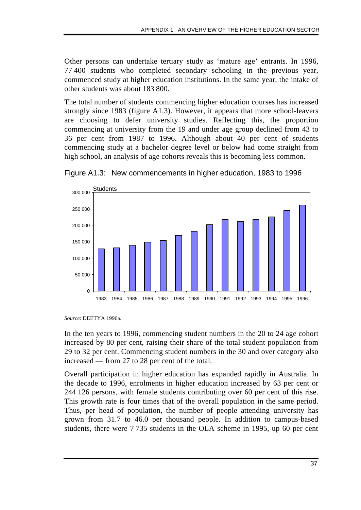Other persons can undertake tertiary study as 'mature age' entrants. In 1996, 77 400 students who completed secondary schooling in the previous year, commenced study at higher education institutions. In the same year, the intake of other students was about 183 800.

The total number of students commencing higher education courses has increased strongly since 1983 (figure A1.3). However, it appears that more school-leavers are choosing to defer university studies. Reflecting this, the proportion commencing at university from the 19 and under age group declined from 43 to 36 per cent from 1987 to 1996. Although about 40 per cent of students commencing study at a bachelor degree level or below had come straight from high school, an analysis of age cohorts reveals this is becoming less common.





In the ten years to 1996, commencing student numbers in the 20 to 24 age cohort increased by 80 per cent, raising their share of the total student population from 29 to 32 per cent. Commencing student numbers in the 30 and over category also increased — from 27 to 28 per cent of the total.

Overall participation in higher education has expanded rapidly in Australia. In the decade to 1996, enrolments in higher education increased by 63 per cent or 244 126 persons, with female students contributing over 60 per cent of this rise. This growth rate is four times that of the overall population in the same period. Thus, per head of population, the number of people attending university has grown from 31.7 to 46.0 per thousand people. In addition to campus-based students, there were 7 735 students in the OLA scheme in 1995, up 60 per cent

*Source*: DEETYA 1996a.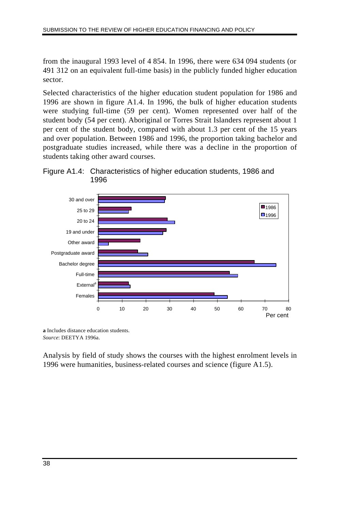from the inaugural 1993 level of 4 854. In 1996, there were 634 094 students (or 491 312 on an equivalent full-time basis) in the publicly funded higher education sector.

Selected characteristics of the higher education student population for 1986 and 1996 are shown in figure A1.4. In 1996, the bulk of higher education students were studying full-time (59 per cent). Women represented over half of the student body (54 per cent). Aboriginal or Torres Strait Islanders represent about 1 per cent of the student body, compared with about 1.3 per cent of the 15 years and over population. Between 1986 and 1996, the proportion taking bachelor and postgraduate studies increased, while there was a decline in the proportion of students taking other award courses.





**a** Includes distance education students. *Source*: DEETYA 1996a.

Analysis by field of study shows the courses with the highest enrolment levels in 1996 were humanities, business-related courses and science (figure A1.5).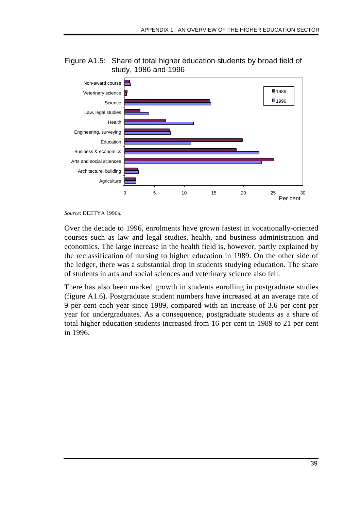

Figure A1.5: Share of total higher education students by broad field of study, 1986 and 1996

*Source*: DEETYA 1996a.

Over the decade to 1996, enrolments have grown fastest in vocationally-oriented courses such as law and legal studies, health, and business administration and economics. The large increase in the health field is, however, partly explained by the reclassification of nursing to higher education in 1989. On the other side of the ledger, there was a substantial drop in students studying education. The share of students in arts and social sciences and veterinary science also fell.

There has also been marked growth in students enrolling in postgraduate studies (figure A1.6). Postgraduate student numbers have increased at an average rate of 9 per cent each year since 1989, compared with an increase of 3.6 per cent per year for undergraduates. As a consequence, postgraduate students as a share of total higher education students increased from 16 per cent in 1989 to 21 per cent in 1996.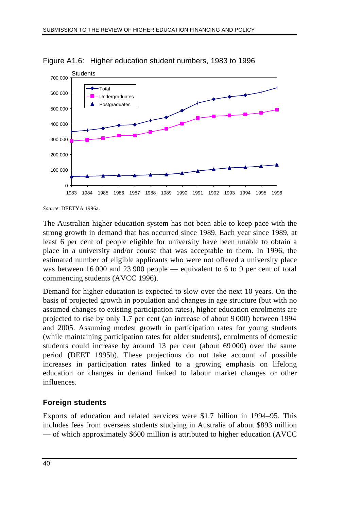

Figure A1.6: Higher education student numbers, 1983 to 1996

*Source*: DEETYA 1996a.

The Australian higher education system has not been able to keep pace with the strong growth in demand that has occurred since 1989. Each year since 1989, at least 6 per cent of people eligible for university have been unable to obtain a place in a university and/or course that was acceptable to them. In 1996, the estimated number of eligible applicants who were not offered a university place was between 16 000 and 23 900 people — equivalent to 6 to 9 per cent of total commencing students (AVCC 1996).

Demand for higher education is expected to slow over the next 10 years. On the basis of projected growth in population and changes in age structure (but with no assumed changes to existing participation rates), higher education enrolments are projected to rise by only 1.7 per cent (an increase of about 9 000) between 1994 and 2005. Assuming modest growth in participation rates for young students (while maintaining participation rates for older students), enrolments of domestic students could increase by around 13 per cent (about 69 000) over the same period (DEET 1995b). These projections do not take account of possible increases in participation rates linked to a growing emphasis on lifelong education or changes in demand linked to labour market changes or other influences.

### **Foreign students**

Exports of education and related services were \$1.7 billion in 1994–95. This includes fees from overseas students studying in Australia of about \$893 million — of which approximately \$600 million is attributed to higher education (AVCC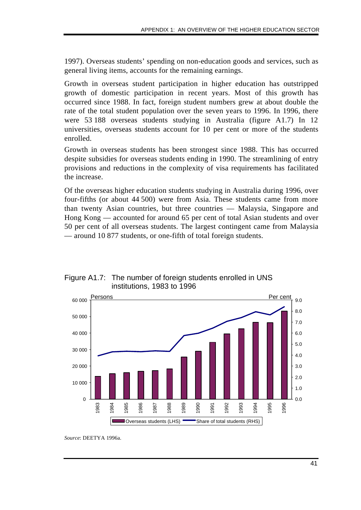1997). Overseas students' spending on non-education goods and services, such as general living items, accounts for the remaining earnings.

Growth in overseas student participation in higher education has outstripped growth of domestic participation in recent years. Most of this growth has occurred since 1988. In fact, foreign student numbers grew at about double the rate of the total student population over the seven years to 1996. In 1996, there were 53 188 overseas students studying in Australia (figure A1.7) In 12 universities, overseas students account for 10 per cent or more of the students enrolled.

Growth in overseas students has been strongest since 1988. This has occurred despite subsidies for overseas students ending in 1990. The streamlining of entry provisions and reductions in the complexity of visa requirements has facilitated the increase.

Of the overseas higher education students studying in Australia during 1996, over four-fifths (or about 44 500) were from Asia. These students came from more than twenty Asian countries, but three countries — Malaysia, Singapore and Hong Kong — accounted for around 65 per cent of total Asian students and over 50 per cent of all overseas students. The largest contingent came from Malaysia — around 10 877 students, or one-fifth of total foreign students.

Figure A1.7: The number of foreign students enrolled in UNS institutions, 1983 to 1996



*Source*: DEETYA 1996a.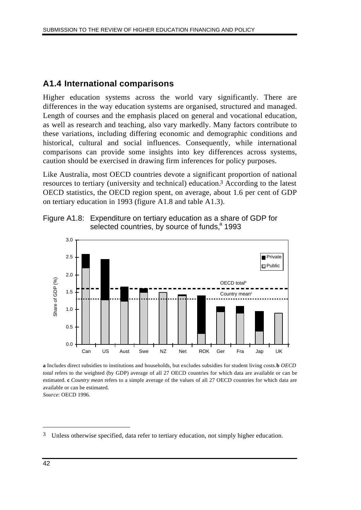# **A1.4 International comparisons**

Higher education systems across the world vary significantly. There are differences in the way education systems are organised, structured and managed. Length of courses and the emphasis placed on general and vocational education, as well as research and teaching, also vary markedly. Many factors contribute to these variations, including differing economic and demographic conditions and historical, cultural and social influences. Consequently, while international comparisons can provide some insights into key differences across systems, caution should be exercised in drawing firm inferences for policy purposes.

Like Australia, most OECD countries devote a significant proportion of national resources to tertiary (university and technical) education.3 According to the latest OECD statistics, the OECD region spent, on average, about 1.6 per cent of GDP on tertiary education in 1993 (figure A1.8 and table A1.3).



Figure A1.8: Expenditure on tertiary education as a share of GDP for selected countries, by source of funds,<sup>a</sup> 1993

**a** Includes direct subsidies to institutions and households, but excludes subsidies for student living costs. **b** *OECD total* refers to the weighted (by GDP) average of all 27 OECD countries for which data are available or can be estimated. **c** *Country mean* refers to a simple average of the values of all 27 OECD countries for which data are available or can be estimated.

*Source*: OECD 1996.

 $\overline{a}$ 

<sup>3</sup> Unless otherwise specified, data refer to tertiary education, not simply higher education.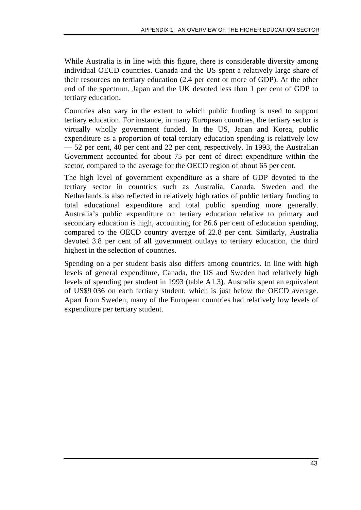While Australia is in line with this figure, there is considerable diversity among individual OECD countries. Canada and the US spent a relatively large share of their resources on tertiary education (2.4 per cent or more of GDP). At the other end of the spectrum, Japan and the UK devoted less than 1 per cent of GDP to tertiary education.

Countries also vary in the extent to which public funding is used to support tertiary education. For instance, in many European countries, the tertiary sector is virtually wholly government funded. In the US, Japan and Korea, public expenditure as a proportion of total tertiary education spending is relatively low — 52 per cent, 40 per cent and 22 per cent, respectively. In 1993, the Australian Government accounted for about 75 per cent of direct expenditure within the sector, compared to the average for the OECD region of about 65 per cent.

The high level of government expenditure as a share of GDP devoted to the tertiary sector in countries such as Australia, Canada, Sweden and the Netherlands is also reflected in relatively high ratios of public tertiary funding to total educational expenditure and total public spending more generally. Australia's public expenditure on tertiary education relative to primary and secondary education is high, accounting for 26.6 per cent of education spending, compared to the OECD country average of 22.8 per cent. Similarly, Australia devoted 3.8 per cent of all government outlays to tertiary education, the third highest in the selection of countries.

Spending on a per student basis also differs among countries. In line with high levels of general expenditure, Canada, the US and Sweden had relatively high levels of spending per student in 1993 (table A1.3). Australia spent an equivalent of US\$9 036 on each tertiary student, which is just below the OECD average. Apart from Sweden, many of the European countries had relatively low levels of expenditure per tertiary student.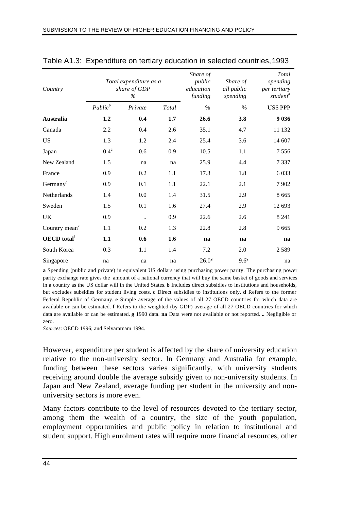| Country                        |             | Total expenditure as a<br>share of GDP<br>$\%$ |       | Share of<br>public<br>education<br>funding | Share of<br>all public<br>spending | Total<br>spending<br>per tertiary<br>student <sup>a</sup> |
|--------------------------------|-------------|------------------------------------------------|-------|--------------------------------------------|------------------------------------|-----------------------------------------------------------|
|                                | $Public^b$  | Private                                        | Total | $\%$                                       | $\%$                               | <b>US\$ PPP</b>                                           |
| <b>Australia</b>               | 1.2         | 0.4                                            | 1.7   | 26.6                                       | 3.8                                | 9 0 3 6                                                   |
| Canada                         | 2.2         | 0.4                                            | 2.6   | 35.1                                       | 4.7                                | 11 132                                                    |
| <b>US</b>                      | 1.3         | 1.2                                            | 2.4   | 25.4                                       | 3.6                                | 14 607                                                    |
| Japan                          | $0.4^\circ$ | 0.6                                            | 0.9   | 10.5                                       | 1.1                                | 7556                                                      |
| New Zealand                    | 1.5         | na                                             | na    | 25.9                                       | 4.4                                | 7337                                                      |
| France                         | 0.9         | 0.2                                            | 1.1   | 17.3                                       | 1.8                                | 6 0 33                                                    |
| Germany <sup>d</sup>           | 0.9         | 0.1                                            | 1.1   | 22.1                                       | 2.1                                | 7902                                                      |
| Netherlands                    | 1.4         | 0.0                                            | 1.4   | 31.5                                       | 2.9                                | 8665                                                      |
| Sweden                         | 1.5         | 0.1                                            | 1.6   | 27.4                                       | 2.9                                | 12 693                                                    |
| <b>UK</b>                      | 0.9         | $\ddotsc$                                      | 0.9   | 22.6                                       | 2.6                                | 8 2 4 1                                                   |
| Country mean <sup>e</sup>      | 1.1         | 0.2                                            | 1.3   | 22.8                                       | 2.8                                | 9665                                                      |
| <b>OECD</b> total <sup>f</sup> | 1.1         | 0.6                                            | 1.6   | na                                         | na                                 | na                                                        |
| South Korea                    | 0.3         | 1.1                                            | 1.4   | 7.2                                        | 2.0                                | 2589                                                      |
| Singapore                      | na          | na                                             | na    | 26.0 <sup>g</sup>                          | $9.6^{\circ}$                      | na                                                        |

#### Table A1.3: Expenditure on tertiary education in selected countries,1993

**a** Spending (public and private) in equivalent US dollars using purchasing power parity. The purchasing power parity exchange rate gives the amount of a national currency that will buy the same basket of goods and services in a country as the US dollar will in the United States. **b** Includes direct subsidies to institutions and households, but excludes subsidies for student living costs. **c** Direct subsidies to institutions only. **d** Refers to the former Federal Republic of Germany. **e** Simple average of the values of all 27 OECD countries for which data are available or can be estimated. **f** Refers to the weighted (by GDP) average of all 27 OECD countries for which data are available or can be estimated. **g** 1990 data. **na** Data were not available or not reported. **..** Negligible or zero.

*Sources*: OECD 1996; and Selvaratnam 1994.

However, expenditure per student is affected by the share of university education relative to the non-university sector. In Germany and Australia for example, funding between these sectors varies significantly, with university students receiving around double the average subsidy given to non-university students. In Japan and New Zealand, average funding per student in the university and nonuniversity sectors is more even.

Many factors contribute to the level of resources devoted to the tertiary sector, among them the wealth of a country, the size of the youth population, employment opportunities and public policy in relation to institutional and student support. High enrolment rates will require more financial resources, other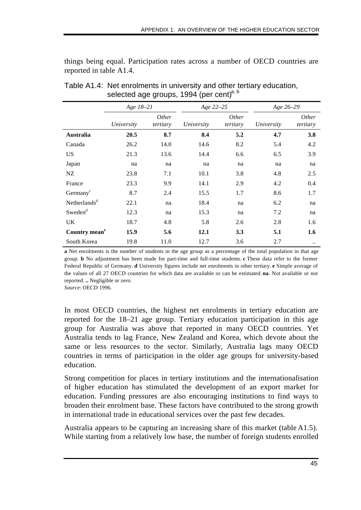things being equal. Participation rates across a number of OECD countries are reported in table A1.4.

|                           | Age 18-21  |                          | Age 22-25  |                          | Age 26-29  |                          |
|---------------------------|------------|--------------------------|------------|--------------------------|------------|--------------------------|
|                           | University | <i>Other</i><br>tertiary | University | <i>Other</i><br>tertiary | University | <i>Other</i><br>tertiary |
| <b>Australia</b>          | 20.5       | 8.7                      | 8.4        | 5.2                      | 4.7        | 3.8                      |
| Canada                    | 26.2       | 14.0                     | 14.6       | 8.2                      | 5.4        | 4.2                      |
| <b>US</b>                 | 21.3       | 13.6                     | 14.4       | 6.6                      | 6.5        | 3.9                      |
| Japan                     | na         | na                       | na         | na                       | na         | na                       |
| NZ                        | 23.8       | 7.1                      | 10.1       | 3.8                      | 4.8        | 2.5                      |
| France                    | 23.3       | 9.9                      | 14.1       | 2.9                      | 4.2        | 0.4                      |
| Germany <sup>c</sup>      | 8.7        | 2.4                      | 15.5       | 1.7                      | 8.6        | 1.7                      |
| Netherlands <sup>d</sup>  | 22.1       | na                       | 18.4       | na                       | 6.2        | na                       |
| Sweden <sup>d</sup>       | 12.3       | na                       | 15.3       | na                       | 7.2        | na                       |
| UK.                       | 18.7       | 4.8                      | 5.8        | 2.6                      | 2.8        | 1.6                      |
| Country mean <sup>e</sup> | 15.9       | 5.6                      | 12.1       | 3.3                      | 5.1        | 1.6                      |
| South Korea               | 19.8       | 11.0                     | 12.7       | 3.6                      | 2.7        |                          |

Table A1.4: Net enrolments in university and other tertiary education, selected age groups, 1994 (per cent)<sup>a, b</sup>

**a** Net enrolments is the number of students in the age group as a percentage of the total population in that age group. **b** No adjustment has been made for part-time and full-time students. **c** These data refer to the former Federal Republic of Germany. **d** University figures include net enrolments in other tertiary. **e** Simple average of the values of all 27 OECD countries for which data are available or can be estimated. **na**. Not available or not reported. **..** Negligible or zero.

*Source*: OECD 1996.

In most OECD countries, the highest net enrolments in tertiary education are reported for the 18–21 age group. Tertiary education participation in this age group for Australia was above that reported in many OECD countries. Yet Australia tends to lag France, New Zealand and Korea, which devote about the same or less resources to the sector. Similarly, Australia lags many OECD countries in terms of participation in the older age groups for university-based education.

Strong competition for places in tertiary institutions and the internationalisation of higher education has stimulated the development of an export market for education. Funding pressures are also encouraging institutions to find ways to broaden their enrolment base. These factors have contributed to the strong growth in international trade in educational services over the past few decades.

Australia appears to be capturing an increasing share of this market (table A1.5). While starting from a relatively low base, the number of foreign students enrolled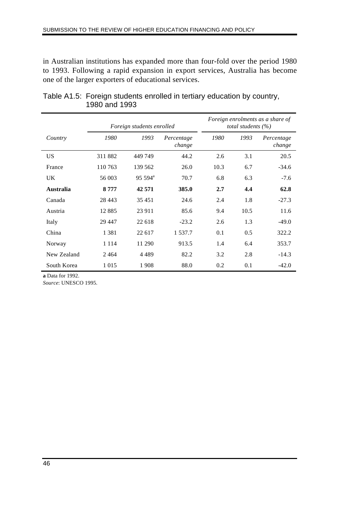in Australian institutions has expanded more than four-fold over the period 1980 to 1993. Following a rapid expansion in export services, Australia has become one of the larger exporters of educational services.

|                  |         | Foreign students enrolled |                      |      | total students $(\% )$ | Foreign enrolments as a share of |
|------------------|---------|---------------------------|----------------------|------|------------------------|----------------------------------|
| Country          | 1980    | 1993                      | Percentage<br>change | 1980 | 1993                   | Percentage<br>change             |
| <b>US</b>        | 311882  | 449 749                   | 44.2                 | 2.6  | 3.1                    | 20.5                             |
| France           | 110 763 | 139 562                   | 26.0                 | 10.3 | 6.7                    | $-34.6$                          |
| UK.              | 56 003  | $95\,594^{\rm a}$         | 70.7                 | 6.8  | 6.3                    | $-7.6$                           |
| <b>Australia</b> | 8777    | 42 571                    | 385.0                | 2.7  | 4.4                    | 62.8                             |
| Canada           | 28 4 43 | 35 451                    | 24.6                 | 2.4  | 1.8                    | $-27.3$                          |
| Austria          | 12885   | 23 911                    | 85.6                 | 9.4  | 10.5                   | 11.6                             |
| Italy            | 29 447  | 22 618                    | $-23.2$              | 2.6  | 1.3                    | $-49.0$                          |
| China            | 1 3 8 1 | 22 617                    | 1 537.7              | 0.1  | 0.5                    | 322.2                            |
| Norway           | 1 1 1 4 | 11 290                    | 913.5                | 1.4  | 6.4                    | 353.7                            |
| New Zealand      | 2464    | 4489                      | 82.2                 | 3.2  | 2.8                    | $-14.3$                          |
| South Korea      | 1 0 1 5 | 1908                      | 88.0                 | 0.2  | 0.1                    | $-42.0$                          |

| Table A1.5: Foreign students enrolled in tertiary education by country, |
|-------------------------------------------------------------------------|
| 1980 and 1993                                                           |

**a** Data for 1992.

*Source*: UNESCO 1995.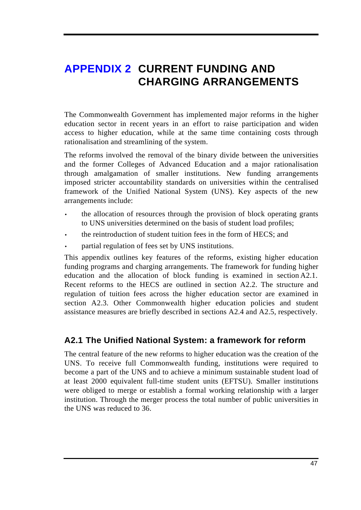# **APPENDIX 2 CURRENT FUNDING AND CHARGING ARRANGEMENTS**

The Commonwealth Government has implemented major reforms in the higher education sector in recent years in an effort to raise participation and widen access to higher education, while at the same time containing costs through rationalisation and streamlining of the system.

The reforms involved the removal of the binary divide between the universities and the former Colleges of Advanced Education and a major rationalisation through amalgamation of smaller institutions. New funding arrangements imposed stricter accountability standards on universities within the centralised framework of the Unified National System (UNS). Key aspects of the new arrangements include:

- the allocation of resources through the provision of block operating grants to UNS universities determined on the basis of student load profiles;
- the reintroduction of student tuition fees in the form of HECS; and
- partial regulation of fees set by UNS institutions.

This appendix outlines key features of the reforms, existing higher education funding programs and charging arrangements. The framework for funding higher education and the allocation of block funding is examined in section A2.1. Recent reforms to the HECS are outlined in section A2.2. The structure and regulation of tuition fees across the higher education sector are examined in section A2.3. Other Commonwealth higher education policies and student assistance measures are briefly described in sections A2.4 and A2.5, respectively.

# **A2.1 The Unified National System: a framework for reform**

The central feature of the new reforms to higher education was the creation of the UNS. To receive full Commonwealth funding, institutions were required to become a part of the UNS and to achieve a minimum sustainable student load of at least 2000 equivalent full-time student units (EFTSU). Smaller institutions were obliged to merge or establish a formal working relationship with a larger institution. Through the merger process the total number of public universities in the UNS was reduced to 36.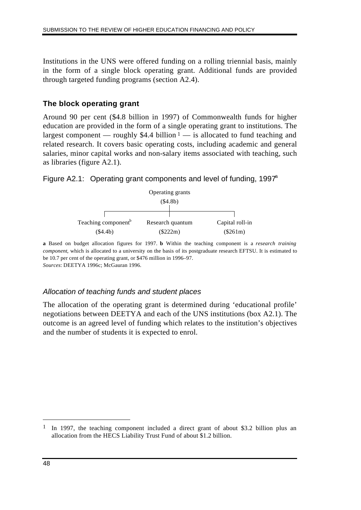Institutions in the UNS were offered funding on a rolling triennial basis, mainly in the form of a single block operating grant. Additional funds are provided through targeted funding programs (section A2.4).

### **The block operating grant**

Around 90 per cent (\$4.8 billion in 1997) of Commonwealth funds for higher education are provided in the form of a single operating grant to institutions. The largest component — roughly \$4.4 billion  $1 -$  is allocated to fund teaching and related research. It covers basic operating costs, including academic and general salaries, minor capital works and non-salary items associated with teaching, such as libraries (figure A2.1).

#### Figure A2.1: Operating grant components and level of funding,  $1997<sup>a</sup>$



**a** Based on budget allocation figures for 1997. **b** Within the teaching component is a *research training component*, which is allocated to a university on the basis of its postgraduate research EFTSU. It is estimated to be 10.7 per cent of the operating grant, or \$476 million in 1996–97. *Sources*: DEETYA 1996c; McGauran 1996.

### *Allocation of teaching funds and student places*

The allocation of the operating grant is determined during 'educational profile' negotiations between DEETYA and each of the UNS institutions (box A2.1). The outcome is an agreed level of funding which relates to the institution's objectives and the number of students it is expected to enrol.

 $\overline{a}$ 

<sup>&</sup>lt;sup>1</sup> In 1997, the teaching component included a direct grant of about \$3.2 billion plus an allocation from the HECS Liability Trust Fund of about \$1.2 billion.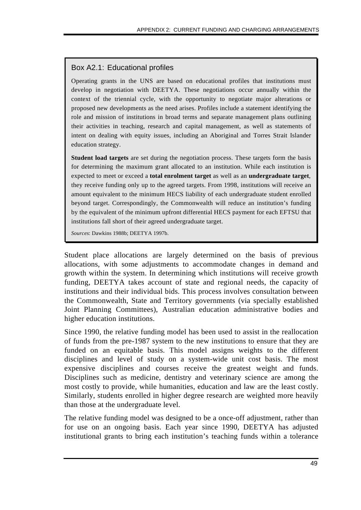# Box A2.1: Educational profiles

Operating grants in the UNS are based on educational profiles that institutions must develop in negotiation with DEETYA. These negotiations occur annually within the context of the triennial cycle, with the opportunity to negotiate major alterations or proposed new developments as the need arises. Profiles include a statement identifying the role and mission of institutions in broad terms and separate management plans outlining their activities in teaching, research and capital management, as well as statements of intent on dealing with equity issues, including an Aboriginal and Torres Strait Islander education strategy.

**Student load targets** are set during the negotiation process. These targets form the basis for determining the maximum grant allocated to an institution. While each institution is expected to meet or exceed a **total enrolment target** as well as an **undergraduate target**, they receive funding only up to the agreed targets. From 1998, institutions will receive an amount equivalent to the minimum HECS liability of each undergraduate student enrolled beyond target. Correspondingly, the Commonwealth will reduce an institution's funding by the equivalent of the minimum upfront differential HECS payment for each EFTSU that institutions fall short of their agreed undergraduate target.

*Sources*: Dawkins 1988b; DEETYA 1997b.

Student place allocations are largely determined on the basis of previous allocations, with some adjustments to accommodate changes in demand and growth within the system. In determining which institutions will receive growth funding, DEETYA takes account of state and regional needs, the capacity of institutions and their individual bids. This process involves consultation between the Commonwealth, State and Territory governments (via specially established Joint Planning Committees), Australian education administrative bodies and higher education institutions.

Since 1990, the relative funding model has been used to assist in the reallocation of funds from the pre-1987 system to the new institutions to ensure that they are funded on an equitable basis. This model assigns weights to the different disciplines and level of study on a system-wide unit cost basis. The most expensive disciplines and courses receive the greatest weight and funds. Disciplines such as medicine, dentistry and veterinary science are among the most costly to provide, while humanities, education and law are the least costly. Similarly, students enrolled in higher degree research are weighted more heavily than those at the undergraduate level.

The relative funding model was designed to be a once-off adjustment, rather than for use on an ongoing basis. Each year since 1990, DEETYA has adjusted institutional grants to bring each institution's teaching funds within a tolerance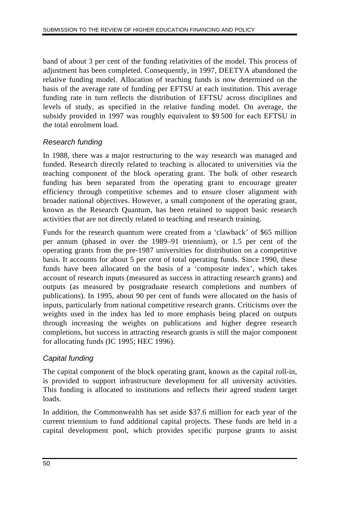band of about 3 per cent of the funding relativities of the model. This process of adjustment has been completed. Consequently, in 1997, DEETYA abandoned the relative funding model. Allocation of teaching funds is now determined on the basis of the average rate of funding per EFTSU at each institution. This average funding rate in turn reflects the distribution of EFTSU across disciplines and levels of study, as specified in the relative funding model. On average, the subsidy provided in 1997 was roughly equivalent to \$9 500 for each EFTSU in the total enrolment load.

### *Research funding*

In 1988, there was a major restructuring to the way research was managed and funded. Research directly related to teaching is allocated to universities via the teaching component of the block operating grant. The bulk of other research funding has been separated from the operating grant to encourage greater efficiency through competitive schemes and to ensure closer alignment with broader national objectives. However, a small component of the operating grant, known as the Research Quantum, has been retained to support basic research activities that are not directly related to teaching and research training.

Funds for the research quantum were created from a 'clawback' of \$65 million per annum (phased in over the 1989–91 triennium), or 1.5 per cent of the operating grants from the pre-1987 universities for distribution on a competitive basis. It accounts for about 5 per cent of total operating funds. Since 1990, these funds have been allocated on the basis of a 'composite index', which takes account of research inputs (measured as success in attracting research grants) and outputs (as measured by postgraduate research completions and numbers of publications). In 1995, about 90 per cent of funds were allocated on the basis of inputs, particularly from national competitive research grants. Criticisms over the weights used in the index has led to more emphasis being placed on outputs through increasing the weights on publications and higher degree research completions, but success in attracting research grants is still the major component for allocating funds (IC 1995; HEC 1996).

### *Capital funding*

The capital component of the block operating grant, known as the capital roll-in, is provided to support infrastructure development for all university activities. This funding is allocated to institutions and reflects their agreed student target loads.

In addition, the Commonwealth has set aside \$37.6 million for each year of the current triennium to fund additional capital projects. These funds are held in a capital development pool, which provides specific purpose grants to assist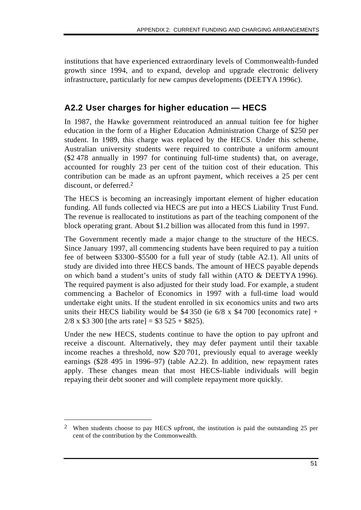institutions that have experienced extraordinary levels of Commonwealth-funded growth since 1994, and to expand, develop and upgrade electronic delivery infrastructure, particularly for new campus developments (DEETYA 1996c).

# **A2.2 User charges for higher education — HECS**

In 1987, the Hawke government reintroduced an annual tuition fee for higher education in the form of a Higher Education Administration Charge of \$250 per student. In 1989, this charge was replaced by the HECS. Under this scheme, Australian university students were required to contribute a uniform amount (\$2 478 annually in 1997 for continuing full-time students) that, on average, accounted for roughly 23 per cent of the tuition cost of their education. This contribution can be made as an upfront payment, which receives a 25 per cent discount, or deferred.2

The HECS is becoming an increasingly important element of higher education funding. All funds collected via HECS are put into a HECS Liability Trust Fund. The revenue is reallocated to institutions as part of the teaching component of the block operating grant. About \$1.2 billion was allocated from this fund in 1997.

The Government recently made a major change to the structure of the HECS. Since January 1997, all commencing students have been required to pay a tuition fee of between \$3300–\$5500 for a full year of study (table A2.1). All units of study are divided into three HECS bands. The amount of HECS payable depends on which band a student's units of study fall within (ATO & DEETYA 1996). The required payment is also adjusted for their study load. For example, a student commencing a Bachelor of Economics in 1997 with a full-time load would undertake eight units. If the student enrolled in six economics units and two arts units their HECS liability would be \$4 350 (ie  $6/8 \times$  \$4 700 [economics rate] +  $2/8$  x \$3 300 [the arts rate] = \$3 525 + \$825).

Under the new HECS, students continue to have the option to pay upfront and receive a discount. Alternatively, they may defer payment until their taxable income reaches a threshold, now \$20 701, previously equal to average weekly earnings (\$28 495 in 1996–97) (table A2.2). In addition, new repayment rates apply. These changes mean that most HECS-liable individuals will begin repaying their debt sooner and will complete repayment more quickly.

 $\overline{a}$ 

<sup>2</sup> When students choose to pay HECS upfront, the institution is paid the outstanding 25 per cent of the contribution by the Commonwealth.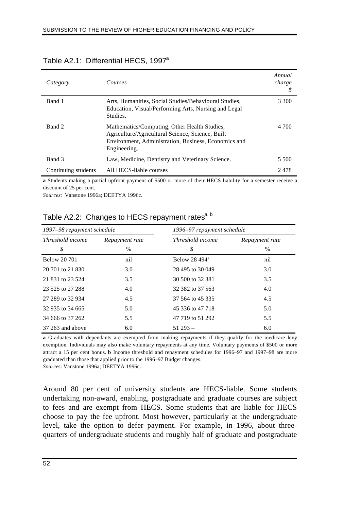| Category            | Courses                                                                                                                                                                  | Annual<br>charge |
|---------------------|--------------------------------------------------------------------------------------------------------------------------------------------------------------------------|------------------|
| Band 1              | Arts, Humanities, Social Studies/Behavioural Studies,<br>Education, Visual/Performing Arts, Nursing and Legal<br>Studies.                                                | 3 300            |
| Band 2              | Mathematics/Computing, Other Health Studies,<br>Agriculture/Agricultural Science, Science, Built<br>Environment, Administration, Business, Economics and<br>Engineering. | 4 700            |
| Band 3              | Law, Medicine, Dentistry and Veterinary Science.                                                                                                                         | 5 500            |
| Continuing students | All HECS-liable courses                                                                                                                                                  | 2478             |

#### Table A2.1: Differential HECS, 1997<sup>a</sup>

**a** Students making a partial upfront payment of \$500 or more of their HECS liability for a semester receive a discount of 25 per cent.

*Sources*: Vanstone 1996a; DEETYA 1996c.

| 1997-98 repayment schedule |                |                  | 1996–97 repayment schedule |  |  |  |
|----------------------------|----------------|------------------|----------------------------|--|--|--|
| Threshold income           | Repayment rate | Threshold income | Repayment rate             |  |  |  |
| \$                         | $\frac{0}{0}$  | \$               | $\%$                       |  |  |  |
| <b>Below 20701</b>         | nil            | Below $28,494^a$ | nil                        |  |  |  |
| 20 701 to 21 830           | 3.0            | 28 495 to 30 049 | 3.0                        |  |  |  |
| 21 831 to 23 524           | 3.5            | 30 500 to 32 381 | 3.5                        |  |  |  |
| 23 525 to 27 288           | 4.0            | 32 382 to 37 563 | 4.0                        |  |  |  |
| 27 289 to 32 934           | 4.5            | 37 564 to 45 335 | 4.5                        |  |  |  |
| 32 935 to 34 665           | 5.0            | 45 336 to 47 718 | 5.0                        |  |  |  |
| 34 666 to 37 262           | 5.5            | 47 719 to 51 292 | 5.5                        |  |  |  |
| $37263$ and above          | 6.0            | $51293-$         | 6.0                        |  |  |  |

Table A2.2: Changes to HECS repayment rates<sup>a, b</sup>

**a** Graduates with dependants are exempted from making repayments if they qualify for the medicare levy exemption. Individuals may also make voluntary repayments at any time. Voluntary payments of \$500 or more attract a 15 per cent bonus. **b** Income threshold and repayment schedules for 1996–97 and 1997–98 are more graduated than those that applied prior to the 1996–97 Budget changes. *Source*s: Vanstone 1996a; DEETYA 1996c.

Around 80 per cent of university students are HECS-liable. Some students undertaking non-award, enabling, postgraduate and graduate courses are subject to fees and are exempt from HECS. Some students that are liable for HECS choose to pay the fee upfront. Most however, particularly at the undergraduate level, take the option to defer payment. For example, in 1996, about threequarters of undergraduate students and roughly half of graduate and postgraduate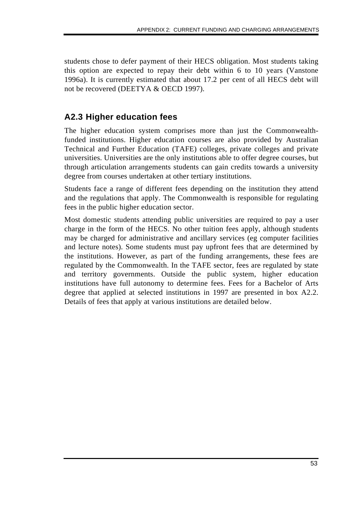students chose to defer payment of their HECS obligation. Most students taking this option are expected to repay their debt within 6 to 10 years (Vanstone 1996a). It is currently estimated that about 17.2 per cent of all HECS debt will not be recovered (DEETYA & OECD 1997).

# **A2.3 Higher education fees**

The higher education system comprises more than just the Commonwealthfunded institutions. Higher education courses are also provided by Australian Technical and Further Education (TAFE) colleges, private colleges and private universities. Universities are the only institutions able to offer degree courses, but through articulation arrangements students can gain credits towards a university degree from courses undertaken at other tertiary institutions.

Students face a range of different fees depending on the institution they attend and the regulations that apply. The Commonwealth is responsible for regulating fees in the public higher education sector.

Most domestic students attending public universities are required to pay a user charge in the form of the HECS. No other tuition fees apply, although students may be charged for administrative and ancillary services (eg computer facilities and lecture notes). Some students must pay upfront fees that are determined by the institutions. However, as part of the funding arrangements, these fees are regulated by the Commonwealth. In the TAFE sector, fees are regulated by state and territory governments. Outside the public system, higher education institutions have full autonomy to determine fees. Fees for a Bachelor of Arts degree that applied at selected institutions in 1997 are presented in box A2.2. Details of fees that apply at various institutions are detailed below.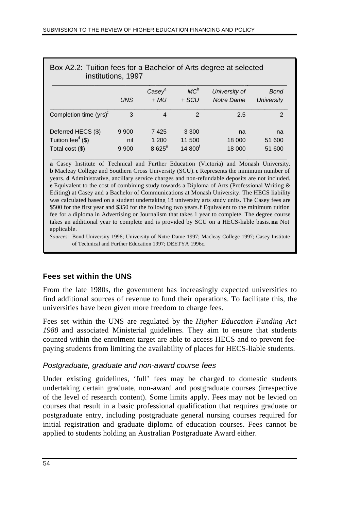| Box A2.2: Tuition fees for a Bachelor of Arts degree at selected<br>institutions, 1997 |                           |                           |                                |                             |                           |
|----------------------------------------------------------------------------------------|---------------------------|---------------------------|--------------------------------|-----------------------------|---------------------------|
|                                                                                        | <b>UNS</b>                | $Casey^a$<br>$+$ MU       | $MC^b$<br>$+$ SCU              | University of<br>Notre Dame | <b>Bond</b><br>University |
| Completion time $(yrs)^c$                                                              | 3                         | 4                         | 2                              | 2.5                         | 2                         |
| Deferred HECS (\$)<br>Tuition fee $\sigma$ (\$)<br>Total cost $(\$)$                   | 9 9 0 0<br>nil<br>9 9 0 0 | 7425<br>1 200<br>$8625^e$ | 3 3 0 0<br>11 500<br>$14800^t$ | na<br>18 000<br>18 000      | na<br>51 600<br>51 600    |

**a** Casey Institute of Technical and Further Education (Victoria) and Monash University. **b** Macleay College and Southern Cross University (SCU). **c** Represents the minimum number of years. **d** Administrative, ancillary service charges and non-refundable deposits are not included. **e** Equivalent to the cost of combining study towards a Diploma of Arts (Professional Writing & Editing) at Casey and a Bachelor of Communications at Monash University. The HECS liability was calculated based on a student undertaking 18 university arts study units. The Casey fees are \$500 for the first year and \$350 for the following two years. **f** Equivalent to the minimum tuition fee for a diploma in Advertising or Journalism that takes 1 year to complete. The degree course takes an additional year to complete and is provided by SCU on a HECS-liable basis. **na** Not applicable.

*Sources*: Bond University 1996; University of Notre Dame 1997; Macleay College 1997; Casey Institute of Technical and Further Education 1997; DEETYA 1996c.

### **Fees set within the UNS**

From the late 1980s, the government has increasingly expected universities to find additional sources of revenue to fund their operations. To facilitate this, the universities have been given more freedom to charge fees.

Fees set within the UNS are regulated by the *Higher Education Funding Act 1988* and associated Ministerial guidelines. They aim to ensure that students counted within the enrolment target are able to access HECS and to prevent feepaying students from limiting the availability of places for HECS-liable students.

#### *Postgraduate, graduate and non-award course fees*

Under existing guidelines, 'full' fees may be charged to domestic students undertaking certain graduate, non-award and postgraduate courses (irrespective of the level of research content). Some limits apply. Fees may not be levied on courses that result in a basic professional qualification that requires graduate or postgraduate entry, including postgraduate general nursing courses required for initial registration and graduate diploma of education courses. Fees cannot be applied to students holding an Australian Postgraduate Award either.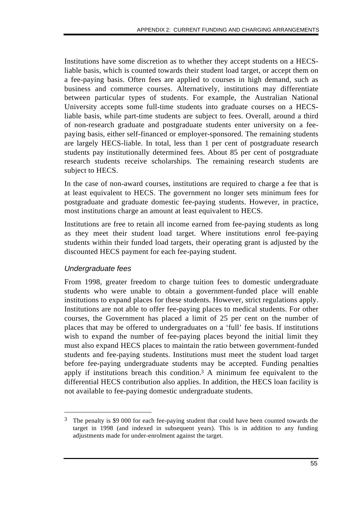Institutions have some discretion as to whether they accept students on a HECSliable basis, which is counted towards their student load target, or accept them on a fee-paying basis. Often fees are applied to courses in high demand, such as business and commerce courses. Alternatively, institutions may differentiate between particular types of students. For example, the Australian National University accepts some full-time students into graduate courses on a HECSliable basis, while part-time students are subject to fees. Overall, around a third of non-research graduate and postgraduate students enter university on a feepaying basis, either self-financed or employer-sponsored. The remaining students are largely HECS-liable. In total, less than 1 per cent of postgraduate research students pay institutionally determined fees. About 85 per cent of postgraduate research students receive scholarships. The remaining research students are subject to HECS.

In the case of non-award courses, institutions are required to charge a fee that is at least equivalent to HECS. The government no longer sets minimum fees for postgraduate and graduate domestic fee-paying students. However, in practice, most institutions charge an amount at least equivalent to HECS.

Institutions are free to retain all income earned from fee-paying students as long as they meet their student load target. Where institutions enrol fee-paying students within their funded load targets, their operating grant is adjusted by the discounted HECS payment for each fee-paying student.

### *Undergraduate fees*

 $\overline{a}$ 

From 1998, greater freedom to charge tuition fees to domestic undergraduate students who were unable to obtain a government-funded place will enable institutions to expand places for these students. However, strict regulations apply. Institutions are not able to offer fee-paying places to medical students. For other courses, the Government has placed a limit of 25 per cent on the number of places that may be offered to undergraduates on a 'full' fee basis. If institutions wish to expand the number of fee-paying places beyond the initial limit they must also expand HECS places to maintain the ratio between government-funded students and fee-paying students. Institutions must meet the student load target before fee-paying undergraduate students may be accepted. Funding penalties apply if institutions breach this condition.<sup>3</sup> A minimum fee equivalent to the differential HECS contribution also applies. In addition, the HECS loan facility is not available to fee-paying domestic undergraduate students.

<sup>&</sup>lt;sup>3</sup> The penalty is \$9 000 for each fee-paying student that could have been counted towards the target in 1998 (and indexed in subsequent years). This is in addition to any funding adjustments made for under-enrolment against the target.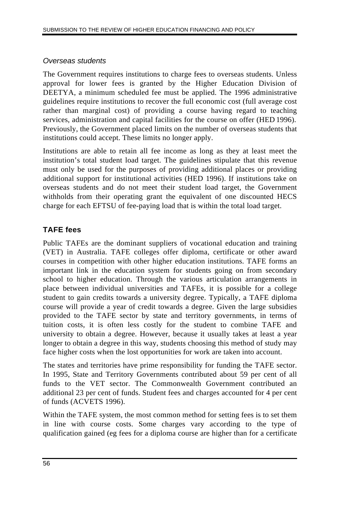### *Overseas students*

The Government requires institutions to charge fees to overseas students. Unless approval for lower fees is granted by the Higher Education Division of DEETYA, a minimum scheduled fee must be applied. The 1996 administrative guidelines require institutions to recover the full economic cost (full average cost rather than marginal cost) of providing a course having regard to teaching services, administration and capital facilities for the course on offer (HED 1996). Previously, the Government placed limits on the number of overseas students that institutions could accept. These limits no longer apply.

Institutions are able to retain all fee income as long as they at least meet the institution's total student load target. The guidelines stipulate that this revenue must only be used for the purposes of providing additional places or providing additional support for institutional activities (HED 1996). If institutions take on overseas students and do not meet their student load target, the Government withholds from their operating grant the equivalent of one discounted HECS charge for each EFTSU of fee-paying load that is within the total load target.

# **TAFE fees**

Public TAFEs are the dominant suppliers of vocational education and training (VET) in Australia. TAFE colleges offer diploma, certificate or other award courses in competition with other higher education institutions. TAFE forms an important link in the education system for students going on from secondary school to higher education. Through the various articulation arrangements in place between individual universities and TAFEs, it is possible for a college student to gain credits towards a university degree. Typically, a TAFE diploma course will provide a year of credit towards a degree. Given the large subsidies provided to the TAFE sector by state and territory governments, in terms of tuition costs, it is often less costly for the student to combine TAFE and university to obtain a degree. However, because it usually takes at least a year longer to obtain a degree in this way, students choosing this method of study may face higher costs when the lost opportunities for work are taken into account.

The states and territories have prime responsibility for funding the TAFE sector. In 1995, State and Territory Governments contributed about 59 per cent of all funds to the VET sector. The Commonwealth Government contributed an additional 23 per cent of funds. Student fees and charges accounted for 4 per cent of funds (ACVETS 1996).

Within the TAFE system, the most common method for setting fees is to set them in line with course costs. Some charges vary according to the type of qualification gained (eg fees for a diploma course are higher than for a certificate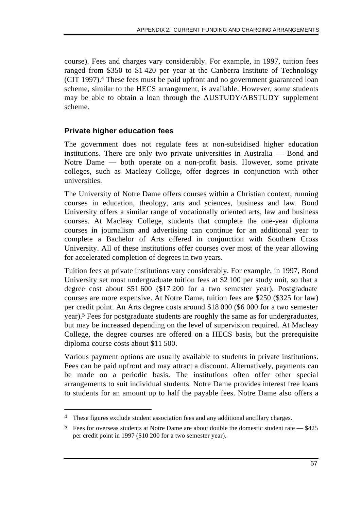course). Fees and charges vary considerably. For example, in 1997, tuition fees ranged from \$350 to \$1 420 per year at the Canberra Institute of Technology (CIT 1997).4 These fees must be paid upfront and no government guaranteed loan scheme, similar to the HECS arrangement, is available. However, some students may be able to obtain a loan through the AUSTUDY/ABSTUDY supplement scheme.

### **Private higher education fees**

 $\overline{a}$ 

The government does not regulate fees at non-subsidised higher education institutions. There are only two private universities in Australia — Bond and Notre Dame — both operate on a non-profit basis. However, some private colleges, such as Macleay College, offer degrees in conjunction with other universities.

The University of Notre Dame offers courses within a Christian context, running courses in education, theology, arts and sciences, business and law. Bond University offers a similar range of vocationally oriented arts, law and business courses. At Macleay College, students that complete the one-year diploma courses in journalism and advertising can continue for an additional year to complete a Bachelor of Arts offered in conjunction with Southern Cross University. All of these institutions offer courses over most of the year allowing for accelerated completion of degrees in two years.

Tuition fees at private institutions vary considerably. For example, in 1997, Bond University set most undergraduate tuition fees at \$2 100 per study unit, so that a degree cost about \$51 600 (\$17 200 for a two semester year). Postgraduate courses are more expensive. At Notre Dame, tuition fees are \$250 (\$325 for law) per credit point. An Arts degree costs around \$18 000 (\$6 000 for a two semester year).5 Fees for postgraduate students are roughly the same as for undergraduates, but may be increased depending on the level of supervision required. At Macleay College, the degree courses are offered on a HECS basis, but the prerequisite diploma course costs about \$11 500.

Various payment options are usually available to students in private institutions. Fees can be paid upfront and may attract a discount. Alternatively, payments can be made on a periodic basis. The institutions often offer other special arrangements to suit individual students. Notre Dame provides interest free loans to students for an amount up to half the payable fees. Notre Dame also offers a

<sup>4</sup> These figures exclude student association fees and any additional ancillary charges.

<sup>5</sup> Fees for overseas students at Notre Dame are about double the domestic student rate — \$425 per credit point in 1997 (\$10 200 for a two semester year).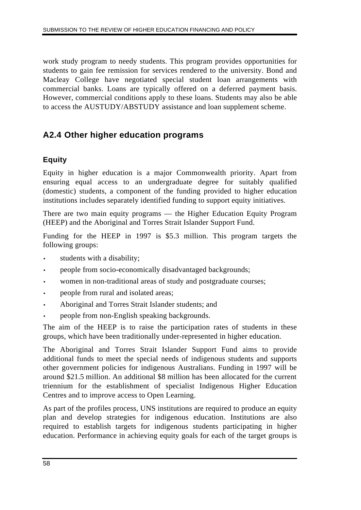work study program to needy students. This program provides opportunities for students to gain fee remission for services rendered to the university. Bond and Macleay College have negotiated special student loan arrangements with commercial banks. Loans are typically offered on a deferred payment basis. However, commercial conditions apply to these loans. Students may also be able to access the AUSTUDY/ABSTUDY assistance and loan supplement scheme.

# **A2.4 Other higher education programs**

### **Equity**

Equity in higher education is a major Commonwealth priority. Apart from ensuring equal access to an undergraduate degree for suitably qualified (domestic) students, a component of the funding provided to higher education institutions includes separately identified funding to support equity initiatives.

There are two main equity programs — the Higher Education Equity Program (HEEP) and the Aboriginal and Torres Strait Islander Support Fund.

Funding for the HEEP in 1997 is \$5.3 million. This program targets the following groups:

- students with a disability;
- people from socio-economically disadvantaged backgrounds;
- women in non-traditional areas of study and postgraduate courses;
- people from rural and isolated areas;
- Aboriginal and Torres Strait Islander students; and
- people from non-English speaking backgrounds.

The aim of the HEEP is to raise the participation rates of students in these groups, which have been traditionally under-represented in higher education.

The Aboriginal and Torres Strait Islander Support Fund aims to provide additional funds to meet the special needs of indigenous students and supports other government policies for indigenous Australians. Funding in 1997 will be around \$21.5 million. An additional \$8 million has been allocated for the current triennium for the establishment of specialist Indigenous Higher Education Centres and to improve access to Open Learning.

As part of the profiles process, UNS institutions are required to produce an equity plan and develop strategies for indigenous education. Institutions are also required to establish targets for indigenous students participating in higher education. Performance in achieving equity goals for each of the target groups is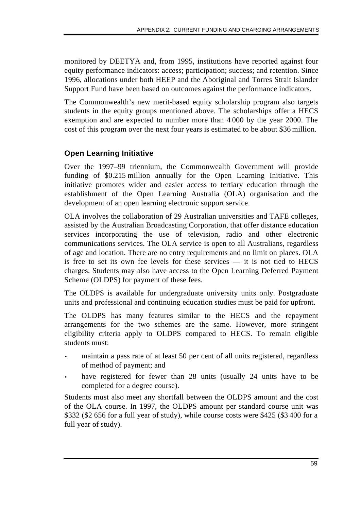monitored by DEETYA and, from 1995, institutions have reported against four equity performance indicators: access; participation; success; and retention. Since 1996, allocations under both HEEP and the Aboriginal and Torres Strait Islander Support Fund have been based on outcomes against the performance indicators.

The Commonwealth's new merit-based equity scholarship program also targets students in the equity groups mentioned above. The scholarships offer a HECS exemption and are expected to number more than 4 000 by the year 2000. The cost of this program over the next four years is estimated to be about \$36 million.

## **Open Learning Initiative**

Over the 1997–99 triennium, the Commonwealth Government will provide funding of \$0.215 million annually for the Open Learning Initiative. This initiative promotes wider and easier access to tertiary education through the establishment of the Open Learning Australia (OLA) organisation and the development of an open learning electronic support service.

OLA involves the collaboration of 29 Australian universities and TAFE colleges, assisted by the Australian Broadcasting Corporation, that offer distance education services incorporating the use of television, radio and other electronic communications services. The OLA service is open to all Australians, regardless of age and location. There are no entry requirements and no limit on places. OLA is free to set its own fee levels for these services — it is not tied to HECS charges. Students may also have access to the Open Learning Deferred Payment Scheme (OLDPS) for payment of these fees.

The OLDPS is available for undergraduate university units only. Postgraduate units and professional and continuing education studies must be paid for upfront.

The OLDPS has many features similar to the HECS and the repayment arrangements for the two schemes are the same. However, more stringent eligibility criteria apply to OLDPS compared to HECS. To remain eligible students must:

- maintain a pass rate of at least 50 per cent of all units registered, regardless of method of payment; and
- have registered for fewer than 28 units (usually 24 units have to be completed for a degree course).

Students must also meet any shortfall between the OLDPS amount and the cost of the OLA course. In 1997, the OLDPS amount per standard course unit was \$332 (\$2 656 for a full year of study), while course costs were \$425 (\$3 400 for a full year of study).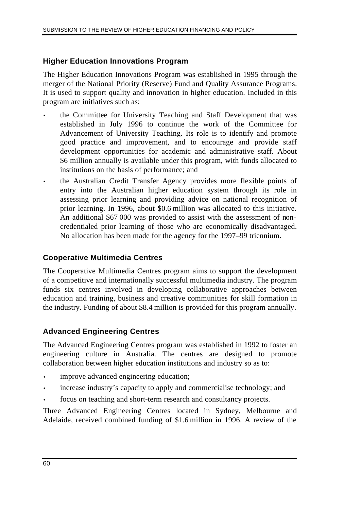## **Higher Education Innovations Program**

The Higher Education Innovations Program was established in 1995 through the merger of the National Priority (Reserve) Fund and Quality Assurance Programs. It is used to support quality and innovation in higher education. Included in this program are initiatives such as:

- the Committee for University Teaching and Staff Development that was established in July 1996 to continue the work of the Committee for Advancement of University Teaching. Its role is to identify and promote good practice and improvement, and to encourage and provide staff development opportunities for academic and administrative staff. About \$6 million annually is available under this program, with funds allocated to institutions on the basis of performance; and
- the Australian Credit Transfer Agency provides more flexible points of entry into the Australian higher education system through its role in assessing prior learning and providing advice on national recognition of prior learning. In 1996, about \$0.6 million was allocated to this initiative. An additional \$67 000 was provided to assist with the assessment of noncredentialed prior learning of those who are economically disadvantaged. No allocation has been made for the agency for the 1997–99 triennium.

### **Cooperative Multimedia Centres**

The Cooperative Multimedia Centres program aims to support the development of a competitive and internationally successful multimedia industry. The program funds six centres involved in developing collaborative approaches between education and training, business and creative communities for skill formation in the industry. Funding of about \$8.4 million is provided for this program annually.

### **Advanced Engineering Centres**

The Advanced Engineering Centres program was established in 1992 to foster an engineering culture in Australia. The centres are designed to promote collaboration between higher education institutions and industry so as to:

- improve advanced engineering education;
- increase industry's capacity to apply and commercialise technology; and
- focus on teaching and short-term research and consultancy projects.

Three Advanced Engineering Centres located in Sydney, Melbourne and Adelaide, received combined funding of \$1.6 million in 1996. A review of the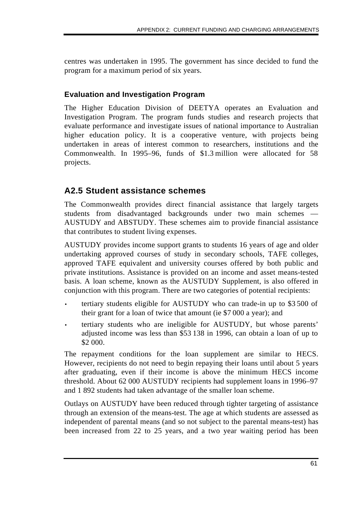centres was undertaken in 1995. The government has since decided to fund the program for a maximum period of six years.

### **Evaluation and Investigation Program**

The Higher Education Division of DEETYA operates an Evaluation and Investigation Program. The program funds studies and research projects that evaluate performance and investigate issues of national importance to Australian higher education policy. It is a cooperative venture, with projects being undertaken in areas of interest common to researchers, institutions and the Commonwealth. In 1995–96, funds of \$1.3 million were allocated for 58 projects.

# **A2.5 Student assistance schemes**

The Commonwealth provides direct financial assistance that largely targets students from disadvantaged backgrounds under two main schemes — AUSTUDY and ABSTUDY. These schemes aim to provide financial assistance that contributes to student living expenses.

AUSTUDY provides income support grants to students 16 years of age and older undertaking approved courses of study in secondary schools, TAFE colleges, approved TAFE equivalent and university courses offered by both public and private institutions. Assistance is provided on an income and asset means-tested basis. A loan scheme, known as the AUSTUDY Supplement, is also offered in conjunction with this program. There are two categories of potential recipients:

- tertiary students eligible for AUSTUDY who can trade-in up to \$3 500 of their grant for a loan of twice that amount (ie \$7 000 a year); and
- tertiary students who are ineligible for AUSTUDY, but whose parents' adjusted income was less than \$53 138 in 1996, can obtain a loan of up to \$2 000.

The repayment conditions for the loan supplement are similar to HECS. However, recipients do not need to begin repaying their loans until about 5 years after graduating, even if their income is above the minimum HECS income threshold. About 62 000 AUSTUDY recipients had supplement loans in 1996–97 and 1 892 students had taken advantage of the smaller loan scheme.

Outlays on AUSTUDY have been reduced through tighter targeting of assistance through an extension of the means-test. The age at which students are assessed as independent of parental means (and so not subject to the parental means-test) has been increased from 22 to 25 years, and a two year waiting period has been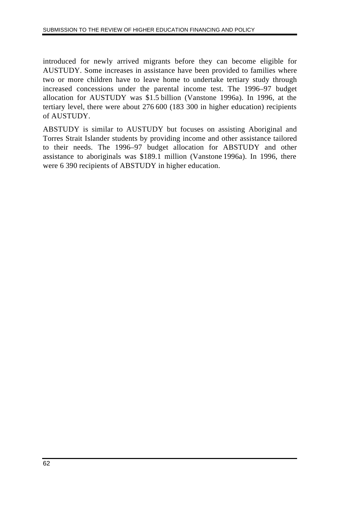introduced for newly arrived migrants before they can become eligible for AUSTUDY. Some increases in assistance have been provided to families where two or more children have to leave home to undertake tertiary study through increased concessions under the parental income test. The 1996–97 budget allocation for AUSTUDY was \$1.5 billion (Vanstone 1996a). In 1996, at the tertiary level, there were about 276 600 (183 300 in higher education) recipients of AUSTUDY.

ABSTUDY is similar to AUSTUDY but focuses on assisting Aboriginal and Torres Strait Islander students by providing income and other assistance tailored to their needs. The 1996–97 budget allocation for ABSTUDY and other assistance to aboriginals was \$189.1 million (Vanstone 1996a). In 1996, there were 6 390 recipients of ABSTUDY in higher education.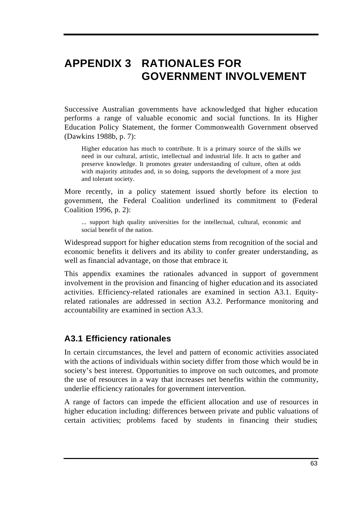# **APPENDIX 3 RATIONALES FOR GOVERNMENT INVOLVEMENT**

Successive Australian governments have acknowledged that higher education performs a range of valuable economic and social functions. In its Higher Education Policy Statement, the former Commonwealth Government observed (Dawkins 1988b, p. 7):

Higher education has much to contribute. It is a primary source of the skills we need in our cultural, artistic, intellectual and industrial life. It acts to gather and preserve knowledge. It promotes greater understanding of culture, often at odds with majority attitudes and, in so doing, supports the development of a more just and tolerant society.

More recently, in a policy statement issued shortly before its election to government, the Federal Coalition underlined its commitment to (Federal Coalition 1996, p. 2):

... support high quality universities for the intellectual, cultural, economic and social benefit of the nation.

Widespread support for higher education stems from recognition of the social and economic benefits it delivers and its ability to confer greater understanding, as well as financial advantage, on those that embrace it.

This appendix examines the rationales advanced in support of government involvement in the provision and financing of higher education and its associated activities. Efficiency-related rationales are examined in section A3.1. Equityrelated rationales are addressed in section A3.2. Performance monitoring and accountability are examined in section A3.3.

### **A3.1 Efficiency rationales**

In certain circumstances, the level and pattern of economic activities associated with the actions of individuals within society differ from those which would be in society's best interest. Opportunities to improve on such outcomes, and promote the use of resources in a way that increases net benefits within the community, underlie efficiency rationales for government intervention.

A range of factors can impede the efficient allocation and use of resources in higher education including: differences between private and public valuations of certain activities; problems faced by students in financing their studies;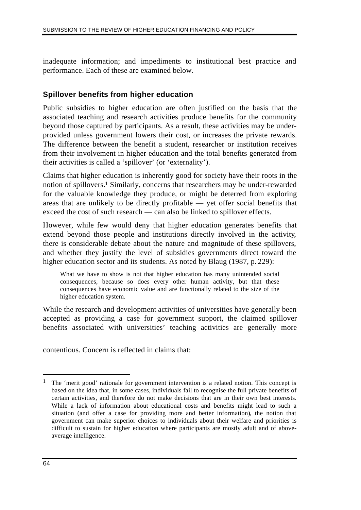inadequate information; and impediments to institutional best practice and performance. Each of these are examined below.

### **Spillover benefits from higher education**

Public subsidies to higher education are often justified on the basis that the associated teaching and research activities produce benefits for the community beyond those captured by participants. As a result, these activities may be underprovided unless government lowers their cost, or increases the private rewards. The difference between the benefit a student, researcher or institution receives from their involvement in higher education and the total benefits generated from their activities is called a 'spillover' (or 'externality').

Claims that higher education is inherently good for society have their roots in the notion of spillovers.1 Similarly, concerns that researchers may be under-rewarded for the valuable knowledge they produce, or might be deterred from exploring areas that are unlikely to be directly profitable — yet offer social benefits that exceed the cost of such research — can also be linked to spillover effects.

However, while few would deny that higher education generates benefits that extend beyond those people and institutions directly involved in the activity, there is considerable debate about the nature and magnitude of these spillovers, and whether they justify the level of subsidies governments direct toward the higher education sector and its students. As noted by Blaug (1987, p. 229):

What we have to show is not that higher education has many unintended social consequences, because so does every other human activity, but that these consequences have economic value and are functionally related to the size of the higher education system.

While the research and development activities of universities have generally been accepted as providing a case for government support, the claimed spillover benefits associated with universities' teaching activities are generally more

contentious. Concern is reflected in claims that:

 $\overline{a}$ 

<sup>&</sup>lt;sup>1</sup> The 'merit good' rationale for government intervention is a related notion. This concept is based on the idea that, in some cases, individuals fail to recognise the full private benefits of certain activities, and therefore do not make decisions that are in their own best interests. While a lack of information about educational costs and benefits might lead to such a situation (and offer a case for providing more and better information), the notion that government can make superior choices to individuals about their welfare and priorities is difficult to sustain for higher education where participants are mostly adult and of aboveaverage intelligence.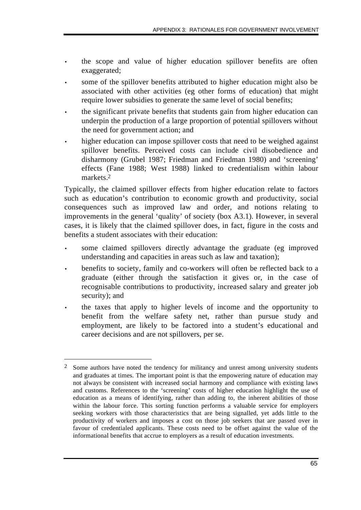- the scope and value of higher education spillover benefits are often exaggerated;
- some of the spillover benefits attributed to higher education might also be associated with other activities (eg other forms of education) that might require lower subsidies to generate the same level of social benefits;
- the significant private benefits that students gain from higher education can underpin the production of a large proportion of potential spillovers without the need for government action; and
- higher education can impose spillover costs that need to be weighed against spillover benefits. Perceived costs can include civil disobedience and disharmony (Grubel 1987; Friedman and Friedman 1980) and 'screening' effects (Fane 1988; West 1988) linked to credentialism within labour markets.2

Typically, the claimed spillover effects from higher education relate to factors such as education's contribution to economic growth and productivity, social consequences such as improved law and order, and notions relating to improvements in the general 'quality' of society (box A3.1). However, in several cases, it is likely that the claimed spillover does, in fact, figure in the costs and benefits a student associates with their education:

- some claimed spillovers directly advantage the graduate (eg improved understanding and capacities in areas such as law and taxation);
- benefits to society, family and co-workers will often be reflected back to a graduate (either through the satisfaction it gives or, in the case of recognisable contributions to productivity, increased salary and greater job security); and
- the taxes that apply to higher levels of income and the opportunity to benefit from the welfare safety net, rather than pursue study and employment, are likely to be factored into a student's educational and career decisions and are not spillovers, per se.

 $\overline{a}$ 

<sup>&</sup>lt;sup>2</sup> Some authors have noted the tendency for militancy and unrest among university students and graduates at times. The important point is that the empowering nature of education may not always be consistent with increased social harmony and compliance with existing laws and customs. References to the 'screening' costs of higher education highlight the use of education as a means of identifying, rather than adding to, the inherent abilities of those within the labour force. This sorting function performs a valuable service for employers seeking workers with those characteristics that are being signalled, yet adds little to the productivity of workers and imposes a cost on those job seekers that are passed over in favour of credentialed applicants. These costs need to be offset against the value of the informational benefits that accrue to employers as a result of education investments.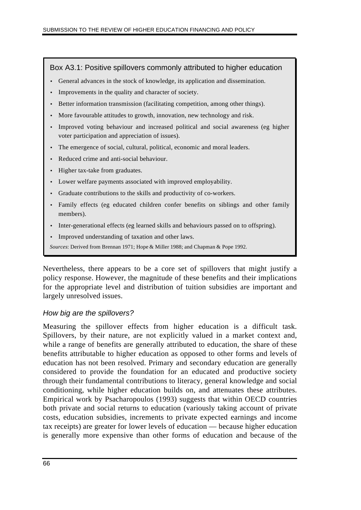#### Box A3.1: Positive spillovers commonly attributed to higher education

- General advances in the stock of knowledge, its application and dissemination.
- Improvements in the quality and character of society.
- Better information transmission (facilitating competition, among other things).
- More favourable attitudes to growth, innovation, new technology and risk.
- Improved voting behaviour and increased political and social awareness (eg higher voter participation and appreciation of issues).
- The emergence of social, cultural, political, economic and moral leaders.
- Reduced crime and anti-social behaviour.
- Higher tax-take from graduates.
- Lower welfare payments associated with improved employability.
- Graduate contributions to the skills and productivity of co-workers.
- Family effects (eg educated children confer benefits on siblings and other family members).
- Inter-generational effects (eg learned skills and behaviours passed on to offspring).
- Improved understanding of taxation and other laws.
- *Sources*: Derived from Brennan 1971; Hope & Miller 1988; and Chapman & Pope 1992.

Nevertheless, there appears to be a core set of spillovers that might justify a policy response. However, the magnitude of these benefits and their implications for the appropriate level and distribution of tuition subsidies are important and largely unresolved issues.

#### *How big are the spillovers?*

Measuring the spillover effects from higher education is a difficult task. Spillovers, by their nature, are not explicitly valued in a market context and, while a range of benefits are generally attributed to education, the share of these benefits attributable to higher education as opposed to other forms and levels of education has not been resolved. Primary and secondary education are generally considered to provide the foundation for an educated and productive society through their fundamental contributions to literacy, general knowledge and social conditioning, while higher education builds on, and attenuates these attributes. Empirical work by Psacharopoulos (1993) suggests that within OECD countries both private and social returns to education (variously taking account of private costs, education subsidies, increments to private expected earnings and income tax receipts) are greater for lower levels of education — because higher education is generally more expensive than other forms of education and because of the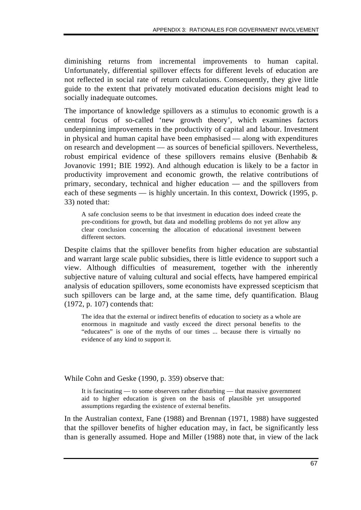diminishing returns from incremental improvements to human capital. Unfortunately, differential spillover effects for different levels of education are not reflected in social rate of return calculations. Consequently, they give little guide to the extent that privately motivated education decisions might lead to socially inadequate outcomes.

The importance of knowledge spillovers as a stimulus to economic growth is a central focus of so-called 'new growth theory', which examines factors underpinning improvements in the productivity of capital and labour. Investment in physical and human capital have been emphasised — along with expenditures on research and development — as sources of beneficial spillovers. Nevertheless, robust empirical evidence of these spillovers remains elusive (Benhabib & Jovanovic 1991; BIE 1992). And although education is likely to be a factor in productivity improvement and economic growth, the relative contributions of primary, secondary, technical and higher education — and the spillovers from each of these segments — is highly uncertain. In this context, Dowrick (1995, p. 33) noted that:

A safe conclusion seems to be that investment in education does indeed create the pre-conditions for growth, but data and modelling problems do not yet allow any clear conclusion concerning the allocation of educational investment between different sectors.

Despite claims that the spillover benefits from higher education are substantial and warrant large scale public subsidies, there is little evidence to support such a view. Although difficulties of measurement, together with the inherently subjective nature of valuing cultural and social effects, have hampered empirical analysis of education spillovers, some economists have expressed scepticism that such spillovers can be large and, at the same time, defy quantification. Blaug (1972, p. 107) contends that:

The idea that the external or indirect benefits of education to society as a whole are enormous in magnitude and vastly exceed the direct personal benefits to the "educatees" is one of the myths of our times ... because there is virtually no evidence of any kind to support it.

While Cohn and Geske (1990, p. 359) observe that:

It is fascinating — to some observers rather disturbing — that massive government aid to higher education is given on the basis of plausible yet unsupported assumptions regarding the existence of external benefits.

In the Australian context, Fane (1988) and Brennan (1971, 1988) have suggested that the spillover benefits of higher education may, in fact, be significantly less than is generally assumed. Hope and Miller (1988) note that, in view of the lack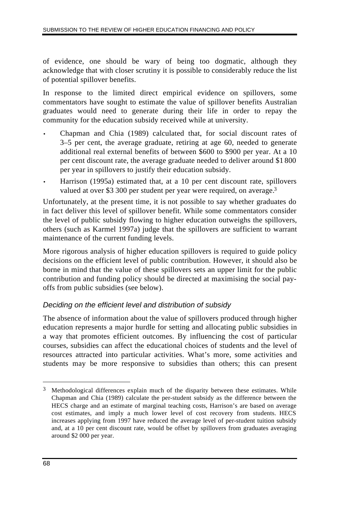of evidence, one should be wary of being too dogmatic, although they acknowledge that with closer scrutiny it is possible to considerably reduce the list of potential spillover benefits.

In response to the limited direct empirical evidence on spillovers, some commentators have sought to estimate the value of spillover benefits Australian graduates would need to generate during their life in order to repay the community for the education subsidy received while at university.

- Chapman and Chia (1989) calculated that, for social discount rates of 3–5 per cent, the average graduate, retiring at age 60, needed to generate additional real external benefits of between \$600 to \$900 per year. At a 10 per cent discount rate, the average graduate needed to deliver around \$1 800 per year in spillovers to justify their education subsidy.
- Harrison (1995a) estimated that, at a 10 per cent discount rate, spillovers valued at over \$3 300 per student per year were required, on average.<sup>3</sup>

Unfortunately, at the present time, it is not possible to say whether graduates do in fact deliver this level of spillover benefit. While some commentators consider the level of public subsidy flowing to higher education outweighs the spillovers, others (such as Karmel 1997a) judge that the spillovers are sufficient to warrant maintenance of the current funding levels.

More rigorous analysis of higher education spillovers is required to guide policy decisions on the efficient level of public contribution. However, it should also be borne in mind that the value of these spillovers sets an upper limit for the public contribution and funding policy should be directed at maximising the social payoffs from public subsidies (see below).

### *Deciding on the efficient level and distribution of subsidy*

The absence of information about the value of spillovers produced through higher education represents a major hurdle for setting and allocating public subsidies in a way that promotes efficient outcomes. By influencing the cost of particular courses, subsidies can affect the educational choices of students and the level of resources attracted into particular activities. What's more, some activities and students may be more responsive to subsidies than others; this can present

 $\overline{a}$ 

<sup>3</sup> Methodological differences explain much of the disparity between these estimates. While Chapman and Chia (1989) calculate the per-student subsidy as the difference between the HECS charge and an estimate of marginal teaching costs, Harrison's are based on average cost estimates, and imply a much lower level of cost recovery from students. HECS increases applying from 1997 have reduced the average level of per-student tuition subsidy and, at a 10 per cent discount rate, would be offset by spillovers from graduates averaging around \$2 000 per year.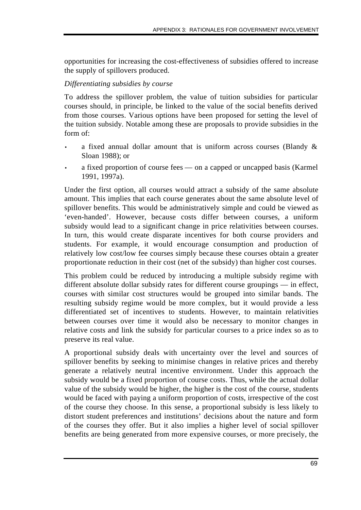opportunities for increasing the cost-effectiveness of subsidies offered to increase the supply of spillovers produced.

# *Differentiating subsidies by course*

To address the spillover problem, the value of tuition subsidies for particular courses should, in principle, be linked to the value of the social benefits derived from those courses. Various options have been proposed for setting the level of the tuition subsidy. Notable among these are proposals to provide subsidies in the form of:

- a fixed annual dollar amount that is uniform across courses (Blandy & Sloan 1988); or
- a fixed proportion of course fees on a capped or uncapped basis (Karmel 1991, 1997a).

Under the first option, all courses would attract a subsidy of the same absolute amount. This implies that each course generates about the same absolute level of spillover benefits. This would be administratively simple and could be viewed as 'even-handed'. However, because costs differ between courses, a uniform subsidy would lead to a significant change in price relativities between courses. In turn, this would create disparate incentives for both course providers and students. For example, it would encourage consumption and production of relatively low cost/low fee courses simply because these courses obtain a greater proportionate reduction in their cost (net of the subsidy) than higher cost courses.

This problem could be reduced by introducing a multiple subsidy regime with different absolute dollar subsidy rates for different course groupings — in effect, courses with similar cost structures would be grouped into similar bands. The resulting subsidy regime would be more complex, but it would provide a less differentiated set of incentives to students. However, to maintain relativities between courses over time it would also be necessary to monitor changes in relative costs and link the subsidy for particular courses to a price index so as to preserve its real value.

A proportional subsidy deals with uncertainty over the level and sources of spillover benefits by seeking to minimise changes in relative prices and thereby generate a relatively neutral incentive environment. Under this approach the subsidy would be a fixed proportion of course costs. Thus, while the actual dollar value of the subsidy would be higher, the higher is the cost of the course, students would be faced with paying a uniform proportion of costs, irrespective of the cost of the course they choose. In this sense, a proportional subsidy is less likely to distort student preferences and institutions' decisions about the nature and form of the courses they offer. But it also implies a higher level of social spillover benefits are being generated from more expensive courses, or more precisely, the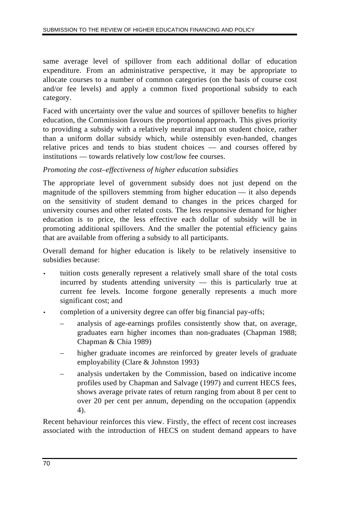same average level of spillover from each additional dollar of education expenditure. From an administrative perspective, it may be appropriate to allocate courses to a number of common categories (on the basis of course cost and/or fee levels) and apply a common fixed proportional subsidy to each category.

Faced with uncertainty over the value and sources of spillover benefits to higher education, the Commission favours the proportional approach. This gives priority to providing a subsidy with a relatively neutral impact on student choice, rather than a uniform dollar subsidy which, while ostensibly even-handed, changes relative prices and tends to bias student choices — and courses offered by institutions — towards relatively low cost/low fee courses.

#### *Promoting the cost–effectiveness of higher education subsidies*

The appropriate level of government subsidy does not just depend on the magnitude of the spillovers stemming from higher education — it also depends on the sensitivity of student demand to changes in the prices charged for university courses and other related costs. The less responsive demand for higher education is to price, the less effective each dollar of subsidy will be in promoting additional spillovers. And the smaller the potential efficiency gains that are available from offering a subsidy to all participants.

Overall demand for higher education is likely to be relatively insensitive to subsidies because:

- tuition costs generally represent a relatively small share of the total costs incurred by students attending university — this is particularly true at current fee levels. Income forgone generally represents a much more significant cost; and
- completion of a university degree can offer big financial pay-offs;
	- analysis of age-earnings profiles consistently show that, on average, graduates earn higher incomes than non-graduates (Chapman 1988; Chapman & Chia 1989)
	- higher graduate incomes are reinforced by greater levels of graduate employability (Clare & Johnston 1993)
	- analysis undertaken by the Commission, based on indicative income profiles used by Chapman and Salvage (1997) and current HECS fees, shows average private rates of return ranging from about 8 per cent to over 20 per cent per annum, depending on the occupation (appendix 4).

Recent behaviour reinforces this view. Firstly, the effect of recent cost increases associated with the introduction of HECS on student demand appears to have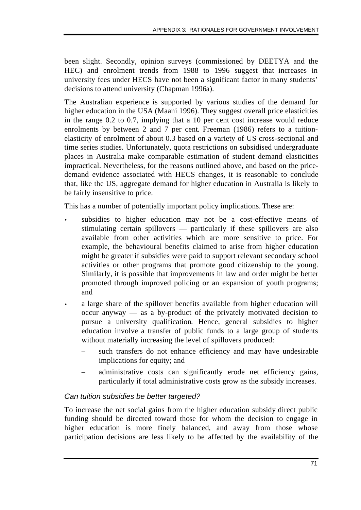been slight. Secondly, opinion surveys (commissioned by DEETYA and the HEC) and enrolment trends from 1988 to 1996 suggest that increases in university fees under HECS have not been a significant factor in many students' decisions to attend university (Chapman 1996a).

The Australian experience is supported by various studies of the demand for higher education in the USA (Maani 1996). They suggest overall price elasticities in the range 0.2 to 0.7, implying that a 10 per cent cost increase would reduce enrolments by between 2 and 7 per cent. Freeman (1986) refers to a tuitionelasticity of enrolment of about 0.3 based on a variety of US cross-sectional and time series studies. Unfortunately, quota restrictions on subsidised undergraduate places in Australia make comparable estimation of student demand elasticities impractical. Nevertheless, for the reasons outlined above, and based on the pricedemand evidence associated with HECS changes, it is reasonable to conclude that, like the US, aggregate demand for higher education in Australia is likely to be fairly insensitive to price.

This has a number of potentially important policy implications. These are:

- subsidies to higher education may not be a cost-effective means of stimulating certain spillovers — particularly if these spillovers are also available from other activities which are more sensitive to price. For example, the behavioural benefits claimed to arise from higher education might be greater if subsidies were paid to support relevant secondary school activities or other programs that promote good citizenship to the young. Similarly, it is possible that improvements in law and order might be better promoted through improved policing or an expansion of youth programs; and
- a large share of the spillover benefits available from higher education will occur anyway — as a by-product of the privately motivated decision to pursue a university qualification. Hence, general subsidies to higher education involve a transfer of public funds to a large group of students without materially increasing the level of spillovers produced:
	- such transfers do not enhance efficiency and may have undesirable implications for equity; and
	- administrative costs can significantly erode net efficiency gains, particularly if total administrative costs grow as the subsidy increases.

# *Can tuition subsidies be better targeted?*

To increase the net social gains from the higher education subsidy direct public funding should be directed toward those for whom the decision to engage in higher education is more finely balanced, and away from those whose participation decisions are less likely to be affected by the availability of the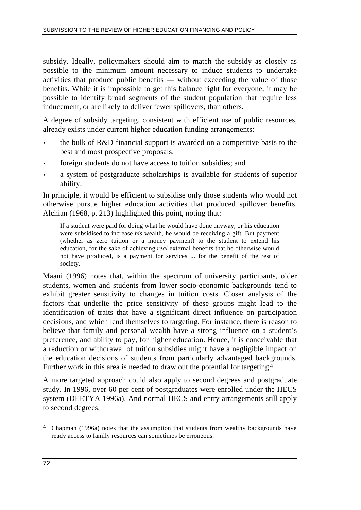subsidy. Ideally, policymakers should aim to match the subsidy as closely as possible to the minimum amount necessary to induce students to undertake activities that produce public benefits — without exceeding the value of those benefits. While it is impossible to get this balance right for everyone, it may be possible to identify broad segments of the student population that require less inducement, or are likely to deliver fewer spillovers, than others.

A degree of subsidy targeting, consistent with efficient use of public resources, already exists under current higher education funding arrangements:

- the bulk of R&D financial support is awarded on a competitive basis to the best and most prospective proposals;
- foreign students do not have access to tuition subsidies; and
- a system of postgraduate scholarships is available for students of superior ability.

In principle, it would be efficient to subsidise only those students who would not otherwise pursue higher education activities that produced spillover benefits. Alchian (1968, p. 213) highlighted this point, noting that:

If a student were paid for doing what he would have done anyway, or his education were subsidised to increase *his* wealth, he would be receiving a gift. But payment (whether as zero tuition or a money payment) to the student to extend his education, for the sake of achieving *real* external benefits that he otherwise would not have produced, is a payment for services ... for the benefit of the rest of society.

Maani (1996) notes that, within the spectrum of university participants, older students, women and students from lower socio-economic backgrounds tend to exhibit greater sensitivity to changes in tuition costs. Closer analysis of the factors that underlie the price sensitivity of these groups might lead to the identification of traits that have a significant direct influence on participation decisions, and which lend themselves to targeting. For instance, there is reason to believe that family and personal wealth have a strong influence on a student's preference, and ability to pay, for higher education. Hence, it is conceivable that a reduction or withdrawal of tuition subsidies might have a negligible impact on the education decisions of students from particularly advantaged backgrounds. Further work in this area is needed to draw out the potential for targeting.4

A more targeted approach could also apply to second degrees and postgraduate study. In 1996, over 60 per cent of postgraduates were enrolled under the HECS system (DEETYA 1996a). And normal HECS and entry arrangements still apply to second degrees.

 $\overline{a}$ 

<sup>4</sup> Chapman (1996a) notes that the assumption that students from wealthy backgrounds have ready access to family resources can sometimes be erroneous.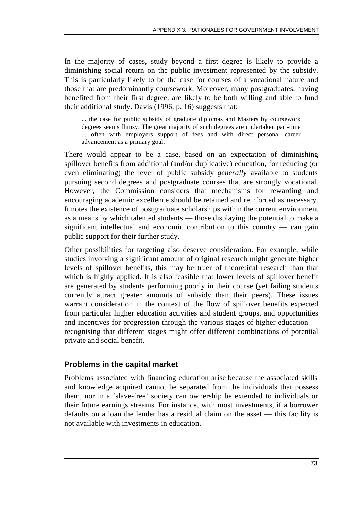In the majority of cases, study beyond a first degree is likely to provide a diminishing social return on the public investment represented by the subsidy. This is particularly likely to be the case for courses of a vocational nature and those that are predominantly coursework. Moreover, many postgraduates, having benefited from their first degree, are likely to be both willing and able to fund their additional study. Davis (1996, p. 16) suggests that:

... the case for public subsidy of graduate diplomas and Masters by coursework degrees seems flimsy. The great majority of such degrees are undertaken part-time ... often with employers support of fees and with direct personal career advancement as a primary goal.

There would appear to be a case, based on an expectation of diminishing spillover benefits from additional (and/or duplicative) education, for reducing (or even eliminating) the level of public subsidy *generally* available to students pursuing second degrees and postgraduate courses that are strongly vocational. However, the Commission considers that mechanisms for rewarding and encouraging academic excellence should be retained and reinforced as necessary. It notes the existence of postgraduate scholarships within the current environment as a means by which talented students — those displaying the potential to make a significant intellectual and economic contribution to this country — can gain public support for their further study.

Other possibilities for targeting also deserve consideration. For example, while studies involving a significant amount of original research might generate higher levels of spillover benefits, this may be truer of theoretical research than that which is highly applied. It is also feasible that lower levels of spillover benefit are generated by students performing poorly in their course (yet failing students currently attract greater amounts of subsidy than their peers). These issues warrant consideration in the context of the flow of spillover benefits expected from particular higher education activities and student groups, and opportunities and incentives for progression through the various stages of higher education recognising that different stages might offer different combinations of potential private and social benefit.

### **Problems in the capital market**

Problems associated with financing education arise because the associated skills and knowledge acquired cannot be separated from the individuals that possess them, nor in a 'slave-free' society can ownership be extended to individuals or their future earnings streams. For instance, with most investments, if a borrower defaults on a loan the lender has a residual claim on the asset — this facility is not available with investments in education.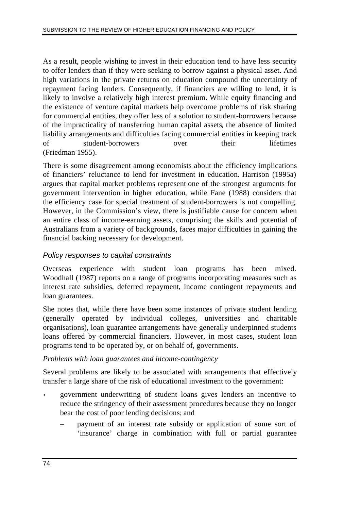As a result, people wishing to invest in their education tend to have less security to offer lenders than if they were seeking to borrow against a physical asset. And high variations in the private returns on education compound the uncertainty of repayment facing lenders. Consequently, if financiers are willing to lend, it is likely to involve a relatively high interest premium. While equity financing and the existence of venture capital markets help overcome problems of risk sharing for commercial entities, they offer less of a solution to student-borrowers because of the impracticality of transferring human capital assets, the absence of limited liability arrangements and difficulties facing commercial entities in keeping track of student-borrowers over their lifetimes (Friedman 1955).

There is some disagreement among economists about the efficiency implications of financiers' reluctance to lend for investment in education. Harrison (1995a) argues that capital market problems represent one of the strongest arguments for government intervention in higher education, while Fane (1988) considers that the efficiency case for special treatment of student-borrowers is not compelling. However, in the Commission's view, there is justifiable cause for concern when an entire class of income-earning assets, comprising the skills and potential of Australians from a variety of backgrounds, faces major difficulties in gaining the financial backing necessary for development.

### *Policy responses to capital constraints*

Overseas experience with student loan programs has been mixed. Woodhall (1987) reports on a range of programs incorporating measures such as interest rate subsidies, deferred repayment, income contingent repayments and loan guarantees.

She notes that, while there have been some instances of private student lending (generally operated by individual colleges, universities and charitable organisations), loan guarantee arrangements have generally underpinned students loans offered by commercial financiers. However, in most cases, student loan programs tend to be operated by, or on behalf of, governments.

### *Problems with loan guarantees and income-contingency*

Several problems are likely to be associated with arrangements that effectively transfer a large share of the risk of educational investment to the government:

- government underwriting of student loans gives lenders an incentive to reduce the stringency of their assessment procedures because they no longer bear the cost of poor lending decisions; and
	- payment of an interest rate subsidy or application of some sort of 'insurance' charge in combination with full or partial guarantee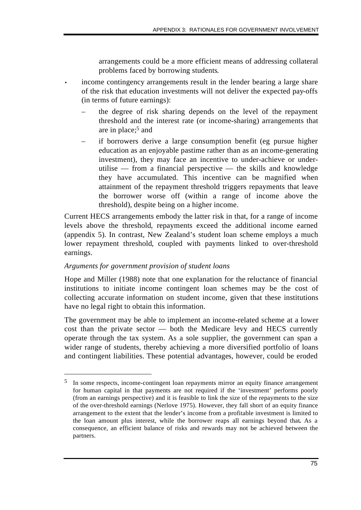arrangements could be a more efficient means of addressing collateral problems faced by borrowing students.

- income contingency arrangements result in the lender bearing a large share of the risk that education investments will not deliver the expected pay-offs (in terms of future earnings):
	- the degree of risk sharing depends on the level of the repayment threshold and the interest rate (or income-sharing) arrangements that are in place;5 and
	- if borrowers derive a large consumption benefit (eg pursue higher education as an enjoyable pastime rather than as an income-generating investment), they may face an incentive to under-achieve or underutilise — from a financial perspective — the skills and knowledge they have accumulated. This incentive can be magnified when attainment of the repayment threshold triggers repayments that leave the borrower worse off (within a range of income above the threshold), despite being on a higher income.

Current HECS arrangements embody the latter risk in that, for a range of income levels above the threshold, repayments exceed the additional income earned (appendix 5). In contrast, New Zealand's student loan scheme employs a much lower repayment threshold, coupled with payments linked to over-threshold earnings.

### *Arguments for government provision of student loans*

 $\overline{a}$ 

Hope and Miller (1988) note that one explanation for the reluctance of financial institutions to initiate income contingent loan schemes may be the cost of collecting accurate information on student income, given that these institutions have no legal right to obtain this information.

The government may be able to implement an income-related scheme at a lower cost than the private sector — both the Medicare levy and HECS currently operate through the tax system. As a sole supplier, the government can span a wider range of students, thereby achieving a more diversified portfolio of loans and contingent liabilities. These potential advantages, however, could be eroded

<sup>5</sup> In some respects, income-contingent loan repayments mirror an equity finance arrangement for human capital in that payments are not required if the 'investment' performs poorly (from an earnings perspective) and it is feasible to link the size of the repayments to the size of the over-threshold earnings (Nerlove 1975). However, they fall short of an equity finance arrangement to the extent that the lender's income from a profitable investment is limited to the loan amount plus interest, while the borrower reaps all earnings beyond that**.** As a consequence, an efficient balance of risks and rewards may not be achieved between the partners.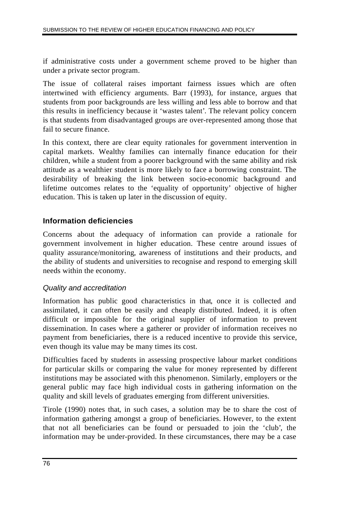if administrative costs under a government scheme proved to be higher than under a private sector program.

The issue of collateral raises important fairness issues which are often intertwined with efficiency arguments. Barr (1993), for instance, argues that students from poor backgrounds are less willing and less able to borrow and that this results in inefficiency because it 'wastes talent'. The relevant policy concern is that students from disadvantaged groups are over-represented among those that fail to secure finance.

In this context, there are clear equity rationales for government intervention in capital markets. Wealthy families can internally finance education for their children, while a student from a poorer background with the same ability and risk attitude as a wealthier student is more likely to face a borrowing constraint. The desirability of breaking the link between socio-economic background and lifetime outcomes relates to the 'equality of opportunity' objective of higher education. This is taken up later in the discussion of equity.

# **Information deficiencies**

Concerns about the adequacy of information can provide a rationale for government involvement in higher education. These centre around issues of quality assurance/monitoring, awareness of institutions and their products, and the ability of students and universities to recognise and respond to emerging skill needs within the economy.

### *Quality and accreditation*

Information has public good characteristics in that, once it is collected and assimilated, it can often be easily and cheaply distributed. Indeed, it is often difficult or impossible for the original supplier of information to prevent dissemination. In cases where a gatherer or provider of information receives no payment from beneficiaries, there is a reduced incentive to provide this service, even though its value may be many times its cost.

Difficulties faced by students in assessing prospective labour market conditions for particular skills or comparing the value for money represented by different institutions may be associated with this phenomenon. Similarly, employers or the general public may face high individual costs in gathering information on the quality and skill levels of graduates emerging from different universities.

Tirole (1990) notes that, in such cases, a solution may be to share the cost of information gathering amongst a group of beneficiaries. However, to the extent that not all beneficiaries can be found or persuaded to join the 'club', the information may be under-provided. In these circumstances, there may be a case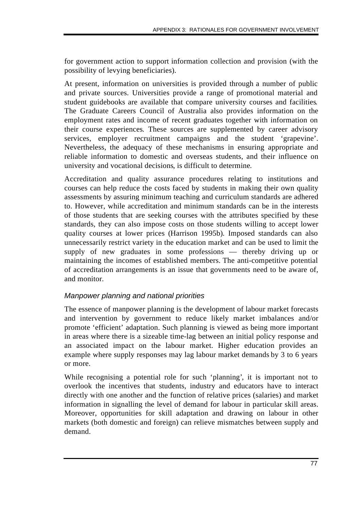for government action to support information collection and provision (with the possibility of levying beneficiaries).

At present, information on universities is provided through a number of public and private sources. Universities provide a range of promotional material and student guidebooks are available that compare university courses and facilities. The Graduate Careers Council of Australia also provides information on the employment rates and income of recent graduates together with information on their course experiences. These sources are supplemented by career advisory services, employer recruitment campaigns and the student 'grapevine'. Nevertheless, the adequacy of these mechanisms in ensuring appropriate and reliable information to domestic and overseas students, and their influence on university and vocational decisions, is difficult to determine.

Accreditation and quality assurance procedures relating to institutions and courses can help reduce the costs faced by students in making their own quality assessments by assuring minimum teaching and curriculum standards are adhered to. However, while accreditation and minimum standards can be in the interests of those students that are seeking courses with the attributes specified by these standards, they can also impose costs on those students willing to accept lower quality courses at lower prices (Harrison 1995b). Imposed standards can also unnecessarily restrict variety in the education market and can be used to limit the supply of new graduates in some professions — thereby driving up or maintaining the incomes of established members. The anti-competitive potential of accreditation arrangements is an issue that governments need to be aware of, and monitor.

# *Manpower planning and national priorities*

The essence of manpower planning is the development of labour market forecasts and intervention by government to reduce likely market imbalances and/or promote 'efficient' adaptation. Such planning is viewed as being more important in areas where there is a sizeable time-lag between an initial policy response and an associated impact on the labour market. Higher education provides an example where supply responses may lag labour market demands by 3 to 6 years or more.

While recognising a potential role for such 'planning', it is important not to overlook the incentives that students, industry and educators have to interact directly with one another and the function of relative prices (salaries) and market information in signalling the level of demand for labour in particular skill areas. Moreover, opportunities for skill adaptation and drawing on labour in other markets (both domestic and foreign) can relieve mismatches between supply and demand.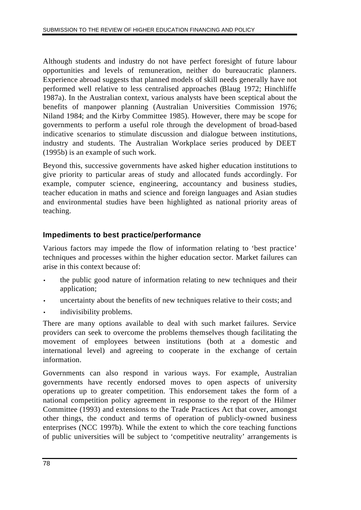Although students and industry do not have perfect foresight of future labour opportunities and levels of remuneration, neither do bureaucratic planners. Experience abroad suggests that planned models of skill needs generally have not performed well relative to less centralised approaches (Blaug 1972; Hinchliffe 1987a). In the Australian context, various analysts have been sceptical about the benefits of manpower planning (Australian Universities Commission 1976; Niland 1984; and the Kirby Committee 1985). However, there may be scope for governments to perform a useful role through the development of broad-based indicative scenarios to stimulate discussion and dialogue between institutions, industry and students. The Australian Workplace series produced by DEET (1995b) is an example of such work.

Beyond this, successive governments have asked higher education institutions to give priority to particular areas of study and allocated funds accordingly. For example, computer science, engineering, accountancy and business studies, teacher education in maths and science and foreign languages and Asian studies and environmental studies have been highlighted as national priority areas of teaching.

# **Impediments to best practice/performance**

Various factors may impede the flow of information relating to 'best practice' techniques and processes within the higher education sector. Market failures can arise in this context because of:

- the public good nature of information relating to new techniques and their application;
- uncertainty about the benefits of new techniques relative to their costs; and
- indivisibility problems.

There are many options available to deal with such market failures. Service providers can seek to overcome the problems themselves though facilitating the movement of employees between institutions (both at a domestic and international level) and agreeing to cooperate in the exchange of certain information.

Governments can also respond in various ways. For example, Australian governments have recently endorsed moves to open aspects of university operations up to greater competition. This endorsement takes the form of a national competition policy agreement in response to the report of the Hilmer Committee (1993) and extensions to the Trade Practices Act that cover, amongst other things, the conduct and terms of operation of publicly-owned business enterprises (NCC 1997b). While the extent to which the core teaching functions of public universities will be subject to 'competitive neutrality' arrangements is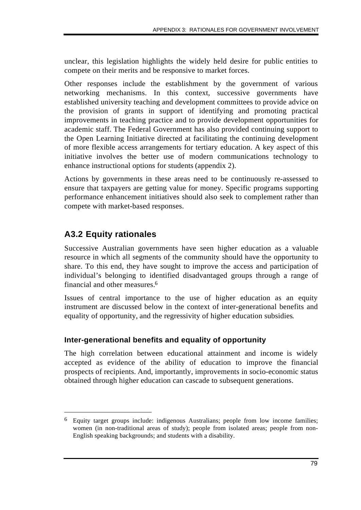unclear, this legislation highlights the widely held desire for public entities to compete on their merits and be responsive to market forces.

Other responses include the establishment by the government of various networking mechanisms. In this context, successive governments have established university teaching and development committees to provide advice on the provision of grants in support of identifying and promoting practical improvements in teaching practice and to provide development opportunities for academic staff. The Federal Government has also provided continuing support to the Open Learning Initiative directed at facilitating the continuing development of more flexible access arrangements for tertiary education. A key aspect of this initiative involves the better use of modern communications technology to enhance instructional options for students (appendix 2).

Actions by governments in these areas need to be continuously re-assessed to ensure that taxpayers are getting value for money. Specific programs supporting performance enhancement initiatives should also seek to complement rather than compete with market-based responses.

# **A3.2 Equity rationales**

 $\overline{a}$ 

Successive Australian governments have seen higher education as a valuable resource in which all segments of the community should have the opportunity to share. To this end, they have sought to improve the access and participation of individual's belonging to identified disadvantaged groups through a range of financial and other measures.6

Issues of central importance to the use of higher education as an equity instrument are discussed below in the context of inter-generational benefits and equality of opportunity, and the regressivity of higher education subsidies.

# **Inter-generational benefits and equality of opportunity**

The high correlation between educational attainment and income is widely accepted as evidence of the ability of education to improve the financial prospects of recipients. And, importantly, improvements in socio-economic status obtained through higher education can cascade to subsequent generations.

<sup>6</sup> Equity target groups include: indigenous Australians; people from low income families; women (in non-traditional areas of study); people from isolated areas; people from non-English speaking backgrounds; and students with a disability.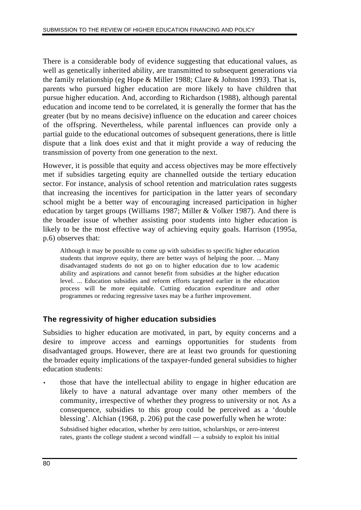There is a considerable body of evidence suggesting that educational values, as well as genetically inherited ability, are transmitted to subsequent generations via the family relationship (eg Hope & Miller 1988; Clare & Johnston 1993). That is, parents who pursued higher education are more likely to have children that pursue higher education. And, according to Richardson (1988), although parental education and income tend to be correlated, it is generally the former that has the greater (but by no means decisive) influence on the education and career choices of the offspring. Nevertheless, while parental influences can provide only a partial guide to the educational outcomes of subsequent generations, there is little dispute that a link does exist and that it might provide a way of reducing the transmission of poverty from one generation to the next.

However, it is possible that equity and access objectives may be more effectively met if subsidies targeting equity are channelled outside the tertiary education sector. For instance, analysis of school retention and matriculation rates suggests that increasing the incentives for participation in the latter years of secondary school might be a better way of encouraging increased participation in higher education by target groups (Williams 1987; Miller & Volker 1987). And there is the broader issue of whether assisting poor students into higher education is likely to be the most effective way of achieving equity goals. Harrison (1995a, p.6) observes that:

Although it may be possible to come up with subsidies to specific higher education students that improve equity, there are better ways of helping the poor. ... Many disadvantaged students do not go on to higher education due to low academic ability and aspirations and cannot benefit from subsidies at the higher education level. ... Education subsidies and reform efforts targeted earlier in the education process will be more equitable. Cutting education expenditure and other programmes or reducing regressive taxes may be a further improvement.

### **The regressivity of higher education subsidies**

Subsidies to higher education are motivated, in part, by equity concerns and a desire to improve access and earnings opportunities for students from disadvantaged groups. However, there are at least two grounds for questioning the broader equity implications of the taxpayer-funded general subsidies to higher education students:

• those that have the intellectual ability to engage in higher education are likely to have a natural advantage over many other members of the community, irrespective of whether they progress to university or not. As a consequence, subsidies to this group could be perceived as a 'double blessing'. Alchian (1968, p. 206) put the case powerfully when he wrote:

Subsidised higher education, whether by zero tuition, scholarships, or zero-interest rates, grants the college student a second windfall — a subsidy to exploit his initial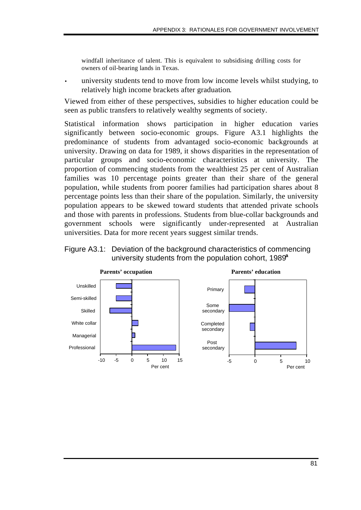windfall inheritance of talent. This is equivalent to subsidising drilling costs for owners of oil-bearing lands in Texas.

• university students tend to move from low income levels whilst studying, to relatively high income brackets after graduation.

Viewed from either of these perspectives, subsidies to higher education could be seen as public transfers to relatively wealthy segments of society.

Statistical information shows participation in higher education varies significantly between socio-economic groups. Figure A3.1 highlights the predominance of students from advantaged socio-economic backgrounds at university. Drawing on data for 1989, it shows disparities in the representation of particular groups and socio-economic characteristics at university. The proportion of commencing students from the wealthiest 25 per cent of Australian families was 10 percentage points greater than their share of the general population, while students from poorer families had participation shares about 8 percentage points less than their share of the population. Similarly, the university population appears to be skewed toward students that attended private schools and those with parents in professions. Students from blue-collar backgrounds and government schools were significantly under-represented at Australian universities. Data for more recent years suggest similar trends.



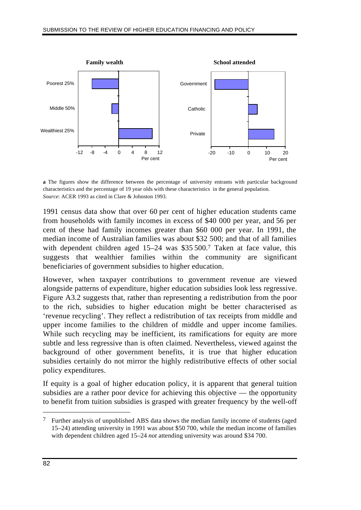

**a** The figures show the difference between the percentage of university entrants with particular background characteristics and the percentage of 19 year olds with these characteristics in the general population. *Source*: ACER 1993 as cited in Clare & Johnston 1993.

1991 census data show that over 60 per cent of higher education students came from households with family incomes in excess of \$40 000 per year, and 56 per cent of these had family incomes greater than \$60 000 per year. In 1991, the median income of Australian families was about \$32 500; and that of all families with dependent children aged 15–24 was \$35 500.7 Taken at face value, this suggests that wealthier families within the community are significant beneficiaries of government subsidies to higher education.

However, when taxpayer contributions to government revenue are viewed alongside patterns of expenditure, higher education subsidies look less regressive. Figure A3.2 suggests that, rather than representing a redistribution from the poor to the rich, subsidies to higher education might be better characterised as 'revenue recycling'. They reflect a redistribution of tax receipts from middle and upper income families to the children of middle and upper income families. While such recycling may be inefficient, its ramifications for equity are more subtle and less regressive than is often claimed. Nevertheless, viewed against the background of other government benefits, it is true that higher education subsidies certainly do not mirror the highly redistributive effects of other social policy expenditures.

If equity is a goal of higher education policy, it is apparent that general tuition subsidies are a rather poor device for achieving this objective — the opportunity to benefit from tuition subsidies is grasped with greater frequency by the well-off

 $\overline{a}$ 

<sup>7</sup> Further analysis of unpublished ABS data shows the median family income of students (aged 15–24) attending university in 1991 was about \$50 700, while the median income of families with dependent children aged 15–24 *not* attending university was around \$34 700.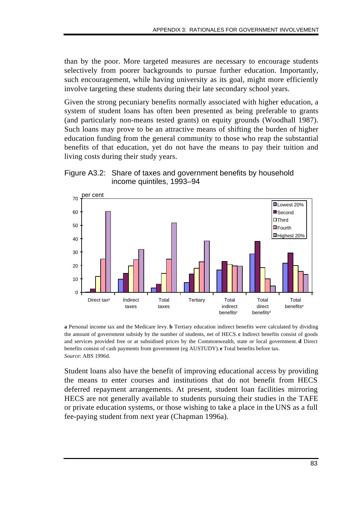than by the poor. More targeted measures are necessary to encourage students selectively from poorer backgrounds to pursue further education. Importantly, such encouragement, while having university as its goal, might more efficiently involve targeting these students during their late secondary school years.

Given the strong pecuniary benefits normally associated with higher education, a system of student loans has often been presented as being preferable to grants (and particularly non-means tested grants) on equity grounds (Woodhall 1987). Such loans may prove to be an attractive means of shifting the burden of higher education funding from the general community to those who reap the substantial benefits of that education, yet do not have the means to pay their tuition and living costs during their study years.





**a** Personal income tax and the Medicare levy. **b** Tertiary education indirect benefits were calculated by dividing the amount of government subsidy by the number of students, net of HECS. **c** Indirect benefits consist of goods and services provided free or at subsidised prices by the Commonwealth, state or local government. **d** Direct benefits consist of cash payments from government (eg AUSTUDY). **e** Total benefits before tax. *Source*: ABS 1996d.

Student loans also have the benefit of improving educational access by providing the means to enter courses and institutions that do not benefit from HECS deferred repayment arrangements. At present, student loan facilities mirroring HECS are not generally available to students pursuing their studies in the TAFE or private education systems, or those wishing to take a place in the UNS as a full fee-paying student from next year (Chapman 1996a).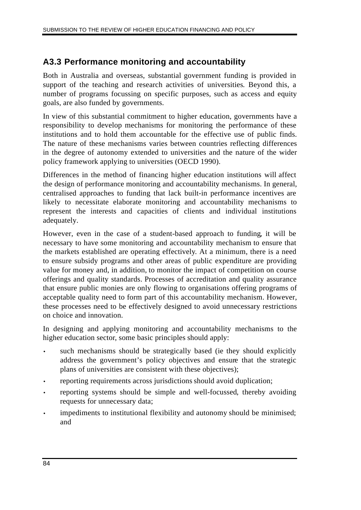# **A3.3 Performance monitoring and accountability**

Both in Australia and overseas, substantial government funding is provided in support of the teaching and research activities of universities. Beyond this, a number of programs focussing on specific purposes, such as access and equity goals, are also funded by governments.

In view of this substantial commitment to higher education, governments have a responsibility to develop mechanisms for monitoring the performance of these institutions and to hold them accountable for the effective use of public finds. The nature of these mechanisms varies between countries reflecting differences in the degree of autonomy extended to universities and the nature of the wider policy framework applying to universities (OECD 1990).

Differences in the method of financing higher education institutions will affect the design of performance monitoring and accountability mechanisms. In general, centralised approaches to funding that lack built-in performance incentives are likely to necessitate elaborate monitoring and accountability mechanisms to represent the interests and capacities of clients and individual institutions adequately.

However, even in the case of a student-based approach to funding, it will be necessary to have some monitoring and accountability mechanism to ensure that the markets established are operating effectively. At a minimum, there is a need to ensure subsidy programs and other areas of public expenditure are providing value for money and, in addition, to monitor the impact of competition on course offerings and quality standards. Processes of accreditation and quality assurance that ensure public monies are only flowing to organisations offering programs of acceptable quality need to form part of this accountability mechanism. However, these processes need to be effectively designed to avoid unnecessary restrictions on choice and innovation.

In designing and applying monitoring and accountability mechanisms to the higher education sector, some basic principles should apply:

- such mechanisms should be strategically based (ie they should explicitly address the government's policy objectives and ensure that the strategic plans of universities are consistent with these objectives);
- reporting requirements across jurisdictions should avoid duplication;
- reporting systems should be simple and well-focussed, thereby avoiding requests for unnecessary data;
- impediments to institutional flexibility and autonomy should be minimised; and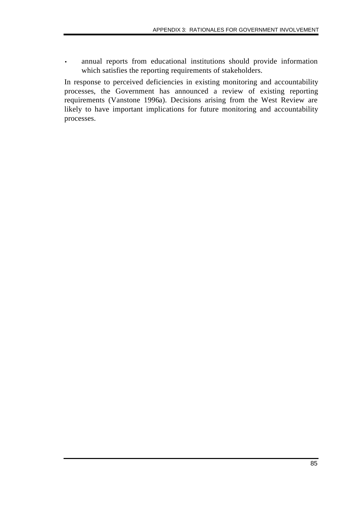• annual reports from educational institutions should provide information which satisfies the reporting requirements of stakeholders.

In response to perceived deficiencies in existing monitoring and accountability processes, the Government has announced a review of existing reporting requirements (Vanstone 1996a). Decisions arising from the West Review are likely to have important implications for future monitoring and accountability processes.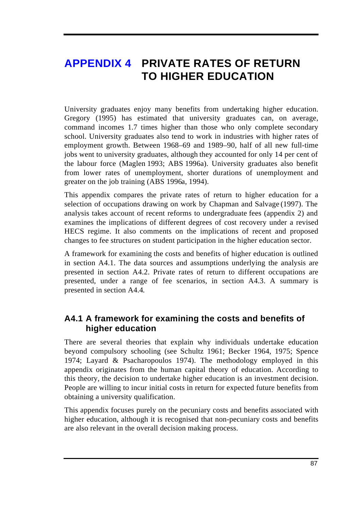# **APPENDIX 4 PRIVATE RATES OF RETURN TO HIGHER EDUCATION**

University graduates enjoy many benefits from undertaking higher education. Gregory (1995) has estimated that university graduates can, on average, command incomes 1.7 times higher than those who only complete secondary school. University graduates also tend to work in industries with higher rates of employment growth. Between 1968–69 and 1989–90, half of all new full-time jobs went to university graduates, although they accounted for only 14 per cent of the labour force (Maglen 1993; ABS 1996a). University graduates also benefit from lower rates of unemployment, shorter durations of unemployment and greater on the job training (ABS 1996a, 1994).

This appendix compares the private rates of return to higher education for a selection of occupations drawing on work by Chapman and Salvage (1997). The analysis takes account of recent reforms to undergraduate fees (appendix 2) and examines the implications of different degrees of cost recovery under a revised HECS regime. It also comments on the implications of recent and proposed changes to fee structures on student participation in the higher education sector.

A framework for examining the costs and benefits of higher education is outlined in section A4.1. The data sources and assumptions underlying the analysis are presented in section A4.2. Private rates of return to different occupations are presented, under a range of fee scenarios, in section A4.3. A summary is presented in section A4.4.

# **A4.1 A framework for examining the costs and benefits of higher education**

There are several theories that explain why individuals undertake education beyond compulsory schooling (see Schultz 1961; Becker 1964, 1975; Spence 1974; Layard & Psacharopoulos 1974). The methodology employed in this appendix originates from the human capital theory of education. According to this theory, the decision to undertake higher education is an investment decision. People are willing to incur initial costs in return for expected future benefits from obtaining a university qualification.

This appendix focuses purely on the pecuniary costs and benefits associated with higher education, although it is recognised that non-pecuniary costs and benefits are also relevant in the overall decision making process.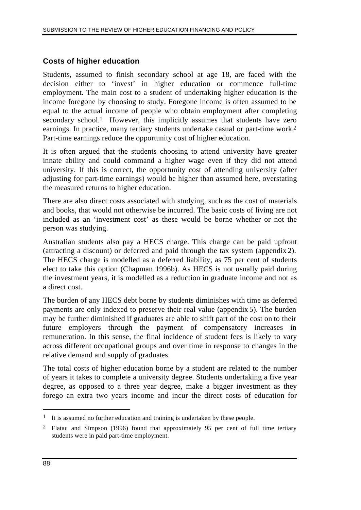### **Costs of higher education**

Students, assumed to finish secondary school at age 18, are faced with the decision either to 'invest' in higher education or commence full-time employment. The main cost to a student of undertaking higher education is the income foregone by choosing to study. Foregone income is often assumed to be equal to the actual income of people who obtain employment after completing secondary school.<sup>1</sup> However, this implicitly assumes that students have zero earnings. In practice, many tertiary students undertake casual or part-time work.2 Part-time earnings reduce the opportunity cost of higher education.

It is often argued that the students choosing to attend university have greater innate ability and could command a higher wage even if they did not attend university. If this is correct, the opportunity cost of attending university (after adjusting for part-time earnings) would be higher than assumed here, overstating the measured returns to higher education.

There are also direct costs associated with studying, such as the cost of materials and books, that would not otherwise be incurred. The basic costs of living are not included as an 'investment cost' as these would be borne whether or not the person was studying.

Australian students also pay a HECS charge. This charge can be paid upfront (attracting a discount) or deferred and paid through the tax system (appendix 2). The HECS charge is modelled as a deferred liability, as 75 per cent of students elect to take this option (Chapman 1996b). As HECS is not usually paid during the investment years, it is modelled as a reduction in graduate income and not as a direct cost.

The burden of any HECS debt borne by students diminishes with time as deferred payments are only indexed to preserve their real value (appendix 5). The burden may be further diminished if graduates are able to shift part of the cost on to their future employers through the payment of compensatory increases in remuneration. In this sense, the final incidence of student fees is likely to vary across different occupational groups and over time in response to changes in the relative demand and supply of graduates.

The total costs of higher education borne by a student are related to the number of years it takes to complete a university degree. Students undertaking a five year degree, as opposed to a three year degree, make a bigger investment as they forego an extra two years income and incur the direct costs of education for

 $\overline{a}$ 

<sup>&</sup>lt;sup>1</sup> It is assumed no further education and training is undertaken by these people.

<sup>2</sup> Flatau and Simpson (1996) found that approximately 95 per cent of full time tertiary students were in paid part-time employment.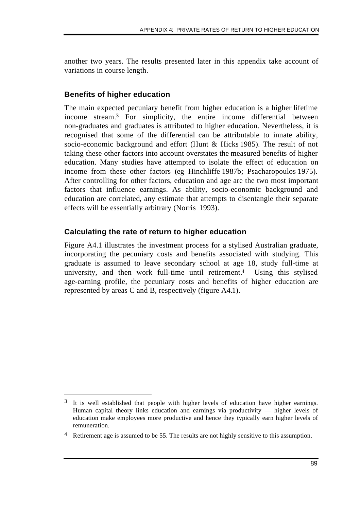another two years. The results presented later in this appendix take account of variations in course length.

### **Benefits of higher education**

 $\overline{a}$ 

The main expected pecuniary benefit from higher education is a higher lifetime income stream.3 For simplicity, the entire income differential between non-graduates and graduates is attributed to higher education. Nevertheless, it is recognised that some of the differential can be attributable to innate ability, socio-economic background and effort (Hunt & Hicks 1985). The result of not taking these other factors into account overstates the measured benefits of higher education. Many studies have attempted to isolate the effect of education on income from these other factors (eg Hinchliffe 1987b; Psacharopoulos 1975). After controlling for other factors, education and age are the two most important factors that influence earnings. As ability, socio-economic background and education are correlated, any estimate that attempts to disentangle their separate effects will be essentially arbitrary (Norris 1993).

### **Calculating the rate of return to higher education**

Figure A4.1 illustrates the investment process for a stylised Australian graduate, incorporating the pecuniary costs and benefits associated with studying. This graduate is assumed to leave secondary school at age 18, study full-time at university, and then work full-time until retirement.4 Using this stylised age-earning profile, the pecuniary costs and benefits of higher education are represented by areas C and B, respectively (figure A4.1).

<sup>&</sup>lt;sup>3</sup> It is well established that people with higher levels of education have higher earnings. Human capital theory links education and earnings via productivity — higher levels of education make employees more productive and hence they typically earn higher levels of remuneration.

<sup>&</sup>lt;sup>4</sup> Retirement age is assumed to be 55. The results are not highly sensitive to this assumption.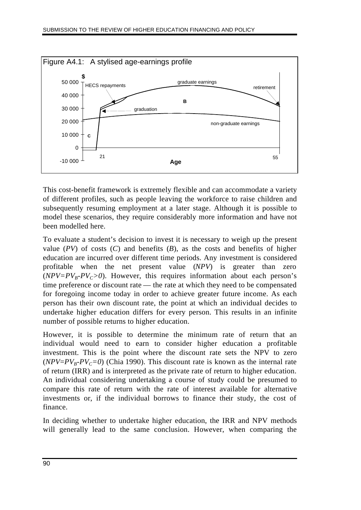

This cost-benefit framework is extremely flexible and can accommodate a variety of different profiles, such as people leaving the workforce to raise children and subsequently resuming employment at a later stage. Although it is possible to model these scenarios, they require considerably more information and have not been modelled here.

To evaluate a student's decision to invest it is necessary to weigh up the present value  $(PV)$  of costs  $(C)$  and benefits  $(B)$ , as the costs and benefits of higher education are incurred over different time periods. Any investment is considered profitable when the net present value (*NPV*) is greater than zero  $(NPV = PV_B - PV_C > 0)$ . However, this requires information about each person's time preference or discount rate — the rate at which they need to be compensated for foregoing income today in order to achieve greater future income. As each person has their own discount rate, the point at which an individual decides to undertake higher education differs for every person. This results in an infinite number of possible returns to higher education.

However, it is possible to determine the minimum rate of return that an individual would need to earn to consider higher education a profitable investment. This is the point where the discount rate sets the NPV to zero ( $NPV = PV_B - PV_C = 0$ ) (Chia 1990). This discount rate is known as the internal rate of return (IRR) and is interpreted as the private rate of return to higher education. An individual considering undertaking a course of study could be presumed to compare this rate of return with the rate of interest available for alternative investments or, if the individual borrows to finance their study, the cost of finance.

In deciding whether to undertake higher education, the IRR and NPV methods will generally lead to the same conclusion. However, when comparing the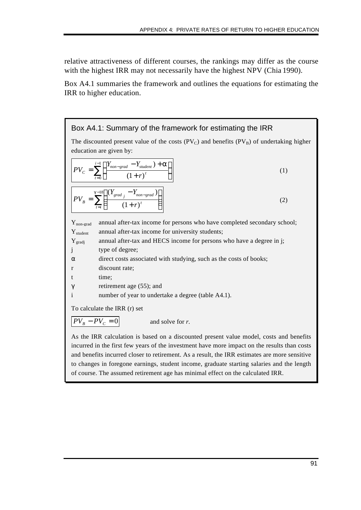relative attractiveness of different courses, the rankings may differ as the course with the highest IRR may not necessarily have the highest NPV (Chia 1990).

Box A4.1 summaries the framework and outlines the equations for estimating the IRR to higher education.



As the IRR calculation is based on a discounted present value model, costs and benefits incurred in the first few years of the investment have more impact on the results than costs and benefits incurred closer to retirement. As a result, the IRR estimates are more sensitive to changes in foregone earnings, student income, graduate starting salaries and the length of course. The assumed retirement age has minimal effect on the calculated IRR.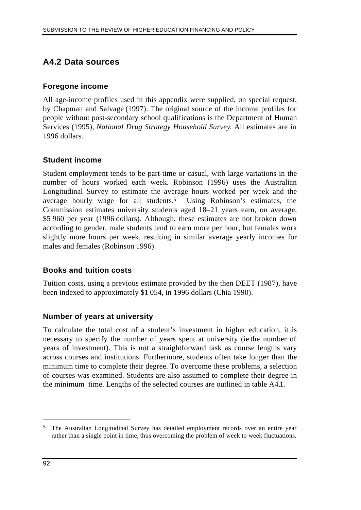# **A4.2 Data sources**

### **Foregone income**

All age-income profiles used in this appendix were supplied, on special request, by Chapman and Salvage (1997). The original source of the income profiles for people without post-secondary school qualifications is the Department of Human Services (1995), *National Drug Strategy Household Survey*. All estimates are in 1996 dollars.

### **Student income**

Student employment tends to be part-time or casual, with large variations in the number of hours worked each week. Robinson (1996) uses the Australian Longitudinal Survey to estimate the average hours worked per week and the average hourly wage for all students.<sup>5</sup> Using Robinson's estimates, the Commission estimates university students aged 18–21 years earn, on average, \$5 960 per year (1996 dollars). Although, these estimates are not broken down according to gender, male students tend to earn more per hour, but females work slightly more hours per week, resulting in similar average yearly incomes for males and females (Robinson 1996).

### **Books and tuition costs**

Tuition costs, using a previous estimate provided by the then DEET (1987), have been indexed to approximately \$1 054, in 1996 dollars (Chia 1990).

### **Number of years at university**

To calculate the total cost of a student's investment in higher education, it is necessary to specify the number of years spent at university (ie the number of years of investment). This is not a straightforward task as course lengths vary across courses and institutions. Furthermore, students often take longer than the minimum time to complete their degree. To overcome these problems, a selection of courses was examined. Students are also assumed to complete their degree in the minimum time. Lengths of the selected courses are outlined in table A4.1.

 $\overline{a}$ 

<sup>5</sup> The Australian Longitudinal Survey has detailed employment records over an entire year rather than a single point in time, thus overcoming the problem of week to week fluctuations.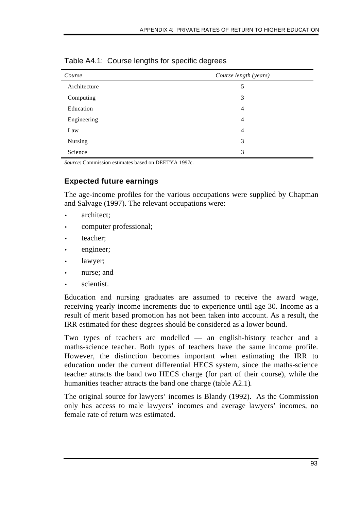| Course       | Course length (years) |  |
|--------------|-----------------------|--|
| Architecture | 5                     |  |
| Computing    | 3                     |  |
| Education    | $\overline{4}$        |  |
| Engineering  | $\overline{4}$        |  |
| Law          | $\overline{4}$        |  |
| Nursing      | 3                     |  |
| Science      | 3                     |  |

Table A4.1: Course lengths for specific degrees

*Source*: Commission estimates based on DEETYA 1997c.

### **Expected future earnings**

The age-income profiles for the various occupations were supplied by Chapman and Salvage (1997). The relevant occupations were:

- architect;
- computer professional;
- teacher;
- engineer;
- lawyer;
- nurse; and
- scientist.

Education and nursing graduates are assumed to receive the award wage, receiving yearly income increments due to experience until age 30. Income as a result of merit based promotion has not been taken into account. As a result, the IRR estimated for these degrees should be considered as a lower bound.

Two types of teachers are modelled — an english-history teacher and a maths-science teacher. Both types of teachers have the same income profile. However, the distinction becomes important when estimating the IRR to education under the current differential HECS system, since the maths-science teacher attracts the band two HECS charge (for part of their course), while the humanities teacher attracts the band one charge (table A2.1).

The original source for lawyers' incomes is Blandy (1992). As the Commission only has access to male lawyers' incomes and average lawyers' incomes, no female rate of return was estimated.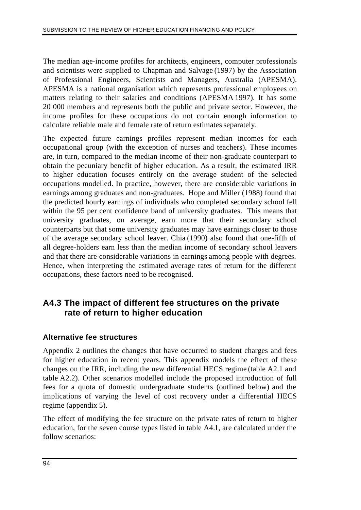The median age-income profiles for architects, engineers, computer professionals and scientists were supplied to Chapman and Salvage (1997) by the Association of Professional Engineers, Scientists and Managers, Australia (APESMA). APESMA is a national organisation which represents professional employees on matters relating to their salaries and conditions (APESMA 1997). It has some 20 000 members and represents both the public and private sector. However, the income profiles for these occupations do not contain enough information to calculate reliable male and female rate of return estimates separately.

The expected future earnings profiles represent median incomes for each occupational group (with the exception of nurses and teachers). These incomes are, in turn, compared to the median income of their non-graduate counterpart to obtain the pecuniary benefit of higher education. As a result, the estimated IRR to higher education focuses entirely on the average student of the selected occupations modelled. In practice, however, there are considerable variations in earnings among graduates and non-graduates. Hope and Miller (1988) found that the predicted hourly earnings of individuals who completed secondary school fell within the 95 per cent confidence band of university graduates. This means that university graduates, on average, earn more that their secondary school counterparts but that some university graduates may have earnings closer to those of the average secondary school leaver. Chia (1990) also found that one-fifth of all degree-holders earn less than the median income of secondary school leavers and that there are considerable variations in earnings among people with degrees. Hence, when interpreting the estimated average rates of return for the different occupations, these factors need to be recognised.

# **A4.3 The impact of different fee structures on the private rate of return to higher education**

# **Alternative fee structures**

Appendix 2 outlines the changes that have occurred to student charges and fees for higher education in recent years. This appendix models the effect of these changes on the IRR, including the new differential HECS regime (table A2.1 and table A2.2). Other scenarios modelled include the proposed introduction of full fees for a quota of domestic undergraduate students (outlined below) and the implications of varying the level of cost recovery under a differential HECS regime (appendix 5).

The effect of modifying the fee structure on the private rates of return to higher education, for the seven course types listed in table A4.1, are calculated under the follow scenarios: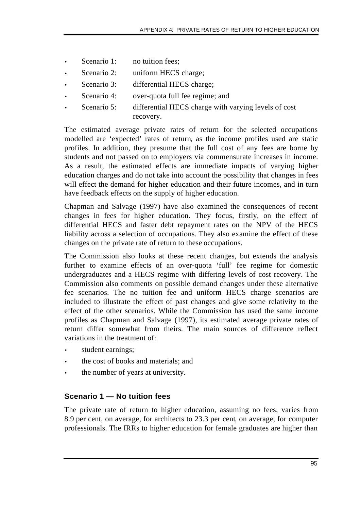- Scenario 1: no tuition fees;
- Scenario 2: uniform HECS charge;
- Scenario 3: differential HECS charge;
- Scenario 4: over-quota full fee regime; and
- Scenario 5: differential HECS charge with varying levels of cost recovery.

The estimated average private rates of return for the selected occupations modelled are 'expected' rates of return, as the income profiles used are static profiles. In addition, they presume that the full cost of any fees are borne by students and not passed on to employers via commensurate increases in income. As a result, the estimated effects are immediate impacts of varying higher education charges and do not take into account the possibility that changes in fees will effect the demand for higher education and their future incomes, and in turn have feedback effects on the supply of higher education.

Chapman and Salvage (1997) have also examined the consequences of recent changes in fees for higher education. They focus, firstly, on the effect of differential HECS and faster debt repayment rates on the NPV of the HECS liability across a selection of occupations. They also examine the effect of these changes on the private rate of return to these occupations.

The Commission also looks at these recent changes, but extends the analysis further to examine effects of an over-quota 'full' fee regime for domestic undergraduates and a HECS regime with differing levels of cost recovery. The Commission also comments on possible demand changes under these alternative fee scenarios. The no tuition fee and uniform HECS charge scenarios are included to illustrate the effect of past changes and give some relativity to the effect of the other scenarios. While the Commission has used the same income profiles as Chapman and Salvage (1997), its estimated average private rates of return differ somewhat from theirs. The main sources of difference reflect variations in the treatment of:

- student earnings;
- the cost of books and materials; and
- the number of years at university.

### **Scenario 1 — No tuition fees**

The private rate of return to higher education, assuming no fees, varies from 8.9 per cent, on average, for architects to 23.3 per cent, on average, for computer professionals. The IRRs to higher education for female graduates are higher than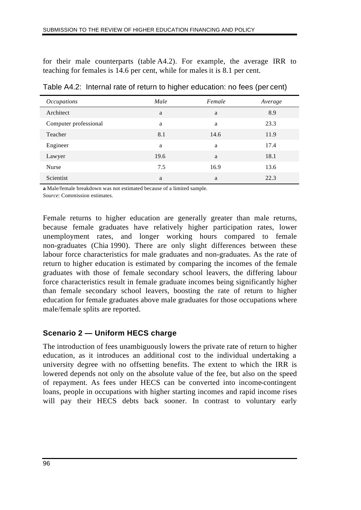for their male counterparts (table A4.2). For example, the average IRR to teaching for females is 14.6 per cent, while for males it is 8.1 per cent.

| <i>Occupations</i>    | Male | Female | Average |  |
|-----------------------|------|--------|---------|--|
| Architect             | a    | a      | 8.9     |  |
| Computer professional | a    | a      | 23.3    |  |
| Teacher               | 8.1  | 14.6   | 11.9    |  |
| Engineer              | a    | a      | 17.4    |  |
| Lawyer                | 19.6 | a      | 18.1    |  |
| <b>Nurse</b>          | 7.5  | 16.9   | 13.6    |  |
| Scientist             | a    | a      | 22.3    |  |
|                       |      |        |         |  |

Table A4.2: Internal rate of return to higher education: no fees (per cent)

**a** Male/female breakdown was not estimated because of a limited sample.

*Source*: Commission estimates.

Female returns to higher education are generally greater than male returns, because female graduates have relatively higher participation rates, lower unemployment rates, and longer working hours compared to female non-graduates (Chia 1990). There are only slight differences between these labour force characteristics for male graduates and non-graduates. As the rate of return to higher education is estimated by comparing the incomes of the female graduates with those of female secondary school leavers, the differing labour force characteristics result in female graduate incomes being significantly higher than female secondary school leavers, boosting the rate of return to higher education for female graduates above male graduates for those occupations where male/female splits are reported.

### **Scenario 2 — Uniform HECS charge**

The introduction of fees unambiguously lowers the private rate of return to higher education, as it introduces an additional cost to the individual undertaking a university degree with no offsetting benefits. The extent to which the IRR is lowered depends not only on the absolute value of the fee, but also on the speed of repayment. As fees under HECS can be converted into income-contingent loans, people in occupations with higher starting incomes and rapid income rises will pay their HECS debts back sooner. In contrast to voluntary early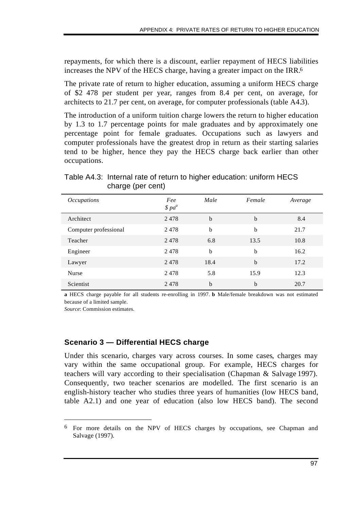repayments, for which there is a discount, earlier repayment of HECS liabilities increases the NPV of the HECS charge, having a greater impact on the IRR.6

The private rate of return to higher education, assuming a uniform HECS charge of \$2 478 per student per year, ranges from 8.4 per cent, on average, for architects to 21.7 per cent, on average, for computer professionals (table A4.3).

The introduction of a uniform tuition charge lowers the return to higher education by 1.3 to 1.7 percentage points for male graduates and by approximately one percentage point for female graduates. Occupations such as lawyers and computer professionals have the greatest drop in return as their starting salaries tend to be higher, hence they pay the HECS charge back earlier than other occupations.

| <i>Occupations</i>    | Fee<br>$$pa^a$ | Male        | Female      | Average |
|-----------------------|----------------|-------------|-------------|---------|
| Architect             | 2478           | $\mathbf b$ | $\mathbf b$ | 8.4     |
| Computer professional | 2478           | $\mathbf b$ | b           | 21.7    |
| Teacher               | 2478           | 6.8         | 13.5        | 10.8    |
| Engineer              | 2478           | $\mathbf b$ | b           | 16.2    |
| Lawyer                | 2478           | 18.4        | $\mathbf b$ | 17.2    |
| <b>Nurse</b>          | 2478           | 5.8         | 15.9        | 12.3    |
| Scientist             | 2478           | $\mathbf b$ | b           | 20.7    |

Table A4.3: Internal rate of return to higher education: uniform HECS charge (per cent)

**a** HECS charge payable for all students re-enrolling in 1997. **b** Male/female breakdown was not estimated because of a limited sample.

*Source*: Commission estimates.

 $\overline{a}$ 

#### **Scenario 3 — Differential HECS charge**

Under this scenario, charges vary across courses. In some cases, charges may vary within the same occupational group. For example, HECS charges for teachers will vary according to their specialisation (Chapman & Salvage 1997). Consequently, two teacher scenarios are modelled. The first scenario is an english-history teacher who studies three years of humanities (low HECS band, table A2.1) and one year of education (also low HECS band). The second

<sup>6</sup> For more details on the NPV of HECS charges by occupations, see Chapman and Salvage (1997).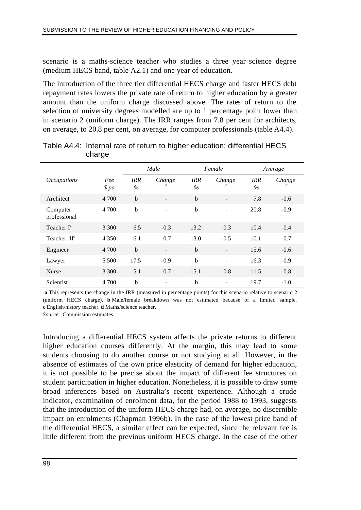scenario is a maths-science teacher who studies a three year science degree (medium HECS band, table A2.1) and one year of education.

The introduction of the three tier differential HECS charge and faster HECS debt repayment rates lowers the private rate of return to higher education by a greater amount than the uniform charge discussed above. The rates of return to the selection of university degrees modelled are up to 1 percentage point lower than in scenario 2 (uniform charge). The IRR ranges from 7.8 per cent for architects, on average, to 20.8 per cent, on average, for computer professionals (table A4.4).

|                          |             | Male<br>Female     |             |             | Average                  |                    |                          |
|--------------------------|-------------|--------------------|-------------|-------------|--------------------------|--------------------|--------------------------|
| <i>Occupations</i>       | Fee<br>\$pa | <b>IRR</b><br>$\%$ | Change<br>a | IRR<br>$\%$ | Change<br>a              | <b>IRR</b><br>$\%$ | Change<br>$\mathfrak{a}$ |
| Architect                | 4 700       | $\mathbf b$        |             | $\mathbf b$ |                          | 7.8                | $-0.6$                   |
| Computer<br>professional | 4 700       | $\mathbf b$        | ۰           | $\mathbf b$ | $\overline{\phantom{0}}$ | 20.8               | $-0.9$                   |
| Teacher I <sup>c</sup>   | 3 3 0 0     | 6.5                | $-0.3$      | 13.2        | $-0.3$                   | 10.4               | $-0.4$                   |
| Teacher II <sup>d</sup>  | 4 3 5 0     | 6.1                | $-0.7$      | 13.0        | $-0.5$                   | 10.1               | $-0.7$                   |
| Engineer                 | 4 700       | $\mathbf b$        |             | $\mathbf b$ | ۰                        | 15.6               | $-0.6$                   |
| Lawyer                   | 5 500       | 17.5               | $-0.9$      | $\mathbf b$ | ۰                        | 16.3               | $-0.9$                   |
| <b>Nurse</b>             | 3 3 0 0     | 5.1                | $-0.7$      | 15.1        | $-0.8$                   | 11.5               | $-0.8$                   |
| Scientist                | 4 700       | $\mathbf b$        |             | $\mathbf b$ | ۰                        | 19.7               | $-1.0$                   |

Table A4.4: Internal rate of return to higher education: differential HECS charge

**a** This represents the change in the IRR (measured in percentage points) for this scenario relative to scenario 2 (uniform HECS charge). **b** Male/female breakdown was not estimated because of a limited sample. **c** English/history teacher. **d** Maths/science teacher.

*Source*: Commission estimates.

Introducing a differential HECS system affects the private returns to different higher education courses differently. At the margin, this may lead to some students choosing to do another course or not studying at all. However, in the absence of estimates of the own price elasticity of demand for higher education, it is not possible to be precise about the impact of different fee structures on student participation in higher education. Nonetheless, it is possible to draw some broad inferences based on Australia's recent experience. Although a crude indicator, examination of enrolment data, for the period 1988 to 1993, suggests that the introduction of the uniform HECS charge had, on average, no discernible impact on enrolments (Chapman 1996b). In the case of the lowest price band of the differential HECS, a similar effect can be expected, since the relevant fee is little different from the previous uniform HECS charge. In the case of the other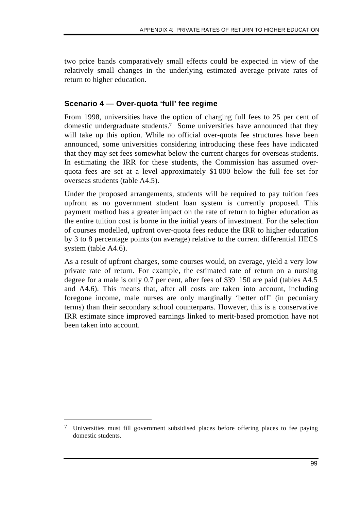two price bands comparatively small effects could be expected in view of the relatively small changes in the underlying estimated average private rates of return to higher education.

### **Scenario 4 — Over-quota 'full' fee regime**

From 1998, universities have the option of charging full fees to 25 per cent of domestic undergraduate students.7 Some universities have announced that they will take up this option. While no official over-quota fee structures have been announced, some universities considering introducing these fees have indicated that they may set fees somewhat below the current charges for overseas students. In estimating the IRR for these students, the Commission has assumed overquota fees are set at a level approximately \$1 000 below the full fee set for overseas students (table A4.5).

Under the proposed arrangements, students will be required to pay tuition fees upfront as no government student loan system is currently proposed. This payment method has a greater impact on the rate of return to higher education as the entire tuition cost is borne in the initial years of investment. For the selection of courses modelled, upfront over-quota fees reduce the IRR to higher education by 3 to 8 percentage points (on average) relative to the current differential HECS system (table A4.6).

As a result of upfront charges, some courses would, on average, yield a very low private rate of return. For example, the estimated rate of return on a nursing degree for a male is only 0.7 per cent, after fees of \$39 150 are paid (tables A4.5 and A4.6). This means that, after all costs are taken into account, including foregone income, male nurses are only marginally 'better off' (in pecuniary terms) than their secondary school counterparts. However, this is a conservative IRR estimate since improved earnings linked to merit-based promotion have not been taken into account.

 $\overline{a}$ 

<sup>7</sup> Universities must fill government subsidised places before offering places to fee paying domestic students.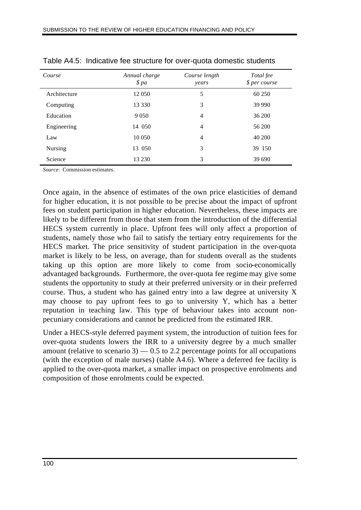| Course       | Annual charge<br>\$pa | Course length<br>years | Total fee<br>\$ per course |
|--------------|-----------------------|------------------------|----------------------------|
| Architecture | 12 050                | 5                      | 60 250                     |
| Computing    | 13 330                | 3                      | 39 990                     |
| Education    | 9 0 5 0               | $\overline{4}$         | 36 200                     |
| Engineering  | 14 050                | $\overline{4}$         | 56 200                     |
| Law          | 10 050                | $\overline{4}$         | 40 200                     |
| Nursing      | 13 050                | 3                      | 39 150                     |
| Science      | 13 230                | 3                      | 39 690                     |

Table A4.5: Indicative fee structure for over-quota domestic students

*Source*: Commission estimates.

Once again, in the absence of estimates of the own price elasticities of demand for higher education, it is not possible to be precise about the impact of upfront fees on student participation in higher education. Nevertheless, these impacts are likely to be different from those that stem from the introduction of the differential HECS system currently in place. Upfront fees will only affect a proportion of students, namely those who fail to satisfy the tertiary entry requirements for the HECS market. The price sensitivity of student participation in the over-quota market is likely to be less, on average, than for students overall as the students taking up this option are more likely to come from socio-economically advantaged backgrounds. Furthermore, the over-quota fee regime may give some students the opportunity to study at their preferred university or in their preferred course. Thus, a student who has gained entry into a law degree at university X may choose to pay upfront fees to go to university Y, which has a better reputation in teaching law. This type of behaviour takes into account nonpecuniary considerations and cannot be predicted from the estimated IRR.

Under a HECS-style deferred payment system, the introduction of tuition fees for over-quota students lowers the IRR to a university degree by a much smaller amount (relative to scenario 3)  $-0.5$  to 2.2 percentage points for all occupations (with the exception of male nurses) (table A4.6). Where a deferred fee facility is applied to the over-quota market, a smaller impact on prospective enrolments and composition of those enrolments could be expected.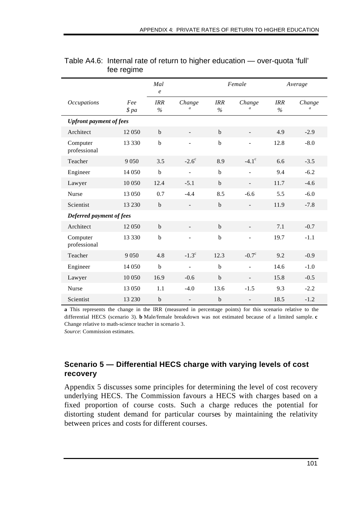|                                |             | Mal<br>$\boldsymbol{e}$ |                          | Female             |                          | Average            |                          |
|--------------------------------|-------------|-------------------------|--------------------------|--------------------|--------------------------|--------------------|--------------------------|
| <b>Occupations</b>             | Fee<br>\$pa | <b>IRR</b><br>$\%$      | Change<br>$\overline{a}$ | <b>IRR</b><br>$\%$ | Change<br>$\mathfrak a$  | <b>IRR</b><br>$\%$ | Change<br>$\mathfrak{a}$ |
| <b>Upfront payment of fees</b> |             |                         |                          |                    |                          |                    |                          |
| Architect                      | 12 050      | $\mathbf b$             | $\blacksquare$           | $\mathbf b$        |                          | 4.9                | $-2.9$                   |
| Computer<br>professional       | 13 330      | $\mathbf b$             |                          | $\mathbf b$        |                          | 12.8               | $-8.0$                   |
| Teacher                        | 9 0 5 0     | 3.5                     | $-2.6^\circ$             | 8.9                | $-4.1^{\circ}$           | 6.6                | $-3.5$                   |
| Engineer                       | 14 050      | $\mathbf b$             |                          | $\mathbf b$        |                          | 9.4                | $-6.2$                   |
| Lawyer                         | 10 050      | 12.4                    | $-5.1$                   | $\mathbf b$        | $\overline{\phantom{a}}$ | 11.7               | $-4.6$                   |
| Nurse                          | 13 050      | 0.7                     | $-4.4$                   | 8.5                | $-6.6$                   | 5.5                | $-6.0$                   |
| Scientist                      | 13 2 30     | $\mathbf b$             |                          | $\mathbf b$        |                          | 11.9               | $-7.8$                   |
| Deferred payment of fees       |             |                         |                          |                    |                          |                    |                          |
| Architect                      | 12 050      | $\mathbf b$             |                          | $\mathbf b$        |                          | 7.1                | $-0.7$                   |
| Computer<br>professional       | 13 330      | b                       |                          | $\bf b$            |                          | 19.7               | $-1.1$                   |
| Teacher                        | 9 0 5 0     | 4.8                     | $-1.3^{\circ}$           | 12.3               | $-0.7c$                  | 9.2                | $-0.9$                   |
| Engineer                       | 14 050      | $\mathbf b$             | $\overline{a}$           | $\mathbf b$        | $\overline{a}$           | 14.6               | $-1.0$                   |
| Lawyer                         | 10 050      | 16.9                    | $-0.6$                   | $\mathbf b$        | $\overline{\phantom{a}}$ | 15.8               | $-0.5$                   |
| Nurse                          | 13 050      | 1.1                     | $-4.0$                   | 13.6               | $-1.5$                   | 9.3                | $-2.2$                   |
| Scientist                      | 13 2 30     | $\mathbf b$             |                          | b                  |                          | 18.5               | $-1.2$                   |

#### Table A4.6: Internal rate of return to higher education — over-quota 'full' fee regime

**a** This represents the change in the IRR (measured in percentage points) for this scenario relative to the differential HECS (scenario 3). **b** Male/female breakdown was not estimated because of a limited sample. **c** Change relative to math-science teacher in scenario 3.

*Source*: Commission estimates.

### **Scenario 5 — Differential HECS charge with varying levels of cost recovery**

Appendix 5 discusses some principles for determining the level of cost recovery underlying HECS. The Commission favours a HECS with charges based on a fixed proportion of course costs. Such a charge reduces the potential for distorting student demand for particular courses by maintaining the relativity between prices and costs for different courses.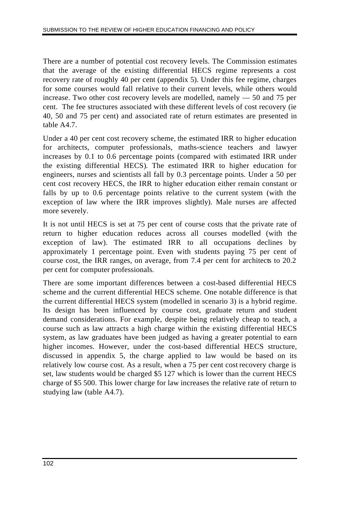There are a number of potential cost recovery levels. The Commission estimates that the average of the existing differential HECS regime represents a cost recovery rate of roughly 40 per cent (appendix 5). Under this fee regime, charges for some courses would fall relative to their current levels, while others would increase. Two other cost recovery levels are modelled, namely — 50 and 75 per cent. The fee structures associated with these different levels of cost recovery (ie 40, 50 and 75 per cent) and associated rate of return estimates are presented in table A4.7.

Under a 40 per cent cost recovery scheme, the estimated IRR to higher education for architects, computer professionals, maths-science teachers and lawyer increases by 0.1 to 0.6 percentage points (compared with estimated IRR under the existing differential HECS). The estimated IRR to higher education for engineers, nurses and scientists all fall by 0.3 percentage points. Under a 50 per cent cost recovery HECS, the IRR to higher education either remain constant or falls by up to 0.6 percentage points relative to the current system (with the exception of law where the IRR improves slightly). Male nurses are affected more severely.

It is not until HECS is set at 75 per cent of course costs that the private rate of return to higher education reduces across all courses modelled (with the exception of law). The estimated IRR to all occupations declines by approximately 1 percentage point. Even with students paying 75 per cent of course cost, the IRR ranges, on average, from 7.4 per cent for architects to 20.2 per cent for computer professionals.

There are some important differences between a cost-based differential HECS scheme and the current differential HECS scheme. One notable difference is that the current differential HECS system (modelled in scenario 3) is a hybrid regime. Its design has been influenced by course cost, graduate return and student demand considerations. For example, despite being relatively cheap to teach, a course such as law attracts a high charge within the existing differential HECS system, as law graduates have been judged as having a greater potential to earn higher incomes. However, under the cost-based differential HECS structure, discussed in appendix 5, the charge applied to law would be based on its relatively low course cost. As a result, when a 75 per cent cost recovery charge is set, law students would be charged \$5 127 which is lower than the current HECS charge of \$5 500. This lower charge for law increases the relative rate of return to studying law (table A4.7).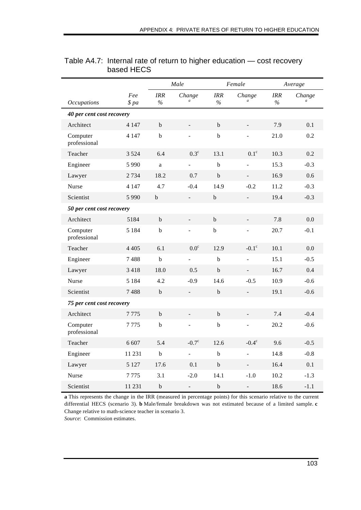|                           |                           | Male               |                            | Female      |                          | Average     |                          |  |  |
|---------------------------|---------------------------|--------------------|----------------------------|-------------|--------------------------|-------------|--------------------------|--|--|
| <b>Occupations</b>        | Fee<br>\$pa               | <b>IRR</b><br>$\%$ | Change<br>$\boldsymbol{a}$ | IRR<br>$\%$ | Change                   | IRR<br>$\%$ | Change<br>$\overline{a}$ |  |  |
| 40 per cent cost recovery |                           |                    |                            |             |                          |             |                          |  |  |
| Architect                 | 4 1 4 7                   | $\mathbf b$        | $\overline{\phantom{a}}$   | $\mathbf b$ |                          | 7.9         | 0.1                      |  |  |
| Computer<br>professional  | 4 1 4 7                   | $\mathbf b$        |                            | $\bf b$     |                          | 21.0        | 0.2                      |  |  |
| Teacher                   | 3 5 2 4                   | 6.4                | $0.3^{\circ}$              | 13.1        | $0.1^\circ$              | 10.3        | 0.2                      |  |  |
| Engineer                  | 5990                      | a                  |                            | b           |                          | 15.3        | $-0.3$                   |  |  |
| Lawyer                    | 2734                      | 18.2               | 0.7                        | $\bf b$     | $\blacksquare$           | 16.9        | 0.6                      |  |  |
| Nurse                     | 4 1 4 7                   | 4.7                | $-0.4$                     | 14.9        | $-0.2$                   | 11.2        | $-0.3$                   |  |  |
| Scientist                 | 5 9 9 0                   | $\rm b$            | $\Box$                     | $\bf b$     | $\overline{\phantom{a}}$ | 19.4        | $-0.3$                   |  |  |
|                           | 50 per cent cost recovery |                    |                            |             |                          |             |                          |  |  |
| Architect                 | 5184                      | $\mathbf b$        |                            | $\mathbf b$ |                          | 7.8         | 0.0                      |  |  |
| Computer<br>professional  | 5 1 8 4                   | $\bf b$            | ÷,                         | $\bf b$     | $\blacksquare$           | 20.7        | $-0.1$                   |  |  |
| Teacher                   | 4 4 0 5                   | 6.1                | 0.0 <sup>c</sup>           | 12.9        | $-0.1^\circ$             | 10.1        | 0.0                      |  |  |
| Engineer                  | 7488                      | $\mathbf b$        | $\blacksquare$             | $\bf b$     |                          | 15.1        | $-0.5$                   |  |  |
| Lawyer                    | 3 4 1 8                   | 18.0               | 0.5                        | $\mathbf b$ |                          | 16.7        | 0.4                      |  |  |
| <b>Nurse</b>              | 5 1 8 4                   | 4.2                | $-0.9$                     | 14.6        | $-0.5$                   | 10.9        | $-0.6$                   |  |  |
| Scientist                 | 7488                      | $\mathbf b$        | $\equiv$                   | $\mathbf b$ | $\overline{\phantom{a}}$ | 19.1        | $-0.6$                   |  |  |
| 75 per cent cost recovery |                           |                    |                            |             |                          |             |                          |  |  |
| Architect                 | 7775                      | $\rm b$            | $\qquad \qquad -$          | $\bf b$     |                          | 7.4         | $-0.4$                   |  |  |
| Computer<br>professional  | 7775                      | $\bf b$            |                            | $\mathbf b$ |                          | 20.2        | $-0.6$                   |  |  |
| Teacher                   | 6 607                     | 5.4                | $-0.7^{\circ}$             | 12.6        | $-0.4^{\circ}$           | 9.6         | $-0.5$                   |  |  |
| Engineer                  | 11 231                    | b                  | $\overline{a}$             | b           | $\overline{a}$           | 14.8        | $-0.8$                   |  |  |
| Lawyer                    | 5 1 2 7                   | 17.6               | 0.1                        | $\mathbf b$ | L,                       | 16.4        | 0.1                      |  |  |
| <b>Nurse</b>              | 7775                      | 3.1                | $-2.0$                     | 14.1        | $-1.0$                   | 10.2        | $-1.3$                   |  |  |
| Scientist                 | 11 231                    | $\mathbf b$        |                            | $\mathbf b$ |                          | 18.6        | $-1.1$                   |  |  |

### Table A4.7: Internal rate of return to higher education — cost recovery based HECS

**a** This represents the change in the IRR (measured in percentage points) for this scenario relative to the current differential HECS (scenario 3). **b** Male/female breakdown was not estimated because of a limited sample. **c** Change relative to math-science teacher in scenario 3.

*Source*: Commission estimates.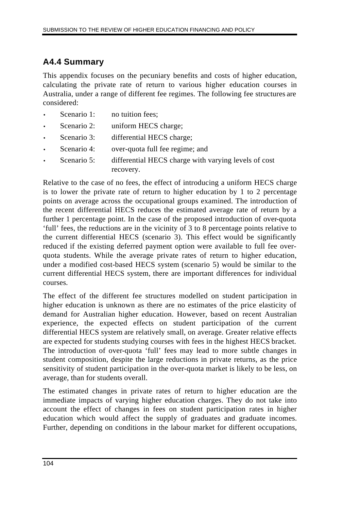# **A4.4 Summary**

This appendix focuses on the pecuniary benefits and costs of higher education, calculating the private rate of return to various higher education courses in Australia, under a range of different fee regimes. The following fee structures are considered:

- Scenario 1: no tuition fees:
- Scenario 2: uniform HECS charge;
- Scenario 3: differential HECS charge;
- Scenario 4: over-quota full fee regime; and
- Scenario 5: differential HECS charge with varying levels of cost recovery.

Relative to the case of no fees, the effect of introducing a uniform HECS charge is to lower the private rate of return to higher education by 1 to 2 percentage points on average across the occupational groups examined. The introduction of the recent differential HECS reduces the estimated average rate of return by a further 1 percentage point. In the case of the proposed introduction of over-quota 'full' fees, the reductions are in the vicinity of 3 to 8 percentage points relative to the current differential HECS (scenario 3). This effect would be significantly reduced if the existing deferred payment option were available to full fee overquota students. While the average private rates of return to higher education, under a modified cost-based HECS system (scenario 5) would be similar to the current differential HECS system, there are important differences for individual courses.

The effect of the different fee structures modelled on student participation in higher education is unknown as there are no estimates of the price elasticity of demand for Australian higher education. However, based on recent Australian experience, the expected effects on student participation of the current differential HECS system are relatively small, on average. Greater relative effects are expected for students studying courses with fees in the highest HECS bracket. The introduction of over-quota 'full' fees may lead to more subtle changes in student composition, despite the large reductions in private returns, as the price sensitivity of student participation in the over-quota market is likely to be less, on average, than for students overall.

The estimated changes in private rates of return to higher education are the immediate impacts of varying higher education charges. They do not take into account the effect of changes in fees on student participation rates in higher education which would affect the supply of graduates and graduate incomes. Further, depending on conditions in the labour market for different occupations,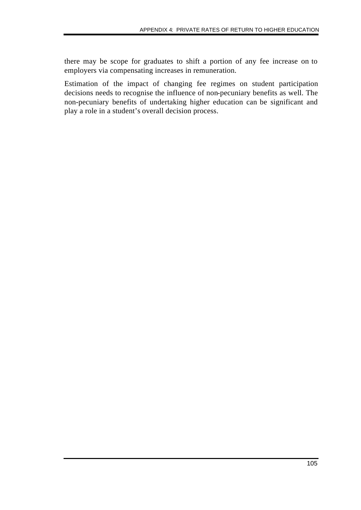there may be scope for graduates to shift a portion of any fee increase on to employers via compensating increases in remuneration.

Estimation of the impact of changing fee regimes on student participation decisions needs to recognise the influence of non-pecuniary benefits as well. The non-pecuniary benefits of undertaking higher education can be significant and play a role in a student's overall decision process.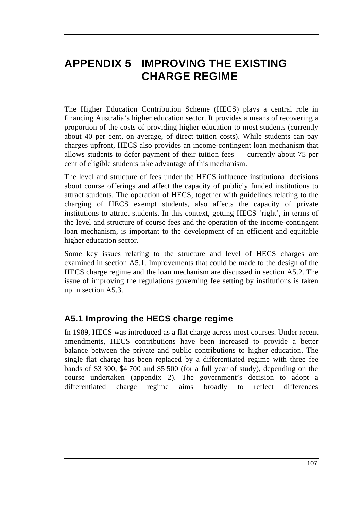# **APPENDIX 5 IMPROVING THE EXISTING CHARGE REGIME**

The Higher Education Contribution Scheme (HECS) plays a central role in financing Australia's higher education sector. It provides a means of recovering a proportion of the costs of providing higher education to most students (currently about 40 per cent, on average, of direct tuition costs). While students can pay charges upfront, HECS also provides an income-contingent loan mechanism that allows students to defer payment of their tuition fees — currently about 75 per cent of eligible students take advantage of this mechanism.

The level and structure of fees under the HECS influence institutional decisions about course offerings and affect the capacity of publicly funded institutions to attract students. The operation of HECS, together with guidelines relating to the charging of HECS exempt students, also affects the capacity of private institutions to attract students. In this context, getting HECS 'right', in terms of the level and structure of course fees and the operation of the income-contingent loan mechanism, is important to the development of an efficient and equitable higher education sector.

Some key issues relating to the structure and level of HECS charges are examined in section A5.1. Improvements that could be made to the design of the HECS charge regime and the loan mechanism are discussed in section A5.2. The issue of improving the regulations governing fee setting by institutions is taken up in section A5.3.

# **A5.1 Improving the HECS charge regime**

In 1989, HECS was introduced as a flat charge across most courses. Under recent amendments, HECS contributions have been increased to provide a better balance between the private and public contributions to higher education. The single flat charge has been replaced by a differentiated regime with three fee bands of \$3 300, \$4 700 and \$5 500 (for a full year of study), depending on the course undertaken (appendix 2). The government's decision to adopt a differentiated charge regime aims broadly to reflect differences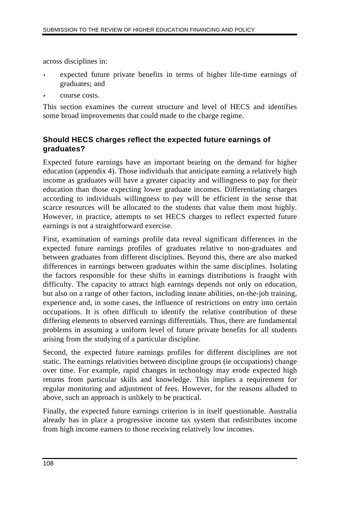across disciplines in:

- expected future private benefits in terms of higher life-time earnings of graduates; and
- course costs.

This section examines the current structure and level of HECS and identifies some broad improvements that could made to the charge regime.

## **Should HECS charges reflect the expected future earnings of graduates?**

Expected future earnings have an important bearing on the demand for higher education (appendix 4). Those individuals that anticipate earning a relatively high income as graduates will have a greater capacity and willingness to pay for their education than those expecting lower graduate incomes. Differentiating charges according to individuals willingness to pay will be efficient in the sense that scarce resources will be allocated to the students that value them most highly. However, in practice, attempts to set HECS charges to reflect expected future earnings is not a straightforward exercise.

First, examination of earnings profile data reveal significant differences in the expected future earnings profiles of graduates relative to non-graduates and between graduates from different disciplines. Beyond this, there are also marked differences in earnings between graduates within the same disciplines. Isolating the factors responsible for these shifts in earnings distributions is fraught with difficulty. The capacity to attract high earnings depends not only on education, but also on a range of other factors, including innate abilities, on-the-job training, experience and, in some cases, the influence of restrictions on entry into certain occupations. It is often difficult to identify the relative contribution of these differing elements to observed earnings differentials. Thus, there are fundamental problems in assuming a uniform level of future private benefits for all students arising from the studying of a particular discipline.

Second, the expected future earnings profiles for different disciplines are not static. The earnings relativities between discipline groups (ie occupations) change over time. For example, rapid changes in technology may erode expected high returns from particular skills and knowledge. This implies a requirement for regular monitoring and adjustment of fees. However, for the reasons alluded to above, such an approach is unlikely to be practical.

Finally, the expected future earnings criterion is in itself questionable. Australia already has in place a progressive income tax system that redistributes income from high income earners to those receiving relatively low incomes.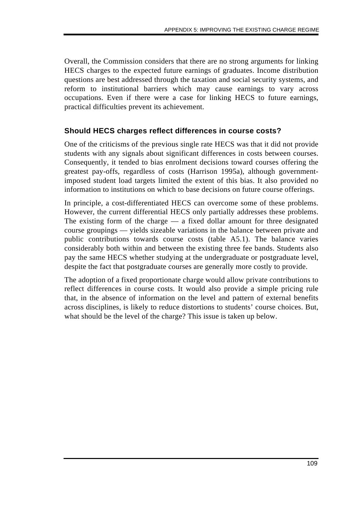Overall, the Commission considers that there are no strong arguments for linking HECS charges to the expected future earnings of graduates. Income distribution questions are best addressed through the taxation and social security systems, and reform to institutional barriers which may cause earnings to vary across occupations. Even if there were a case for linking HECS to future earnings, practical difficulties prevent its achievement.

### **Should HECS charges reflect differences in course costs?**

One of the criticisms of the previous single rate HECS was that it did not provide students with any signals about significant differences in costs between courses. Consequently, it tended to bias enrolment decisions toward courses offering the greatest pay-offs, regardless of costs (Harrison 1995a), although governmentimposed student load targets limited the extent of this bias. It also provided no information to institutions on which to base decisions on future course offerings.

In principle, a cost-differentiated HECS can overcome some of these problems. However, the current differential HECS only partially addresses these problems. The existing form of the charge — a fixed dollar amount for three designated course groupings — yields sizeable variations in the balance between private and public contributions towards course costs (table A5.1). The balance varies considerably both within and between the existing three fee bands. Students also pay the same HECS whether studying at the undergraduate or postgraduate level, despite the fact that postgraduate courses are generally more costly to provide.

The adoption of a fixed proportionate charge would allow private contributions to reflect differences in course costs. It would also provide a simple pricing rule that, in the absence of information on the level and pattern of external benefits across disciplines, is likely to reduce distortions to students' course choices. But, what should be the level of the charge? This issue is taken up below.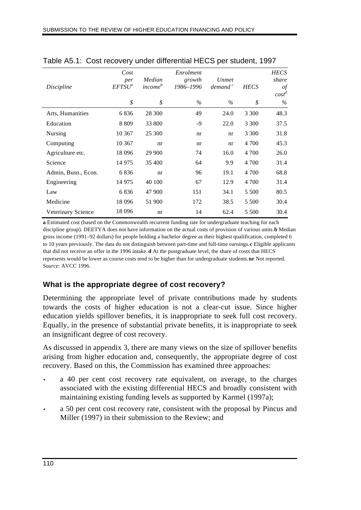| Discipline          | Cost<br>per<br>EFTSU <sup>a</sup> | Median<br><i>income</i> <sup>b</sup> | Enrolment<br>growth<br>1986-1996 | Unmet<br>demand <sup>c</sup> | <b>HECS</b> | <b>HECS</b><br>share<br>$\iota$<br>$cost^d$ |
|---------------------|-----------------------------------|--------------------------------------|----------------------------------|------------------------------|-------------|---------------------------------------------|
|                     | \$                                | \$                                   | $\%$                             | $\%$                         | \$          | $\%$                                        |
| Arts, Humanities    | 6836                              | 28 300                               | 49                               | 24.0                         | 3 3 0 0     | 48.3                                        |
| Education           | 8 8 0 9                           | 33 800                               | $-9$                             | 22.0                         | 3 3 0 0     | 37.5                                        |
| <b>Nursing</b>      | 10 367                            | 25 300                               | nr                               | nr                           | 3 3 0 0     | 31.8                                        |
| Computing           | 10 367                            | nr                                   | nr                               | nr                           | 4 700       | 45.3                                        |
| Agriculture etc.    | 18 0 96                           | 29 900                               | 74                               | 16.0                         | 4 700       | 26.0                                        |
| Science             | 14 975                            | 35 400                               | 64                               | 9.9                          | 4 700       | 31.4                                        |
| Admin, Busn., Econ. | 6836                              | nr                                   | 96                               | 19.1                         | 4 700       | 68.8                                        |
| Engineering         | 14 975                            | 40 100                               | 67                               | 12.9                         | 4 700       | 31.4                                        |
| Law                 | 6836                              | 47 900                               | 151                              | 34.1                         | 5 500       | 80.5                                        |
| Medicine            | 18 096                            | 51 900                               | 172                              | 38.5                         | 5 500       | 30.4                                        |
| Veterinary Science  | 18 0 96                           | nr                                   | 14                               | 62.4                         | 5 500       | 30.4                                        |

Table A5.1: Cost recovery under differential HECS per student, 1997

**a** Estimated cost (based on the Commonwealth recurrent funding rate for undergraduate teaching for each discipline group). DEETYA does not have information on the actual costs of provision of various units. **b** Median gross income (1991–92 dollars) for people holding a bachelor degree as their highest qualification, completed 6 to 10 years previously. The data do not distinguish between part-time and full-time earnings. **c** Eligible applicants that did not receive an offer in the 1996 intake. **d** At the postgraduate level, the share of costs that HECS represents would be lower as course costs tend to be higher than for undergraduate students. **nr** Not reported. *Source*: AVCC 1996.

## **What is the appropriate degree of cost recovery?**

Determining the appropriate level of private contributions made by students towards the costs of higher education is not a clear-cut issue. Since higher education yields spillover benefits, it is inappropriate to seek full cost recovery. Equally, in the presence of substantial private benefits, it is inappropriate to seek an insignificant degree of cost recovery.

As discussed in appendix 3, there are many views on the size of spillover benefits arising from higher education and, consequently, the appropriate degree of cost recovery. Based on this, the Commission has examined three approaches:

- a 40 per cent cost recovery rate equivalent, on average, to the charges associated with the existing differential HECS and broadly consistent with maintaining existing funding levels as supported by Karmel (1997a);
- a 50 per cent cost recovery rate, consistent with the proposal by Pincus and Miller (1997) in their submission to the Review; and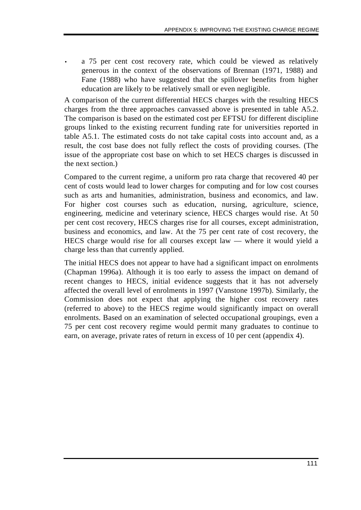a 75 per cent cost recovery rate, which could be viewed as relatively generous in the context of the observations of Brennan (1971, 1988) and Fane (1988) who have suggested that the spillover benefits from higher education are likely to be relatively small or even negligible.

A comparison of the current differential HECS charges with the resulting HECS charges from the three approaches canvassed above is presented in table A5.2. The comparison is based on the estimated cost per EFTSU for different discipline groups linked to the existing recurrent funding rate for universities reported in table A5.1. The estimated costs do not take capital costs into account and, as a result, the cost base does not fully reflect the costs of providing courses. (The issue of the appropriate cost base on which to set HECS charges is discussed in the next section.)

Compared to the current regime, a uniform pro rata charge that recovered 40 per cent of costs would lead to lower charges for computing and for low cost courses such as arts and humanities, administration, business and economics, and law. For higher cost courses such as education, nursing, agriculture, science, engineering, medicine and veterinary science, HECS charges would rise. At 50 per cent cost recovery, HECS charges rise for all courses, except administration, business and economics, and law. At the 75 per cent rate of cost recovery, the HECS charge would rise for all courses except law — where it would yield a charge less than that currently applied.

The initial HECS does not appear to have had a significant impact on enrolments (Chapman 1996a). Although it is too early to assess the impact on demand of recent changes to HECS, initial evidence suggests that it has not adversely affected the overall level of enrolments in 1997 (Vanstone 1997b). Similarly, the Commission does not expect that applying the higher cost recovery rates (referred to above) to the HECS regime would significantly impact on overall enrolments. Based on an examination of selected occupational groupings, even a 75 per cent cost recovery regime would permit many graduates to continue to earn, on average, private rates of return in excess of 10 per cent (appendix 4).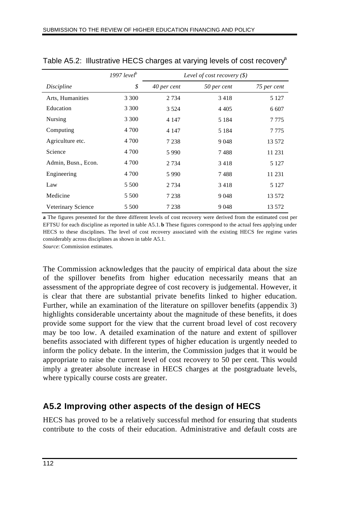|                     | 1997 level <sup>b</sup> |             | Level of cost recovery $(\$)$ |             |
|---------------------|-------------------------|-------------|-------------------------------|-------------|
| Discipline          | \$                      | 40 per cent | 50 per cent                   | 75 per cent |
| Arts, Humanities    | 3 3 0 0                 | 2 7 3 4     | 3418                          | 5 1 2 7     |
| Education           | 3 3 0 0                 | 3 5 2 4     | 4 4 0 5                       | 6 607       |
| Nursing             | 3 3 0 0                 | 4 1 4 7     | 5 1 8 4                       | 7 7 7 5     |
| Computing           | 4 700                   | 4 1 4 7     | 5 1 8 4                       | 7 7 7 5     |
| Agriculture etc.    | 4 700                   | 7 2 3 8     | 9048                          | 13 572      |
| Science             | 4 700                   | 5990        | 7488                          | 11 231      |
| Admin, Busn., Econ. | 4 700                   | 2 7 3 4     | 3418                          | 5 1 2 7     |
| Engineering         | 4 700                   | 5990        | 7488                          | 11 231      |
| Law                 | 5 500                   | 2 7 3 4     | 3418                          | 5 1 2 7     |
| Medicine            | 5 500                   | 7 2 3 8     | 9048                          | 13 572      |
| Veterinary Science  | 5 500                   | 7 2 3 8     | 9048                          | 13 572      |

Table A5.2: Illustrative HECS charges at varying levels of cost recovery $\alpha$ 

**a** The figures presented for the three different levels of cost recovery were derived from the estimated cost per EFTSU for each discipline as reported in table A5.1. **b** These figures correspond to the actual fees applying under HECS to these disciplines. The level of cost recovery associated with the existing HECS fee regime varies considerably across disciplines as shown in table A5.1. *Source*: Commission estimates.

The Commission acknowledges that the paucity of empirical data about the size of the spillover benefits from higher education necessarily means that an assessment of the appropriate degree of cost recovery is judgemental. However, it is clear that there are substantial private benefits linked to higher education. Further, while an examination of the literature on spillover benefits (appendix 3) highlights considerable uncertainty about the magnitude of these benefits, it does provide some support for the view that the current broad level of cost recovery may be too low. A detailed examination of the nature and extent of spillover benefits associated with different types of higher education is urgently needed to inform the policy debate. In the interim, the Commission judges that it would be appropriate to raise the current level of cost recovery to 50 per cent. This would imply a greater absolute increase in HECS charges at the postgraduate levels, where typically course costs are greater.

# **A5.2 Improving other aspects of the design of HECS**

HECS has proved to be a relatively successful method for ensuring that students contribute to the costs of their education. Administrative and default costs are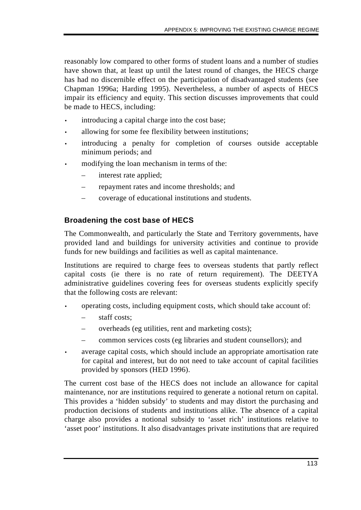reasonably low compared to other forms of student loans and a number of studies have shown that, at least up until the latest round of changes, the HECS charge has had no discernible effect on the participation of disadvantaged students (see Chapman 1996a; Harding 1995). Nevertheless, a number of aspects of HECS impair its efficiency and equity. This section discusses improvements that could be made to HECS, including:

- introducing a capital charge into the cost base;
- allowing for some fee flexibility between institutions;
- introducing a penalty for completion of courses outside acceptable minimum periods; and
- modifying the loan mechanism in terms of the:
	- interest rate applied;
	- repayment rates and income thresholds; and
	- coverage of educational institutions and students.

## **Broadening the cost base of HECS**

The Commonwealth, and particularly the State and Territory governments, have provided land and buildings for university activities and continue to provide funds for new buildings and facilities as well as capital maintenance.

Institutions are required to charge fees to overseas students that partly reflect capital costs (ie there is no rate of return requirement). The DEETYA administrative guidelines covering fees for overseas students explicitly specify that the following costs are relevant:

- operating costs, including equipment costs, which should take account of:
	- staff costs;
	- overheads (eg utilities, rent and marketing costs);
	- common services costs (eg libraries and student counsellors); and
- average capital costs, which should include an appropriate amortisation rate for capital and interest, but do not need to take account of capital facilities provided by sponsors (HED 1996).

The current cost base of the HECS does not include an allowance for capital maintenance, nor are institutions required to generate a notional return on capital. This provides a 'hidden subsidy' to students and may distort the purchasing and production decisions of students and institutions alike. The absence of a capital charge also provides a notional subsidy to 'asset rich' institutions relative to 'asset poor' institutions. It also disadvantages private institutions that are required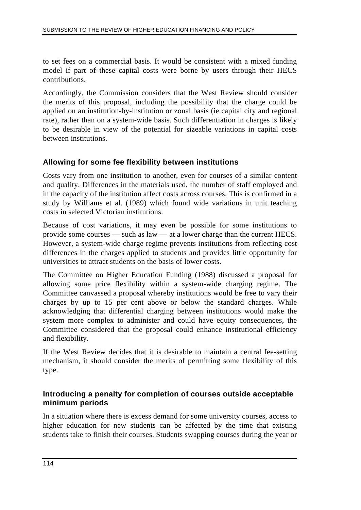to set fees on a commercial basis. It would be consistent with a mixed funding model if part of these capital costs were borne by users through their HECS contributions.

Accordingly, the Commission considers that the West Review should consider the merits of this proposal, including the possibility that the charge could be applied on an institution-by-institution or zonal basis (ie capital city and regional rate), rather than on a system-wide basis. Such differentiation in charges is likely to be desirable in view of the potential for sizeable variations in capital costs between institutions.

### **Allowing for some fee flexibility between institutions**

Costs vary from one institution to another, even for courses of a similar content and quality. Differences in the materials used, the number of staff employed and in the capacity of the institution affect costs across courses. This is confirmed in a study by Williams et al. (1989) which found wide variations in unit teaching costs in selected Victorian institutions.

Because of cost variations, it may even be possible for some institutions to provide some courses — such as law — at a lower charge than the current HECS. However, a system-wide charge regime prevents institutions from reflecting cost differences in the charges applied to students and provides little opportunity for universities to attract students on the basis of lower costs.

The Committee on Higher Education Funding (1988) discussed a proposal for allowing some price flexibility within a system-wide charging regime. The Committee canvassed a proposal whereby institutions would be free to vary their charges by up to 15 per cent above or below the standard charges. While acknowledging that differential charging between institutions would make the system more complex to administer and could have equity consequences, the Committee considered that the proposal could enhance institutional efficiency and flexibility.

If the West Review decides that it is desirable to maintain a central fee-setting mechanism, it should consider the merits of permitting some flexibility of this type.

### **Introducing a penalty for completion of courses outside acceptable minimum periods**

In a situation where there is excess demand for some university courses, access to higher education for new students can be affected by the time that existing students take to finish their courses. Students swapping courses during the year or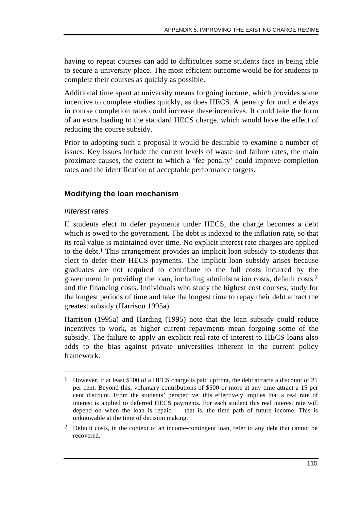having to repeat courses can add to difficulties some students face in being able to secure a university place. The most efficient outcome would be for students to complete their courses as quickly as possible.

Additional time spent at university means forgoing income, which provides some incentive to complete studies quickly, as does HECS. A penalty for undue delays in course completion rates could increase these incentives. It could take the form of an extra loading to the standard HECS charge, which would have the effect of reducing the course subsidy.

Prior to adopting such a proposal it would be desirable to examine a number of issues. Key issues include the current levels of waste and failure rates, the main proximate causes, the extent to which a 'fee penalty' could improve completion rates and the identification of acceptable performance targets.

## **Modifying the loan mechanism**

### *Interest rates*

 $\overline{a}$ 

If students elect to defer payments under HECS, the charge becomes a debt which is owed to the government. The debt is indexed to the inflation rate, so that its real value is maintained over time. No explicit interest rate charges are applied to the debt.1 This arrangement provides an implicit loan subsidy to students that elect to defer their HECS payments. The implicit loan subsidy arises because graduates are not required to contribute to the full costs incurred by the government in providing the loan, including administration costs, default costs 2 and the financing costs. Individuals who study the highest cost courses, study for the longest periods of time and take the longest time to repay their debt attract the greatest subsidy (Harrison 1995a).

Harrison (1995a) and Harding (1995) note that the loan subsidy could reduce incentives to work, as higher current repayments mean forgoing some of the subsidy. The failure to apply an explicit real rate of interest to HECS loans also adds to the bias against private universities inherent in the current policy framework.

<sup>&</sup>lt;sup>1</sup> However, if at least \$500 of a HECS charge is paid upfront, the debt attracts a discount of 25 per cent. Beyond this, voluntary contributions of \$500 or more at any time attract a 15 per cent discount. From the students' perspective, this effectively implies that a real rate of interest is applied to deferred HECS payments. For each student this real interest rate will depend on when the loan is repaid  $-$  that is, the time path of future income. This is unknowable at the time of decision making.

<sup>&</sup>lt;sup>2</sup> Default costs, in the context of an income-contingent loan, refer to any debt that cannot be recovered.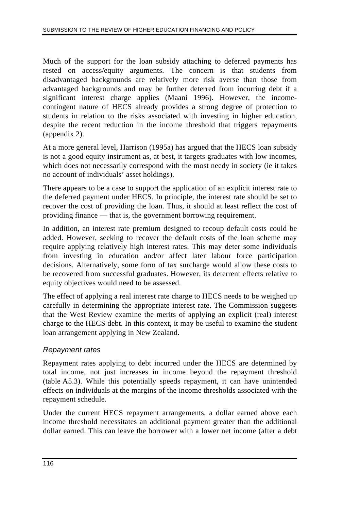Much of the support for the loan subsidy attaching to deferred payments has rested on access/equity arguments. The concern is that students from disadvantaged backgrounds are relatively more risk averse than those from advantaged backgrounds and may be further deterred from incurring debt if a significant interest charge applies (Maani 1996). However, the incomecontingent nature of HECS already provides a strong degree of protection to students in relation to the risks associated with investing in higher education, despite the recent reduction in the income threshold that triggers repayments (appendix 2).

At a more general level, Harrison (1995a) has argued that the HECS loan subsidy is not a good equity instrument as, at best, it targets graduates with low incomes, which does not necessarily correspond with the most needy in society (ie it takes no account of individuals' asset holdings).

There appears to be a case to support the application of an explicit interest rate to the deferred payment under HECS. In principle, the interest rate should be set to recover the cost of providing the loan. Thus, it should at least reflect the cost of providing finance — that is, the government borrowing requirement.

In addition, an interest rate premium designed to recoup default costs could be added. However, seeking to recover the default costs of the loan scheme may require applying relatively high interest rates. This may deter some individuals from investing in education and/or affect later labour force participation decisions. Alternatively, some form of tax surcharge would allow these costs to be recovered from successful graduates. However, its deterrent effects relative to equity objectives would need to be assessed.

The effect of applying a real interest rate charge to HECS needs to be weighed up carefully in determining the appropriate interest rate. The Commission suggests that the West Review examine the merits of applying an explicit (real) interest charge to the HECS debt. In this context, it may be useful to examine the student loan arrangement applying in New Zealand.

## *Repayment rates*

Repayment rates applying to debt incurred under the HECS are determined by total income, not just increases in income beyond the repayment threshold (table A5.3). While this potentially speeds repayment, it can have unintended effects on individuals at the margins of the income thresholds associated with the repayment schedule.

Under the current HECS repayment arrangements, a dollar earned above each income threshold necessitates an additional payment greater than the additional dollar earned. This can leave the borrower with a lower net income (after a debt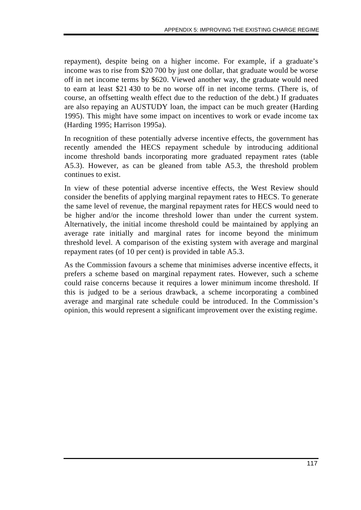repayment), despite being on a higher income. For example, if a graduate's income was to rise from \$20 700 by just one dollar, that graduate would be worse off in net income terms by \$620. Viewed another way, the graduate would need to earn at least \$21 430 to be no worse off in net income terms. (There is, of course, an offsetting wealth effect due to the reduction of the debt.) If graduates are also repaying an AUSTUDY loan, the impact can be much greater (Harding 1995). This might have some impact on incentives to work or evade income tax (Harding 1995; Harrison 1995a).

In recognition of these potentially adverse incentive effects, the government has recently amended the HECS repayment schedule by introducing additional income threshold bands incorporating more graduated repayment rates (table A5.3). However, as can be gleaned from table A5.3, the threshold problem continues to exist.

In view of these potential adverse incentive effects, the West Review should consider the benefits of applying marginal repayment rates to HECS. To generate the same level of revenue, the marginal repayment rates for HECS would need to be higher and/or the income threshold lower than under the current system. Alternatively, the initial income threshold could be maintained by applying an average rate initially and marginal rates for income beyond the minimum threshold level. A comparison of the existing system with average and marginal repayment rates (of 10 per cent) is provided in table A5.3.

As the Commission favours a scheme that minimises adverse incentive effects, it prefers a scheme based on marginal repayment rates. However, such a scheme could raise concerns because it requires a lower minimum income threshold. If this is judged to be a serious drawback, a scheme incorporating a combined average and marginal rate schedule could be introduced. In the Commission's opinion, this would represent a significant improvement over the existing regime.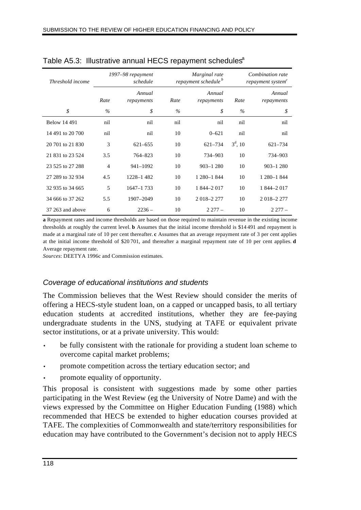| Threshold income    | 1997–98 repayment<br>schedule |                      |      | Marginal rate<br>repayment schedule <sup>b</sup> |            | Combination rate<br>repayment system <sup>c</sup> |  |
|---------------------|-------------------------------|----------------------|------|--------------------------------------------------|------------|---------------------------------------------------|--|
|                     | Rate                          | Annual<br>repayments | Rate | Annual<br>repayments                             | Rate       | Annual<br>repayments                              |  |
| \$                  | $\%$                          | \$                   | $\%$ | \$                                               | $\%$       | \$                                                |  |
| <b>Below 14 491</b> | nil                           | nil                  | nil  | nil                                              | nil        | nil                                               |  |
| 14 491 to 20 700    | nil                           | nil                  | 10   | $0 - 621$                                        | nil        | nil                                               |  |
| 20 701 to 21 830    | 3                             | $621 - 655$          | 10   | $621 - 734$                                      | $3^d$ , 10 | 621-734                                           |  |
| 21 831 to 23 524    | 3.5                           | 764-823              | 10   | 734-903                                          | 10         | 734-903                                           |  |
| 23 525 to 27 288    | 4                             | 941-1092             | 10   | $903 - 1280$                                     | 10         | $903 - 1280$                                      |  |
| 27 289 to 32 934    | 4.5                           | 1228-1482            | 10   | 1 280-1 844                                      | 10         | 1 280-1 844                                       |  |
| 32 935 to 34 665    | 5                             | $1647 - 1733$        | 10   | 1 844-2 017                                      | 10         | 1 844-2 017                                       |  |
| 34 666 to 37 262    | 5.5                           | 1907-2049            | 10   | 2 018 - 2 277                                    | 10         | 2 018-2 277                                       |  |
| 37 263 and above    | 6                             | $2236 -$             | 10   | $2277-$                                          | 10         | $2277-$                                           |  |

Table A5.3: Illustrative annual HECS repayment schedules<sup>a</sup>

**a** Repayment rates and income thresholds are based on those required to maintain revenue in the existing income thresholds at roughly the current level. **b** Assumes that the initial income threshold is \$14 491 and repayment is made at a marginal rate of 10 per cent thereafter. **c** Assumes that an average repayment rate of 3 per cent applies at the initial income threshold of \$20 701, and thereafter a marginal repayment rate of 10 per cent applies. **d** Average repayment rate.

*Sources*: DEETYA 1996c and Commission estimates.

### *Coverage of educational institutions and students*

The Commission believes that the West Review should consider the merits of offering a HECS-style student loan, on a capped or uncapped basis, to all tertiary education students at accredited institutions, whether they are fee-paying undergraduate students in the UNS, studying at TAFE or equivalent private sector institutions, or at a private university. This would:

- be fully consistent with the rationale for providing a student loan scheme to overcome capital market problems;
- promote competition across the tertiary education sector; and
- promote equality of opportunity.

This proposal is consistent with suggestions made by some other parties participating in the West Review (eg the University of Notre Dame) and with the views expressed by the Committee on Higher Education Funding (1988) which recommended that HECS be extended to higher education courses provided at TAFE. The complexities of Commonwealth and state/territory responsibilities for education may have contributed to the Government's decision not to apply HECS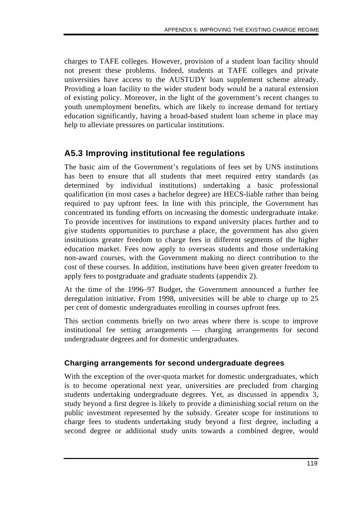charges to TAFE colleges. However, provision of a student loan facility should not present these problems. Indeed, students at TAFE colleges and private universities have access to the AUSTUDY loan supplement scheme already. Providing a loan facility to the wider student body would be a natural extension of existing policy. Moreover, in the light of the government's recent changes to youth unemployment benefits, which are likely to increase demand for tertiary education significantly, having a broad-based student loan scheme in place may help to alleviate pressures on particular institutions.

# **A5.3 Improving institutional fee regulations**

The basic aim of the Government's regulations of fees set by UNS institutions has been to ensure that all students that meet required entry standards (as determined by individual institutions) undertaking a basic professional qualification (in most cases a bachelor degree) are HECS-liable rather than being required to pay upfront fees. In line with this principle, the Government has concentrated its funding efforts on increasing the domestic undergraduate intake. To provide incentives for institutions to expand university places further and to give students opportunities to purchase a place, the government has also given institutions greater freedom to charge fees in different segments of the higher education market. Fees now apply to overseas students and those undertaking non-award courses, with the Government making no direct contribution to the cost of these courses. In addition, institutions have been given greater freedom to apply fees to postgraduate and graduate students (appendix 2).

At the time of the 1996–97 Budget, the Government announced a further fee deregulation initiative. From 1998, universities will be able to charge up to 25 per cent of domestic undergraduates enrolling in courses upfront fees.

This section comments briefly on two areas where there is scope to improve institutional fee setting arrangements — charging arrangements for second undergraduate degrees and for domestic undergraduates.

## **Charging arrangements for second undergraduate degrees**

With the exception of the over-quota market for domestic undergraduates, which is to become operational next year, universities are precluded from charging students undertaking undergraduate degrees. Yet, as discussed in appendix 3, study beyond a first degree is likely to provide a diminishing social return on the public investment represented by the subsidy. Greater scope for institutions to charge fees to students undertaking study beyond a first degree, including a second degree or additional study units towards a combined degree, would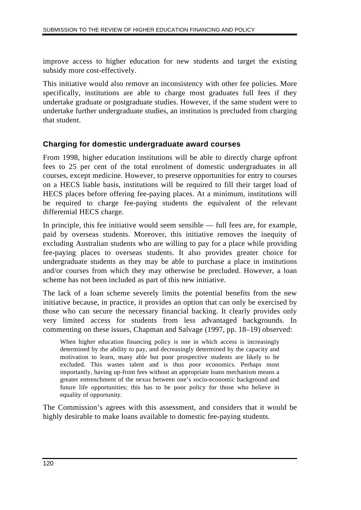improve access to higher education for new students and target the existing subsidy more cost-effectively.

This initiative would also remove an inconsistency with other fee policies. More specifically, institutions are able to charge most graduates full fees if they undertake graduate or postgraduate studies. However, if the same student were to undertake further undergraduate studies, an institution is precluded from charging that student.

### **Charging for domestic undergraduate award courses**

From 1998, higher education institutions will be able to directly charge upfront fees to 25 per cent of the total enrolment of domestic undergraduates in all courses, except medicine. However, to preserve opportunities for entry to courses on a HECS liable basis, institutions will be required to fill their target load of HECS places before offering fee-paying places. At a minimum, institutions will be required to charge fee-paying students the equivalent of the relevant differential HECS charge.

In principle, this fee initiative would seem sensible — full fees are, for example, paid by overseas students. Moreover, this initiative removes the inequity of excluding Australian students who are willing to pay for a place while providing fee-paying places to overseas students. It also provides greater choice for undergraduate students as they may be able to purchase a place in institutions and/or courses from which they may otherwise be precluded. However, a loan scheme has not been included as part of this new initiative.

The lack of a loan scheme severely limits the potential benefits from the new initiative because, in practice, it provides an option that can only be exercised by those who can secure the necessary financial backing. It clearly provides only very limited access for students from less advantaged backgrounds. In commenting on these issues, Chapman and Salvage (1997, pp. 18–19) observed:

When higher education financing policy is one in which access is increasingly determined by the ability to pay, and decreasingly determined by the capacity and motivation to learn, many able but poor prospective students are likely to be excluded. This wastes talent and is thus poor economics. Perhaps most importantly, having up-front fees without an appropriate loans mechanism means a greater entrenchment of the nexus between one's socio-economic background and future life opportunities; this has to be poor policy for those who believe in equality of opportunity.

The Commission's agrees with this assessment, and considers that it would be highly desirable to make loans available to domestic fee-paying students.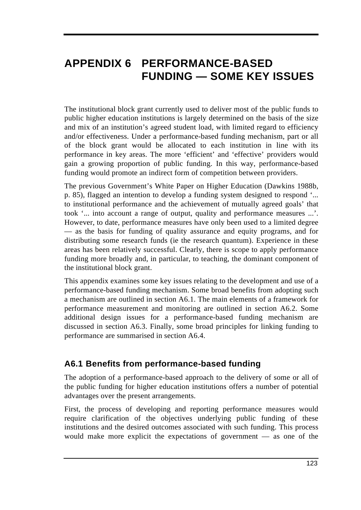# **APPENDIX 6 PERFORMANCE-BASED FUNDING — SOME KEY ISSUES**

The institutional block grant currently used to deliver most of the public funds to public higher education institutions is largely determined on the basis of the size and mix of an institution's agreed student load, with limited regard to efficiency and/or effectiveness. Under a performance-based funding mechanism, part or all of the block grant would be allocated to each institution in line with its performance in key areas. The more 'efficient' and 'effective' providers would gain a growing proportion of public funding. In this way, performance-based funding would promote an indirect form of competition between providers.

The previous Government's White Paper on Higher Education (Dawkins 1988b, p. 85), flagged an intention to develop a funding system designed to respond '... to institutional performance and the achievement of mutually agreed goals' that took '... into account a range of output, quality and performance measures ...'. However, to date, performance measures have only been used to a limited degree — as the basis for funding of quality assurance and equity programs, and for distributing some research funds (ie the research quantum). Experience in these areas has been relatively successful. Clearly, there is scope to apply performance funding more broadly and, in particular, to teaching, the dominant component of the institutional block grant.

This appendix examines some key issues relating to the development and use of a performance-based funding mechanism. Some broad benefits from adopting such a mechanism are outlined in section A6.1. The main elements of a framework for performance measurement and monitoring are outlined in section A6.2. Some additional design issues for a performance-based funding mechanism are discussed in section A6.3. Finally, some broad principles for linking funding to performance are summarised in section A6.4.

# **A6.1 Benefits from performance-based funding**

The adoption of a performance-based approach to the delivery of some or all of the public funding for higher education institutions offers a number of potential advantages over the present arrangements.

First, the process of developing and reporting performance measures would require clarification of the objectives underlying public funding of these institutions and the desired outcomes associated with such funding. This process would make more explicit the expectations of government — as one of the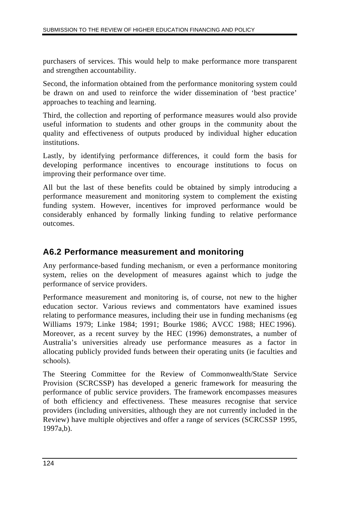purchasers of services. This would help to make performance more transparent and strengthen accountability.

Second, the information obtained from the performance monitoring system could be drawn on and used to reinforce the wider dissemination of 'best practice' approaches to teaching and learning.

Third, the collection and reporting of performance measures would also provide useful information to students and other groups in the community about the quality and effectiveness of outputs produced by individual higher education institutions.

Lastly, by identifying performance differences, it could form the basis for developing performance incentives to encourage institutions to focus on improving their performance over time.

All but the last of these benefits could be obtained by simply introducing a performance measurement and monitoring system to complement the existing funding system. However, incentives for improved performance would be considerably enhanced by formally linking funding to relative performance outcomes.

# **A6.2 Performance measurement and monitoring**

Any performance-based funding mechanism, or even a performance monitoring system, relies on the development of measures against which to judge the performance of service providers.

Performance measurement and monitoring is, of course, not new to the higher education sector. Various reviews and commentators have examined issues relating to performance measures, including their use in funding mechanisms (eg Williams 1979; Linke 1984; 1991; Bourke 1986; AVCC 1988; HEC 1996). Moreover, as a recent survey by the HEC (1996) demonstrates, a number of Australia's universities already use performance measures as a factor in allocating publicly provided funds between their operating units (ie faculties and schools).

The Steering Committee for the Review of Commonwealth/State Service Provision (SCRCSSP) has developed a generic framework for measuring the performance of public service providers. The framework encompasses measures of both efficiency and effectiveness. These measures recognise that service providers (including universities, although they are not currently included in the Review) have multiple objectives and offer a range of services (SCRCSSP 1995, 1997a,b).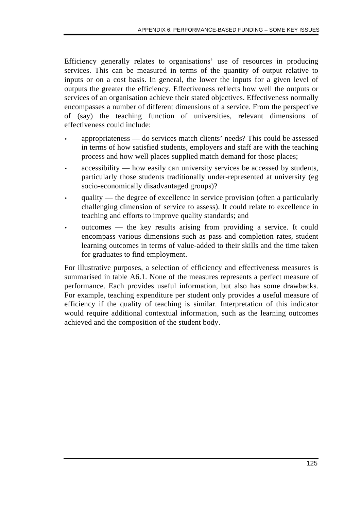Efficiency generally relates to organisations' use of resources in producing services. This can be measured in terms of the quantity of output relative to inputs or on a cost basis. In general, the lower the inputs for a given level of outputs the greater the efficiency. Effectiveness reflects how well the outputs or services of an organisation achieve their stated objectives. Effectiveness normally encompasses a number of different dimensions of a service. From the perspective of (say) the teaching function of universities, relevant dimensions of effectiveness could include:

- appropriateness do services match clients' needs? This could be assessed in terms of how satisfied students, employers and staff are with the teaching process and how well places supplied match demand for those places;
- accessibility how easily can university services be accessed by students, particularly those students traditionally under-represented at university (eg socio-economically disadvantaged groups)?
- quality the degree of excellence in service provision (often a particularly challenging dimension of service to assess). It could relate to excellence in teaching and efforts to improve quality standards; and
- outcomes the key results arising from providing a service. It could encompass various dimensions such as pass and completion rates, student learning outcomes in terms of value-added to their skills and the time taken for graduates to find employment.

For illustrative purposes, a selection of efficiency and effectiveness measures is summarised in table A6.1. None of the measures represents a perfect measure of performance. Each provides useful information, but also has some drawbacks. For example, teaching expenditure per student only provides a useful measure of efficiency if the quality of teaching is similar. Interpretation of this indicator would require additional contextual information, such as the learning outcomes achieved and the composition of the student body.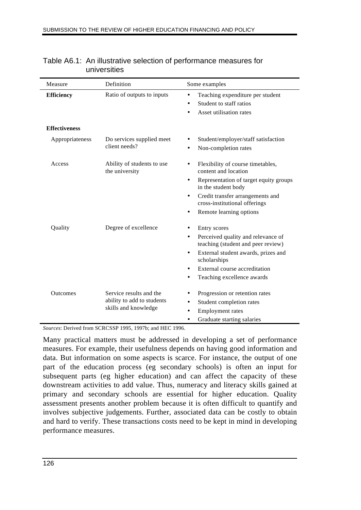| Ratio of outputs to inputs<br>Teaching expenditure per student<br><b>Efficiency</b><br>$\bullet$<br>Student to staff ratios<br>$\bullet$<br>Asset utilisation rates<br><b>Effectiveness</b><br>Appropriateness<br>Do services supplied meet<br>Student/employer/staff satisfaction<br>client needs?<br>Non-completion rates<br>Ability of students to use<br>Access<br>Flexibility of course timetables,<br>$\bullet$<br>the university<br>content and location<br>Representation of target equity groups<br>$\bullet$<br>in the student body<br>Credit transfer arrangements and<br>$\bullet$<br>cross-institutional offerings<br>Remote learning options<br>$\bullet$<br>Quality<br>Degree of excellence<br>Entry scores<br>Perceived quality and relevance of<br>$\bullet$<br>teaching (student and peer review)<br>External student awards, prizes and<br>$\bullet$<br>scholarships<br>External course accreditation<br>Teaching excellence awards | Measure | Definition                                         | Some examples |
|--------------------------------------------------------------------------------------------------------------------------------------------------------------------------------------------------------------------------------------------------------------------------------------------------------------------------------------------------------------------------------------------------------------------------------------------------------------------------------------------------------------------------------------------------------------------------------------------------------------------------------------------------------------------------------------------------------------------------------------------------------------------------------------------------------------------------------------------------------------------------------------------------------------------------------------------------------|---------|----------------------------------------------------|---------------|
|                                                                                                                                                                                                                                                                                                                                                                                                                                                                                                                                                                                                                                                                                                                                                                                                                                                                                                                                                        |         |                                                    |               |
|                                                                                                                                                                                                                                                                                                                                                                                                                                                                                                                                                                                                                                                                                                                                                                                                                                                                                                                                                        |         |                                                    |               |
|                                                                                                                                                                                                                                                                                                                                                                                                                                                                                                                                                                                                                                                                                                                                                                                                                                                                                                                                                        |         |                                                    |               |
|                                                                                                                                                                                                                                                                                                                                                                                                                                                                                                                                                                                                                                                                                                                                                                                                                                                                                                                                                        |         |                                                    |               |
|                                                                                                                                                                                                                                                                                                                                                                                                                                                                                                                                                                                                                                                                                                                                                                                                                                                                                                                                                        |         |                                                    |               |
|                                                                                                                                                                                                                                                                                                                                                                                                                                                                                                                                                                                                                                                                                                                                                                                                                                                                                                                                                        |         |                                                    |               |
|                                                                                                                                                                                                                                                                                                                                                                                                                                                                                                                                                                                                                                                                                                                                                                                                                                                                                                                                                        |         |                                                    |               |
|                                                                                                                                                                                                                                                                                                                                                                                                                                                                                                                                                                                                                                                                                                                                                                                                                                                                                                                                                        |         |                                                    |               |
|                                                                                                                                                                                                                                                                                                                                                                                                                                                                                                                                                                                                                                                                                                                                                                                                                                                                                                                                                        |         |                                                    |               |
|                                                                                                                                                                                                                                                                                                                                                                                                                                                                                                                                                                                                                                                                                                                                                                                                                                                                                                                                                        |         |                                                    |               |
|                                                                                                                                                                                                                                                                                                                                                                                                                                                                                                                                                                                                                                                                                                                                                                                                                                                                                                                                                        |         |                                                    |               |
|                                                                                                                                                                                                                                                                                                                                                                                                                                                                                                                                                                                                                                                                                                                                                                                                                                                                                                                                                        |         |                                                    |               |
| Service results and the<br><b>Outcomes</b><br>Progression or retention rates                                                                                                                                                                                                                                                                                                                                                                                                                                                                                                                                                                                                                                                                                                                                                                                                                                                                           |         |                                                    |               |
| Student completion rates<br>$\bullet$                                                                                                                                                                                                                                                                                                                                                                                                                                                                                                                                                                                                                                                                                                                                                                                                                                                                                                                  |         | ability to add to students<br>skills and knowledge |               |
| <b>Employment</b> rates<br>Graduate starting salaries<br>$\bullet$                                                                                                                                                                                                                                                                                                                                                                                                                                                                                                                                                                                                                                                                                                                                                                                                                                                                                     |         |                                                    |               |

### Table A6.1: An illustrative selection of performance measures for universities

*Sources*: Derived from SCRCSSP 1995, 1997b; and HEC 1996.

Many practical matters must be addressed in developing a set of performance measures. For example, their usefulness depends on having good information and data. But information on some aspects is scarce. For instance, the output of one part of the education process (eg secondary schools) is often an input for subsequent parts (eg higher education) and can affect the capacity of these downstream activities to add value. Thus, numeracy and literacy skills gained at primary and secondary schools are essential for higher education. Quality assessment presents another problem because it is often difficult to quantify and involves subjective judgements. Further, associated data can be costly to obtain and hard to verify. These transactions costs need to be kept in mind in developing performance measures.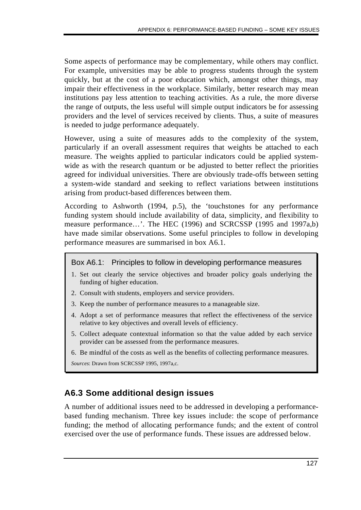Some aspects of performance may be complementary, while others may conflict. For example, universities may be able to progress students through the system quickly, but at the cost of a poor education which, amongst other things, may impair their effectiveness in the workplace. Similarly, better research may mean institutions pay less attention to teaching activities. As a rule, the more diverse the range of outputs, the less useful will simple output indicators be for assessing providers and the level of services received by clients. Thus, a suite of measures is needed to judge performance adequately.

However, using a suite of measures adds to the complexity of the system, particularly if an overall assessment requires that weights be attached to each measure. The weights applied to particular indicators could be applied systemwide as with the research quantum or be adjusted to better reflect the priorities agreed for individual universities. There are obviously trade-offs between setting a system-wide standard and seeking to reflect variations between institutions arising from product-based differences between them.

According to Ashworth (1994, p.5), the 'touchstones for any performance funding system should include availability of data, simplicity, and flexibility to measure performance…'. The HEC (1996) and SCRCSSP (1995 and 1997a,b) have made similar observations. Some useful principles to follow in developing performance measures are summarised in box A6.1.

#### Box A6.1: Principles to follow in developing performance measures

- 1. Set out clearly the service objectives and broader policy goals underlying the funding of higher education.
- 2. Consult with students, employers and service providers.
- 3. Keep the number of performance measures to a manageable size.
- 4. Adopt a set of performance measures that reflect the effectiveness of the service relative to key objectives and overall levels of efficiency.
- 5. Collect adequate contextual information so that the value added by each service provider can be assessed from the performance measures.
- 6. Be mindful of the costs as well as the benefits of collecting performance measures.

*Sources*: Drawn from SCRCSSP 1995, 1997a,c.

# **A6.3 Some additional design issues**

A number of additional issues need to be addressed in developing a performancebased funding mechanism. Three key issues include: the scope of performance funding; the method of allocating performance funds; and the extent of control exercised over the use of performance funds. These issues are addressed below.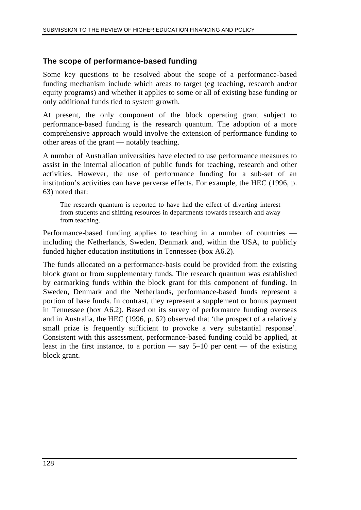## **The scope of performance-based funding**

Some key questions to be resolved about the scope of a performance-based funding mechanism include which areas to target (eg teaching, research and/or equity programs) and whether it applies to some or all of existing base funding or only additional funds tied to system growth.

At present, the only component of the block operating grant subject to performance-based funding is the research quantum. The adoption of a more comprehensive approach would involve the extension of performance funding to other areas of the grant — notably teaching.

A number of Australian universities have elected to use performance measures to assist in the internal allocation of public funds for teaching, research and other activities. However, the use of performance funding for a sub-set of an institution's activities can have perverse effects. For example, the HEC (1996, p. 63) noted that:

The research quantum is reported to have had the effect of diverting interest from students and shifting resources in departments towards research and away from teaching.

Performance-based funding applies to teaching in a number of countries including the Netherlands, Sweden, Denmark and, within the USA, to publicly funded higher education institutions in Tennessee (box A6.2).

The funds allocated on a performance-basis could be provided from the existing block grant or from supplementary funds. The research quantum was established by earmarking funds within the block grant for this component of funding. In Sweden, Denmark and the Netherlands, performance-based funds represent a portion of base funds. In contrast, they represent a supplement or bonus payment in Tennessee (box A6.2). Based on its survey of performance funding overseas and in Australia, the HEC (1996, p. 62) observed that 'the prospect of a relatively small prize is frequently sufficient to provoke a very substantial response'. Consistent with this assessment, performance-based funding could be applied, at least in the first instance, to a portion — say  $5-10$  per cent — of the existing block grant.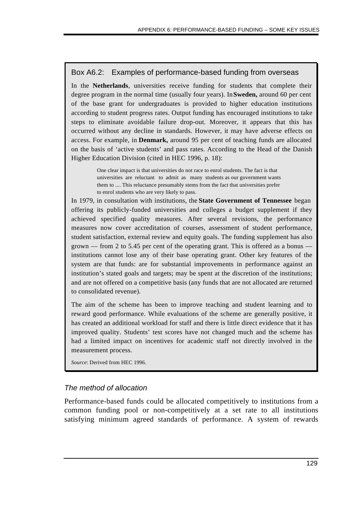### Box A6.2: Examples of performance-based funding from overseas

In the **Netherlands**, universities receive funding for students that complete their degree program in the normal time (usually four years). In **Sweden,** around 60 per cent of the base grant for undergraduates is provided to higher education institutions according to student progress rates. Output funding has encouraged institutions to take steps to eliminate avoidable failure drop-out. Moreover, it appears that this has occurred without any decline in standards. However, it may have adverse effects on access. For example, in **Denmark,** around 95 per cent of teaching funds are allocated on the basis of 'active students' and pass rates. According to the Head of the Danish Higher Education Division (cited in HEC 1996, p. 18):

> One clear impact is that universities do not race to enrol students. The fact is that universities are reluctant to admit as many students as our government wants them to .... This reluctance presumably stems from the fact that universities prefer to enrol students who are very likely to pass.

In 1979, in consultation with institutions, the **State Government of Tennessee** began offering its publicly-funded universities and colleges a budget supplement if they achieved specified quality measures. After several revisions, the performance measures now cover accreditation of courses, assessment of student performance, student satisfaction, external review and equity goals. The funding supplement has also grown — from 2 to 5.45 per cent of the operating grant. This is offered as a bonus institutions cannot lose any of their base operating grant. Other key features of the system are that funds: are for substantial improvements in performance against an institution's stated goals and targets; may be spent at the discretion of the institutions; and are not offered on a competitive basis (any funds that are not allocated are returned to consolidated revenue).

The aim of the scheme has been to improve teaching and student learning and to reward good performance. While evaluations of the scheme are generally positive, it has created an additional workload for staff and there is little direct evidence that it has improved quality. Students' test scores have not changed much and the scheme has had a limited impact on incentives for academic staff not directly involved in the measurement process.

*Source*: Derived from HEC 1996.

### *The method of allocation*

Performance-based funds could be allocated competitively to institutions from a common funding pool or non-competitively at a set rate to all institutions satisfying minimum agreed standards of performance. A system of rewards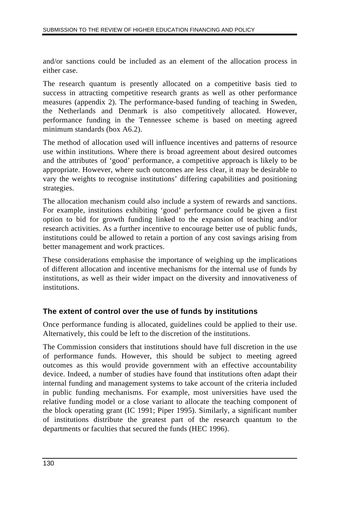and/or sanctions could be included as an element of the allocation process in either case.

The research quantum is presently allocated on a competitive basis tied to success in attracting competitive research grants as well as other performance measures (appendix 2). The performance-based funding of teaching in Sweden, the Netherlands and Denmark is also competitively allocated. However, performance funding in the Tennessee scheme is based on meeting agreed minimum standards (box A6.2).

The method of allocation used will influence incentives and patterns of resource use within institutions. Where there is broad agreement about desired outcomes and the attributes of 'good' performance, a competitive approach is likely to be appropriate. However, where such outcomes are less clear, it may be desirable to vary the weights to recognise institutions' differing capabilities and positioning strategies.

The allocation mechanism could also include a system of rewards and sanctions. For example, institutions exhibiting 'good' performance could be given a first option to bid for growth funding linked to the expansion of teaching and/or research activities. As a further incentive to encourage better use of public funds, institutions could be allowed to retain a portion of any cost savings arising from better management and work practices.

These considerations emphasise the importance of weighing up the implications of different allocation and incentive mechanisms for the internal use of funds by institutions, as well as their wider impact on the diversity and innovativeness of institutions.

## **The extent of control over the use of funds by institutions**

Once performance funding is allocated, guidelines could be applied to their use. Alternatively, this could be left to the discretion of the institutions.

The Commission considers that institutions should have full discretion in the use of performance funds. However, this should be subject to meeting agreed outcomes as this would provide government with an effective accountability device. Indeed, a number of studies have found that institutions often adapt their internal funding and management systems to take account of the criteria included in public funding mechanisms. For example, most universities have used the relative funding model or a close variant to allocate the teaching component of the block operating grant (IC 1991; Piper 1995). Similarly, a significant number of institutions distribute the greatest part of the research quantum to the departments or faculties that secured the funds (HEC 1996).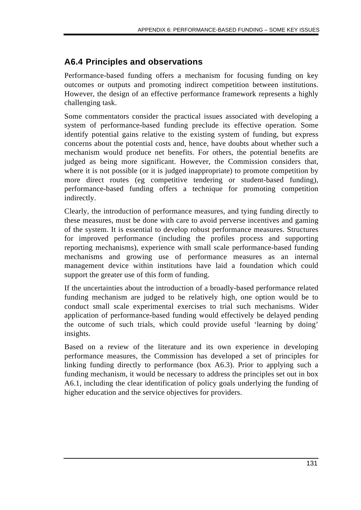# **A6.4 Principles and observations**

Performance-based funding offers a mechanism for focusing funding on key outcomes or outputs and promoting indirect competition between institutions. However, the design of an effective performance framework represents a highly challenging task.

Some commentators consider the practical issues associated with developing a system of performance-based funding preclude its effective operation. Some identify potential gains relative to the existing system of funding, but express concerns about the potential costs and, hence, have doubts about whether such a mechanism would produce net benefits. For others, the potential benefits are judged as being more significant. However, the Commission considers that, where it is not possible (or it is judged inappropriate) to promote competition by more direct routes (eg competitive tendering or student-based funding), performance-based funding offers a technique for promoting competition indirectly.

Clearly, the introduction of performance measures, and tying funding directly to these measures, must be done with care to avoid perverse incentives and gaming of the system. It is essential to develop robust performance measures. Structures for improved performance (including the profiles process and supporting reporting mechanisms), experience with small scale performance-based funding mechanisms and growing use of performance measures as an internal management device within institutions have laid a foundation which could support the greater use of this form of funding.

If the uncertainties about the introduction of a broadly-based performance related funding mechanism are judged to be relatively high, one option would be to conduct small scale experimental exercises to trial such mechanisms. Wider application of performance-based funding would effectively be delayed pending the outcome of such trials, which could provide useful 'learning by doing' insights.

Based on a review of the literature and its own experience in developing performance measures, the Commission has developed a set of principles for linking funding directly to performance (box A6.3). Prior to applying such a funding mechanism, it would be necessary to address the principles set out in box A6.1, including the clear identification of policy goals underlying the funding of higher education and the service objectives for providers.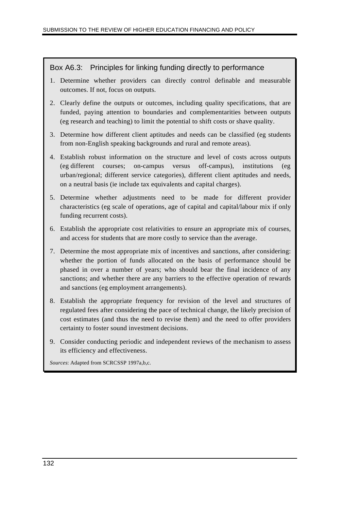#### Box A6.3: Principles for linking funding directly to performance

- 1. Determine whether providers can directly control definable and measurable outcomes. If not, focus on outputs.
- 2. Clearly define the outputs or outcomes, including quality specifications, that are funded, paying attention to boundaries and complementarities between outputs (eg research and teaching) to limit the potential to shift costs or shave quality.
- 3. Determine how different client aptitudes and needs can be classified (eg students from non-English speaking backgrounds and rural and remote areas).
- 4. Establish robust information on the structure and level of costs across outputs (eg different courses; on-campus versus off-campus), institutions (eg urban/regional; different service categories), different client aptitudes and needs, on a neutral basis (ie include tax equivalents and capital charges).
- 5. Determine whether adjustments need to be made for different provider characteristics (eg scale of operations, age of capital and capital/labour mix if only funding recurrent costs).
- 6. Establish the appropriate cost relativities to ensure an appropriate mix of courses, and access for students that are more costly to service than the average.
- 7. Determine the most appropriate mix of incentives and sanctions, after considering: whether the portion of funds allocated on the basis of performance should be phased in over a number of years; who should bear the final incidence of any sanctions; and whether there are any barriers to the effective operation of rewards and sanctions (eg employment arrangements).
- 8. Establish the appropriate frequency for revision of the level and structures of regulated fees after considering the pace of technical change, the likely precision of cost estimates (and thus the need to revise them) and the need to offer providers certainty to foster sound investment decisions.
- 9. Consider conducting periodic and independent reviews of the mechanism to assess its efficiency and effectiveness.

*Sources*: Adapted from SCRCSSP 1997a,b,c.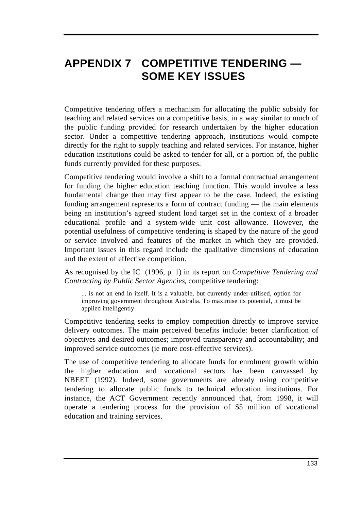# **APPENDIX 7 COMPETITIVE TENDERING — SOME KEY ISSUES**

Competitive tendering offers a mechanism for allocating the public subsidy for teaching and related services on a competitive basis, in a way similar to much of the public funding provided for research undertaken by the higher education sector. Under a competitive tendering approach, institutions would compete directly for the right to supply teaching and related services. For instance, higher education institutions could be asked to tender for all, or a portion of, the public funds currently provided for these purposes.

Competitive tendering would involve a shift to a formal contractual arrangement for funding the higher education teaching function. This would involve a less fundamental change then may first appear to be the case. Indeed, the existing funding arrangement represents a form of contract funding — the main elements being an institution's agreed student load target set in the context of a broader educational profile and a system-wide unit cost allowance. However, the potential usefulness of competitive tendering is shaped by the nature of the good or service involved and features of the market in which they are provided. Important issues in this regard include the qualitative dimensions of education and the extent of effective competition.

As recognised by the IC (1996, p. 1) in its report on *Competitive Tendering and Contracting by Public Sector Agencies*, competitive tendering:

... is not an end in itself. It is a valuable, but currently under-utilised, option for improving government throughout Australia. To maximise its potential, it must be applied intelligently.

Competitive tendering seeks to employ competition directly to improve service delivery outcomes. The main perceived benefits include: better clarification of objectives and desired outcomes; improved transparency and accountability; and improved service outcomes (ie more cost-effective services).

The use of competitive tendering to allocate funds for enrolment growth within the higher education and vocational sectors has been canvassed by NBEET (1992). Indeed, some governments are already using competitive tendering to allocate public funds to technical education institutions. For instance, the ACT Government recently announced that, from 1998, it will operate a tendering process for the provision of \$5 million of vocational education and training services.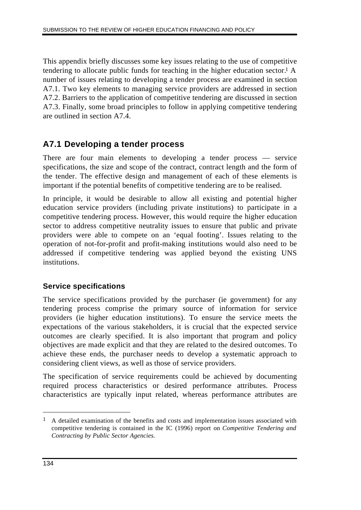This appendix briefly discusses some key issues relating to the use of competitive tendering to allocate public funds for teaching in the higher education sector.1 A number of issues relating to developing a tender process are examined in section A7.1. Two key elements to managing service providers are addressed in section A7.2. Barriers to the application of competitive tendering are discussed in section A7.3. Finally, some broad principles to follow in applying competitive tendering are outlined in section A7.4.

## **A7.1 Developing a tender process**

There are four main elements to developing a tender process — service specifications, the size and scope of the contract, contract length and the form of the tender. The effective design and management of each of these elements is important if the potential benefits of competitive tendering are to be realised.

In principle, it would be desirable to allow all existing and potential higher education service providers (including private institutions) to participate in a competitive tendering process. However, this would require the higher education sector to address competitive neutrality issues to ensure that public and private providers were able to compete on an 'equal footing'. Issues relating to the operation of not-for-profit and profit-making institutions would also need to be addressed if competitive tendering was applied beyond the existing UNS institutions.

### **Service specifications**

The service specifications provided by the purchaser (ie government) for any tendering process comprise the primary source of information for service providers (ie higher education institutions). To ensure the service meets the expectations of the various stakeholders, it is crucial that the expected service outcomes are clearly specified. It is also important that program and policy objectives are made explicit and that they are related to the desired outcomes. To achieve these ends, the purchaser needs to develop a systematic approach to considering client views, as well as those of service providers.

The specification of service requirements could be achieved by documenting required process characteristics or desired performance attributes. Process characteristics are typically input related, whereas performance attributes are

 $\overline{a}$ 

<sup>&</sup>lt;sup>1</sup> A detailed examination of the benefits and costs and implementation issues associated with competitive tendering is contained in the IC (1996) report on *Competitive Tendering and Contracting by Public Sector Agencies*.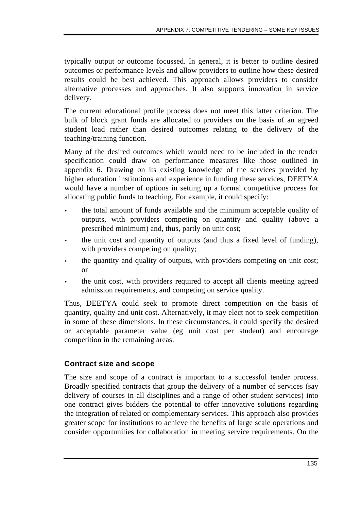typically output or outcome focussed. In general, it is better to outline desired outcomes or performance levels and allow providers to outline how these desired results could be best achieved. This approach allows providers to consider alternative processes and approaches. It also supports innovation in service delivery.

The current educational profile process does not meet this latter criterion. The bulk of block grant funds are allocated to providers on the basis of an agreed student load rather than desired outcomes relating to the delivery of the teaching/training function.

Many of the desired outcomes which would need to be included in the tender specification could draw on performance measures like those outlined in appendix 6. Drawing on its existing knowledge of the services provided by higher education institutions and experience in funding these services, DEETYA would have a number of options in setting up a formal competitive process for allocating public funds to teaching. For example, it could specify:

- the total amount of funds available and the minimum acceptable quality of outputs, with providers competing on quantity and quality (above a prescribed minimum) and, thus, partly on unit cost;
- the unit cost and quantity of outputs (and thus a fixed level of funding), with providers competing on quality;
- the quantity and quality of outputs, with providers competing on unit cost; or
- the unit cost, with providers required to accept all clients meeting agreed admission requirements, and competing on service quality.

Thus, DEETYA could seek to promote direct competition on the basis of quantity, quality and unit cost. Alternatively, it may elect not to seek competition in some of these dimensions. In these circumstances, it could specify the desired or acceptable parameter value (eg unit cost per student) and encourage competition in the remaining areas.

## **Contract size and scope**

The size and scope of a contract is important to a successful tender process. Broadly specified contracts that group the delivery of a number of services (say delivery of courses in all disciplines and a range of other student services) into one contract gives bidders the potential to offer innovative solutions regarding the integration of related or complementary services. This approach also provides greater scope for institutions to achieve the benefits of large scale operations and consider opportunities for collaboration in meeting service requirements. On the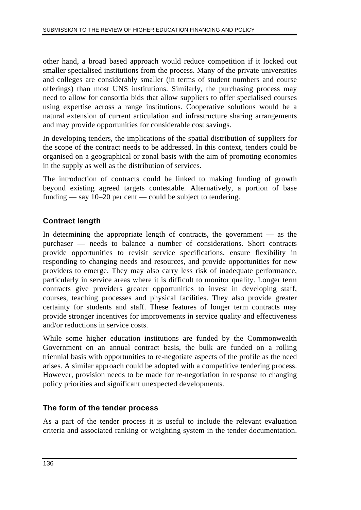other hand, a broad based approach would reduce competition if it locked out smaller specialised institutions from the process. Many of the private universities and colleges are considerably smaller (in terms of student numbers and course offerings) than most UNS institutions. Similarly, the purchasing process may need to allow for consortia bids that allow suppliers to offer specialised courses using expertise across a range institutions. Cooperative solutions would be a natural extension of current articulation and infrastructure sharing arrangements and may provide opportunities for considerable cost savings.

In developing tenders, the implications of the spatial distribution of suppliers for the scope of the contract needs to be addressed. In this context, tenders could be organised on a geographical or zonal basis with the aim of promoting economies in the supply as well as the distribution of services.

The introduction of contracts could be linked to making funding of growth beyond existing agreed targets contestable. Alternatively, a portion of base funding — say 10–20 per cent — could be subject to tendering.

## **Contract length**

In determining the appropriate length of contracts, the government — as the purchaser — needs to balance a number of considerations. Short contracts provide opportunities to revisit service specifications, ensure flexibility in responding to changing needs and resources, and provide opportunities for new providers to emerge. They may also carry less risk of inadequate performance, particularly in service areas where it is difficult to monitor quality. Longer term contracts give providers greater opportunities to invest in developing staff, courses, teaching processes and physical facilities. They also provide greater certainty for students and staff. These features of longer term contracts may provide stronger incentives for improvements in service quality and effectiveness and/or reductions in service costs.

While some higher education institutions are funded by the Commonwealth Government on an annual contract basis, the bulk are funded on a rolling triennial basis with opportunities to re-negotiate aspects of the profile as the need arises. A similar approach could be adopted with a competitive tendering process. However, provision needs to be made for re-negotiation in response to changing policy priorities and significant unexpected developments.

### **The form of the tender process**

As a part of the tender process it is useful to include the relevant evaluation criteria and associated ranking or weighting system in the tender documentation.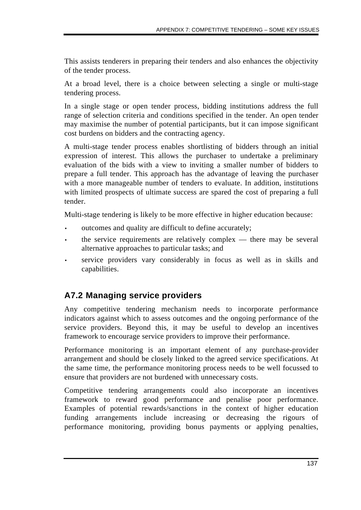This assists tenderers in preparing their tenders and also enhances the objectivity of the tender process.

At a broad level, there is a choice between selecting a single or multi-stage tendering process.

In a single stage or open tender process, bidding institutions address the full range of selection criteria and conditions specified in the tender. An open tender may maximise the number of potential participants, but it can impose significant cost burdens on bidders and the contracting agency.

A multi-stage tender process enables shortlisting of bidders through an initial expression of interest. This allows the purchaser to undertake a preliminary evaluation of the bids with a view to inviting a smaller number of bidders to prepare a full tender. This approach has the advantage of leaving the purchaser with a more manageable number of tenders to evaluate. In addition, institutions with limited prospects of ultimate success are spared the cost of preparing a full tender.

Multi-stage tendering is likely to be more effective in higher education because:

- outcomes and quality are difficult to define accurately;
- the service requirements are relatively complex there may be several alternative approaches to particular tasks; and
- service providers vary considerably in focus as well as in skills and capabilities.

# **A7.2 Managing service providers**

Any competitive tendering mechanism needs to incorporate performance indicators against which to assess outcomes and the ongoing performance of the service providers. Beyond this, it may be useful to develop an incentives framework to encourage service providers to improve their performance.

Performance monitoring is an important element of any purchase-provider arrangement and should be closely linked to the agreed service specifications. At the same time, the performance monitoring process needs to be well focussed to ensure that providers are not burdened with unnecessary costs.

Competitive tendering arrangements could also incorporate an incentives framework to reward good performance and penalise poor performance. Examples of potential rewards/sanctions in the context of higher education funding arrangements include increasing or decreasing the rigours of performance monitoring, providing bonus payments or applying penalties,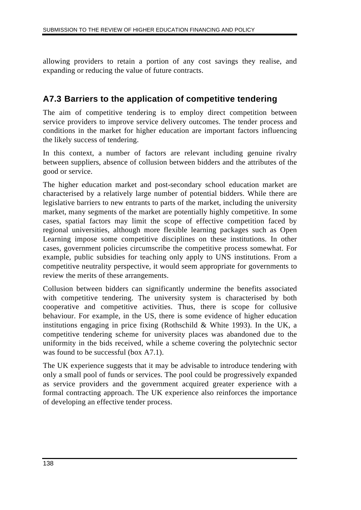allowing providers to retain a portion of any cost savings they realise, and expanding or reducing the value of future contracts.

## **A7.3 Barriers to the application of competitive tendering**

The aim of competitive tendering is to employ direct competition between service providers to improve service delivery outcomes. The tender process and conditions in the market for higher education are important factors influencing the likely success of tendering.

In this context, a number of factors are relevant including genuine rivalry between suppliers, absence of collusion between bidders and the attributes of the good or service.

The higher education market and post-secondary school education market are characterised by a relatively large number of potential bidders. While there are legislative barriers to new entrants to parts of the market, including the university market, many segments of the market are potentially highly competitive. In some cases, spatial factors may limit the scope of effective competition faced by regional universities, although more flexible learning packages such as Open Learning impose some competitive disciplines on these institutions. In other cases, government policies circumscribe the competitive process somewhat. For example, public subsidies for teaching only apply to UNS institutions. From a competitive neutrality perspective, it would seem appropriate for governments to review the merits of these arrangements.

Collusion between bidders can significantly undermine the benefits associated with competitive tendering. The university system is characterised by both cooperative and competitive activities. Thus, there is scope for collusive behaviour. For example, in the US, there is some evidence of higher education institutions engaging in price fixing (Rothschild & White 1993). In the UK, a competitive tendering scheme for university places was abandoned due to the uniformity in the bids received, while a scheme covering the polytechnic sector was found to be successful (box A7.1).

The UK experience suggests that it may be advisable to introduce tendering with only a small pool of funds or services. The pool could be progressively expanded as service providers and the government acquired greater experience with a formal contracting approach. The UK experience also reinforces the importance of developing an effective tender process.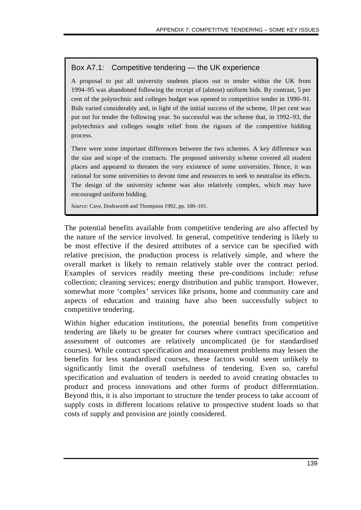## Box A7.1: Competitive tendering — the UK experience

A proposal to put all university students places out to tender within the UK from 1994–95 was abandoned following the receipt of (almost) uniform bids. By contrast, 5 per cent of the polytechnic and colleges budget was opened to competitive tender in 1990–91. Bids varied considerably and, in light of the initial success of the scheme, 10 per cent was put out for tender the following year. So successful was the scheme that, in 1992–93, the polytechnics and colleges sought relief from the rigours of the competitive bidding process.

There were some important differences between the two schemes. A key difference was the size and scope of the contracts. The proposed university scheme covered all student places and appeared to threaten the very existence of some universities. Hence, it was rational for some universities to devote time and resources to seek to neutralise its effects. The design of the university scheme was also relatively complex, which may have encouraged uniform bidding.

*Source*: Cave, Dodsworth and Thompson 1992, pp. 100–101.

The potential benefits available from competitive tendering are also affected by the nature of the service involved. In general, competitive tendering is likely to be most effective if the desired attributes of a service can be specified with relative precision, the production process is relatively simple, and where the overall market is likely to remain relatively stable over the contract period. Examples of services readily meeting these pre-conditions include: refuse collection; cleaning services; energy distribution and public transport. However, somewhat more 'complex' services like prisons, home and community care and aspects of education and training have also been successfully subject to competitive tendering.

Within higher education institutions, the potential benefits from competitive tendering are likely to be greater for courses where contract specification and assessment of outcomes are relatively uncomplicated (ie for standardised courses). While contract specification and measurement problems may lessen the benefits for less standardised courses, these factors would seem unlikely to significantly limit the overall usefulness of tendering. Even so, careful specification and evaluation of tenders is needed to avoid creating obstacles to product and process innovations and other forms of product differentiation. Beyond this, it is also important to structure the tender process to take account of supply costs in different locations relative to prospective student loads so that costs of supply and provision are jointly considered.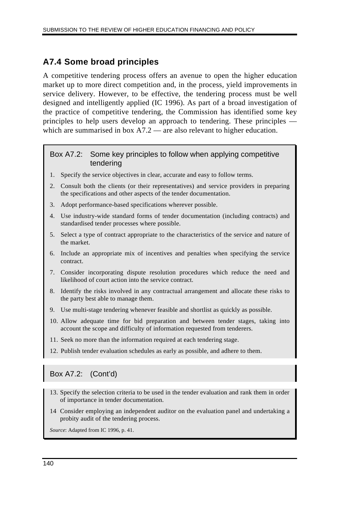## **A7.4 Some broad principles**

A competitive tendering process offers an avenue to open the higher education market up to more direct competition and, in the process, yield improvements in service delivery. However, to be effective, the tendering process must be well designed and intelligently applied (IC 1996). As part of a broad investigation of the practice of competitive tendering, the Commission has identified some key principles to help users develop an approach to tendering. These principles which are summarised in box A7.2 — are also relevant to higher education.

#### Box A7.2: Some key principles to follow when applying competitive tendering

- 1. Specify the service objectives in clear, accurate and easy to follow terms.
- 2. Consult both the clients (or their representatives) and service providers in preparing the specifications and other aspects of the tender documentation.
- 3. Adopt performance-based specifications wherever possible.
- 4. Use industry-wide standard forms of tender documentation (including contracts) and standardised tender processes where possible.
- 5. Select a type of contract appropriate to the characteristics of the service and nature of the market.
- 6. Include an appropriate mix of incentives and penalties when specifying the service contract.
- 7. Consider incorporating dispute resolution procedures which reduce the need and likelihood of court action into the service contract.
- 8. Identify the risks involved in any contractual arrangement and allocate these risks to the party best able to manage them.
- 9. Use multi-stage tendering whenever feasible and shortlist as quickly as possible.
- 10. Allow adequate time for bid preparation and between tender stages, taking into account the scope and difficulty of information requested from tenderers.
- 11. Seek no more than the information required at each tendering stage.
- 12. Publish tender evaluation schedules as early as possible, and adhere to them.

## Box A7.2: (Cont'd)

- 13. Specify the selection criteria to be used in the tender evaluation and rank them in order of importance in tender documentation.
- 14 Consider employing an independent auditor on the evaluation panel and undertaking a probity audit of the tendering process.

*Source*: Adapted from IC 1996, p. 41.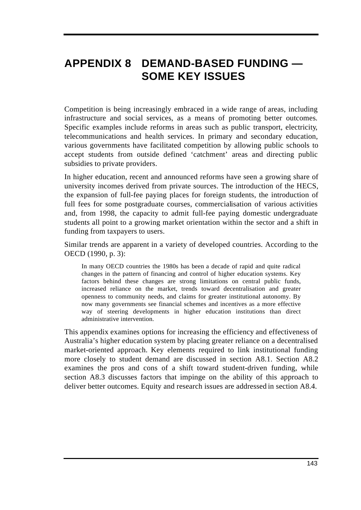# **APPENDIX 8 DEMAND-BASED FUNDING — SOME KEY ISSUES**

Competition is being increasingly embraced in a wide range of areas, including infrastructure and social services, as a means of promoting better outcomes. Specific examples include reforms in areas such as public transport, electricity, telecommunications and health services. In primary and secondary education, various governments have facilitated competition by allowing public schools to accept students from outside defined 'catchment' areas and directing public subsidies to private providers.

In higher education, recent and announced reforms have seen a growing share of university incomes derived from private sources. The introduction of the HECS, the expansion of full-fee paying places for foreign students, the introduction of full fees for some postgraduate courses, commercialisation of various activities and, from 1998, the capacity to admit full-fee paying domestic undergraduate students all point to a growing market orientation within the sector and a shift in funding from taxpayers to users.

Similar trends are apparent in a variety of developed countries. According to the OECD (1990, p. 3):

In many OECD countries the 1980s has been a decade of rapid and quite radical changes in the pattern of financing and control of higher education systems. Key factors behind these changes are strong limitations on central public funds, increased reliance on the market, trends toward decentralisation and greater openness to community needs, and claims for greater institutional autonomy. By now many governments see financial schemes and incentives as a more effective way of steering developments in higher education institutions than direct administrative intervention.

This appendix examines options for increasing the efficiency and effectiveness of Australia's higher education system by placing greater reliance on a decentralised market-oriented approach. Key elements required to link institutional funding more closely to student demand are discussed in section A8.1. Section A8.2 examines the pros and cons of a shift toward student-driven funding, while section A8.3 discusses factors that impinge on the ability of this approach to deliver better outcomes. Equity and research issues are addressed in section A8.4.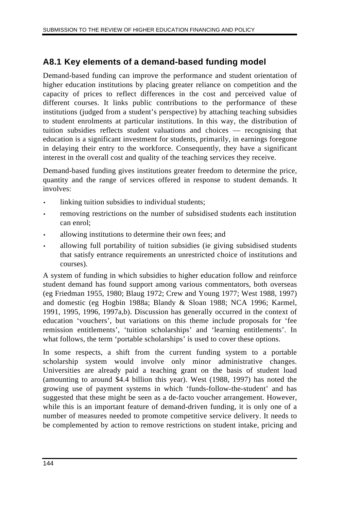## **A8.1 Key elements of a demand-based funding model**

Demand-based funding can improve the performance and student orientation of higher education institutions by placing greater reliance on competition and the capacity of prices to reflect differences in the cost and perceived value of different courses. It links public contributions to the performance of these institutions (judged from a student's perspective) by attaching teaching subsidies to student enrolments at particular institutions. In this way, the distribution of tuition subsidies reflects student valuations and choices — recognising that education is a significant investment for students, primarily, in earnings foregone in delaying their entry to the workforce. Consequently, they have a significant interest in the overall cost and quality of the teaching services they receive.

Demand-based funding gives institutions greater freedom to determine the price, quantity and the range of services offered in response to student demands. It involves:

- linking tuition subsidies to individual students;
- removing restrictions on the number of subsidised students each institution can enrol;
- allowing institutions to determine their own fees; and
- allowing full portability of tuition subsidies (ie giving subsidised students that satisfy entrance requirements an unrestricted choice of institutions and courses).

A system of funding in which subsidies to higher education follow and reinforce student demand has found support among various commentators, both overseas (eg Friedman 1955, 1980; Blaug 1972; Crew and Young 1977; West 1988, 1997) and domestic (eg Hogbin 1988a; Blandy & Sloan 1988; NCA 1996; Karmel, 1991, 1995, 1996, 1997a,b). Discussion has generally occurred in the context of education 'vouchers', but variations on this theme include proposals for 'fee remission entitlements', 'tuition scholarships' and 'learning entitlements'. In what follows, the term 'portable scholarships' is used to cover these options.

In some respects, a shift from the current funding system to a portable scholarship system would involve only minor administrative changes. Universities are already paid a teaching grant on the basis of student load (amounting to around \$4.4 billion this year). West (1988, 1997) has noted the growing use of payment systems in which 'funds-follow-the-student' and has suggested that these might be seen as a de-facto voucher arrangement. However, while this is an important feature of demand-driven funding, it is only one of a number of measures needed to promote competitive service delivery. It needs to be complemented by action to remove restrictions on student intake, pricing and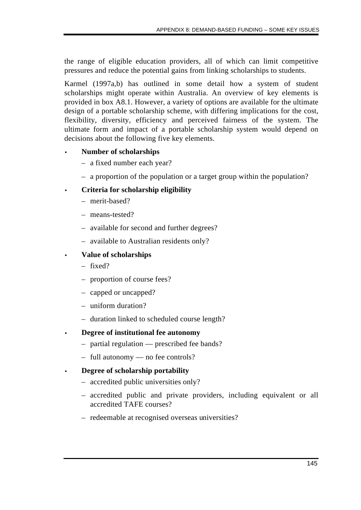the range of eligible education providers, all of which can limit competitive pressures and reduce the potential gains from linking scholarships to students.

Karmel (1997a,b) has outlined in some detail how a system of student scholarships might operate within Australia. An overview of key elements is provided in box A8.1. However, a variety of options are available for the ultimate design of a portable scholarship scheme, with differing implications for the cost, flexibility, diversity, efficiency and perceived fairness of the system. The ultimate form and impact of a portable scholarship system would depend on decisions about the following five key elements.

#### • **Number of scholarships**

- a fixed number each year?
- a proportion of the population or a target group within the population?

### • **Criteria for scholarship eligibility**

- merit-based?
- means-tested?
- available for second and further degrees?
- available to Australian residents only?

#### • **Value of scholarships**

- fixed?
- proportion of course fees?
- capped or uncapped?
- uniform duration?
- duration linked to scheduled course length?

#### • **Degree of institutional fee autonomy**

- partial regulation prescribed fee bands?
- full autonomy no fee controls?

#### • **Degree of scholarship portability**

- accredited public universities only?
- accredited public and private providers, including equivalent or all accredited TAFE courses?
- redeemable at recognised overseas universities?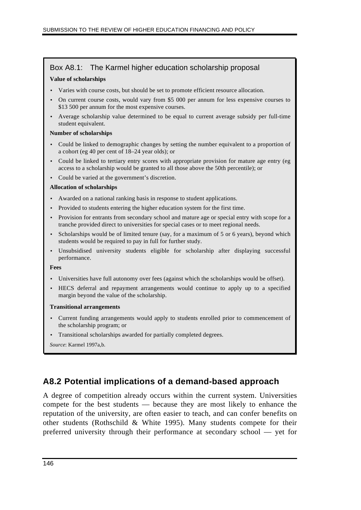#### Box A8.1: The Karmel higher education scholarship proposal

#### **Value of scholarships**

- Varies with course costs, but should be set to promote efficient resource allocation.
- On current course costs, would vary from \$5 000 per annum for less expensive courses to \$13 500 per annum for the most expensive courses.
- Average scholarship value determined to be equal to current average subsidy per full-time student equivalent.

#### **Number of scholarships**

- Could be linked to demographic changes by setting the number equivalent to a proportion of a cohort (eg 40 per cent of 18–24 year olds); or
- Could be linked to tertiary entry scores with appropriate provision for mature age entry (eg access to a scholarship would be granted to all those above the 50th percentile); or
- Could be varied at the government's discretion.

#### **Allocation of scholarships**

- Awarded on a national ranking basis in response to student applications.
- Provided to students entering the higher education system for the first time.
- Provision for entrants from secondary school and mature age or special entry with scope for a tranche provided direct to universities for special cases or to meet regional needs.
- Scholarships would be of limited tenure (say, for a maximum of 5 or 6 years), beyond which students would be required to pay in full for further study.
- Unsubsidised university students eligible for scholarship after displaying successful performance.

**Fees**

- Universities have full autonomy over fees (against which the scholarships would be offset).
- HECS deferral and repayment arrangements would continue to apply up to a specified margin beyond the value of the scholarship.

#### **Transitional arrangements**

- Current funding arrangements would apply to students enrolled prior to commencement of the scholarship program; or
- Transitional scholarships awarded for partially completed degrees.
- *Source*: Karmel 1997a,b.

## **A8.2 Potential implications of a demand-based approach**

A degree of competition already occurs within the current system. Universities compete for the best students — because they are most likely to enhance the reputation of the university, are often easier to teach, and can confer benefits on other students (Rothschild & White 1995). Many students compete for their preferred university through their performance at secondary school — yet for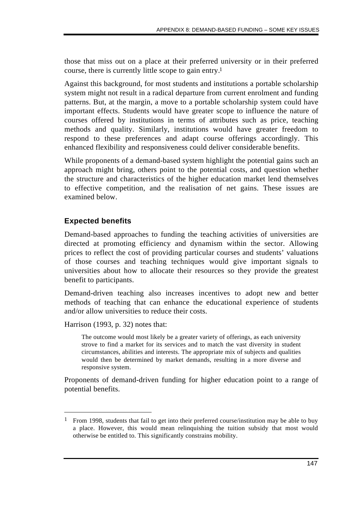those that miss out on a place at their preferred university or in their preferred course, there is currently little scope to gain entry.1

Against this background, for most students and institutions a portable scholarship system might not result in a radical departure from current enrolment and funding patterns. But, at the margin, a move to a portable scholarship system could have important effects. Students would have greater scope to influence the nature of courses offered by institutions in terms of attributes such as price, teaching methods and quality. Similarly, institutions would have greater freedom to respond to these preferences and adapt course offerings accordingly. This enhanced flexibility and responsiveness could deliver considerable benefits.

While proponents of a demand-based system highlight the potential gains such an approach might bring, others point to the potential costs, and question whether the structure and characteristics of the higher education market lend themselves to effective competition, and the realisation of net gains. These issues are examined below.

## **Expected benefits**

Demand-based approaches to funding the teaching activities of universities are directed at promoting efficiency and dynamism within the sector. Allowing prices to reflect the cost of providing particular courses and students' valuations of those courses and teaching techniques would give important signals to universities about how to allocate their resources so they provide the greatest benefit to participants.

Demand-driven teaching also increases incentives to adopt new and better methods of teaching that can enhance the educational experience of students and/or allow universities to reduce their costs.

Harrison (1993, p. 32) notes that:

 $\overline{a}$ 

The outcome would most likely be a greater variety of offerings, as each university strove to find a market for its services and to match the vast diversity in student circumstances, abilities and interests. The appropriate mix of subjects and qualities would then be determined by market demands, resulting in a more diverse and responsive system.

Proponents of demand-driven funding for higher education point to a range of potential benefits.

<sup>&</sup>lt;sup>1</sup> From 1998, students that fail to get into their preferred course/institution may be able to buy a place. However, this would mean relinquishing the tuition subsidy that most would otherwise be entitled to. This significantly constrains mobility.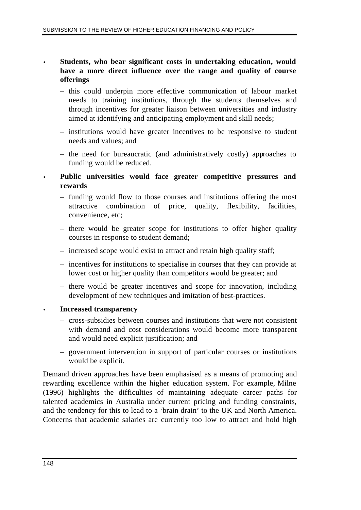#### • **Students, who bear significant costs in undertaking education, would have a more direct influence over the range and quality of course offerings**

- this could underpin more effective communication of labour market needs to training institutions, through the students themselves and through incentives for greater liaison between universities and industry aimed at identifying and anticipating employment and skill needs;
- institutions would have greater incentives to be responsive to student needs and values; and
- the need for bureaucratic (and administratively costly) approaches to funding would be reduced.
- **Public universities would face greater competitive pressures and rewards**
	- funding would flow to those courses and institutions offering the most attractive combination of price, quality, flexibility, facilities, convenience, etc;
	- there would be greater scope for institutions to offer higher quality courses in response to student demand;
	- increased scope would exist to attract and retain high quality staff;
	- incentives for institutions to specialise in courses that they can provide at lower cost or higher quality than competitors would be greater; and
	- there would be greater incentives and scope for innovation, including development of new techniques and imitation of best-practices.
- **Increased transparency**
	- cross-subsidies between courses and institutions that were not consistent with demand and cost considerations would become more transparent and would need explicit justification; and
	- government intervention in support of particular courses or institutions would be explicit.

Demand driven approaches have been emphasised as a means of promoting and rewarding excellence within the higher education system. For example, Milne (1996) highlights the difficulties of maintaining adequate career paths for talented academics in Australia under current pricing and funding constraints, and the tendency for this to lead to a 'brain drain' to the UK and North America. Concerns that academic salaries are currently too low to attract and hold high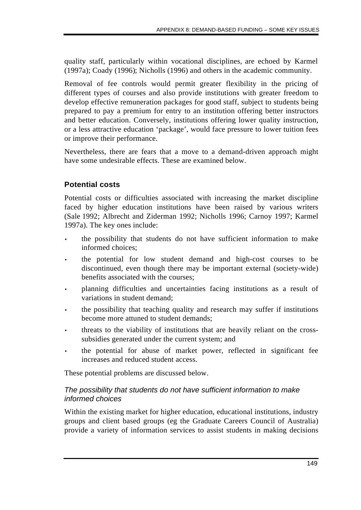quality staff, particularly within vocational disciplines, are echoed by Karmel (1997a); Coady (1996); Nicholls (1996) and others in the academic community.

Removal of fee controls would permit greater flexibility in the pricing of different types of courses and also provide institutions with greater freedom to develop effective remuneration packages for good staff, subject to students being prepared to pay a premium for entry to an institution offering better instructors and better education. Conversely, institutions offering lower quality instruction, or a less attractive education 'package', would face pressure to lower tuition fees or improve their performance.

Nevertheless, there are fears that a move to a demand-driven approach might have some undesirable effects. These are examined below.

### **Potential costs**

Potential costs or difficulties associated with increasing the market discipline faced by higher education institutions have been raised by various writers (Sale 1992; Albrecht and Ziderman 1992; Nicholls 1996; Carnoy 1997; Karmel 1997a). The key ones include:

- the possibility that students do not have sufficient information to make informed choices;
- the potential for low student demand and high-cost courses to be discontinued, even though there may be important external (society-wide) benefits associated with the courses;
- planning difficulties and uncertainties facing institutions as a result of variations in student demand;
- the possibility that teaching quality and research may suffer if institutions become more attuned to student demands;
- threats to the viability of institutions that are heavily reliant on the crosssubsidies generated under the current system; and
- the potential for abuse of market power, reflected in significant fee increases and reduced student access.

These potential problems are discussed below.

### *The possibility that students do not have sufficient information to make informed choices*

Within the existing market for higher education, educational institutions, industry groups and client based groups (eg the Graduate Careers Council of Australia) provide a variety of information services to assist students in making decisions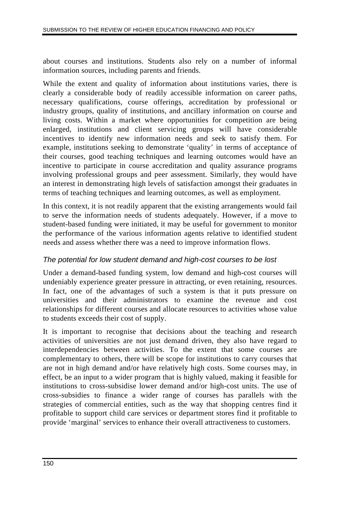about courses and institutions. Students also rely on a number of informal information sources, including parents and friends.

While the extent and quality of information about institutions varies, there is clearly a considerable body of readily accessible information on career paths, necessary qualifications, course offerings, accreditation by professional or industry groups, quality of institutions, and ancillary information on course and living costs. Within a market where opportunities for competition are being enlarged, institutions and client servicing groups will have considerable incentives to identify new information needs and seek to satisfy them. For example, institutions seeking to demonstrate 'quality' in terms of acceptance of their courses, good teaching techniques and learning outcomes would have an incentive to participate in course accreditation and quality assurance programs involving professional groups and peer assessment. Similarly, they would have an interest in demonstrating high levels of satisfaction amongst their graduates in terms of teaching techniques and learning outcomes, as well as employment.

In this context, it is not readily apparent that the existing arrangements would fail to serve the information needs of students adequately. However, if a move to student-based funding were initiated, it may be useful for government to monitor the performance of the various information agents relative to identified student needs and assess whether there was a need to improve information flows.

### *The potential for low student demand and high-cost courses to be lost*

Under a demand-based funding system, low demand and high-cost courses will undeniably experience greater pressure in attracting, or even retaining, resources. In fact, one of the advantages of such a system is that it puts pressure on universities and their administrators to examine the revenue and cost relationships for different courses and allocate resources to activities whose value to students exceeds their cost of supply.

It is important to recognise that decisions about the teaching and research activities of universities are not just demand driven, they also have regard to interdependencies between activities. To the extent that some courses are complementary to others, there will be scope for institutions to carry courses that are not in high demand and/or have relatively high costs. Some courses may, in effect, be an input to a wider program that is highly valued, making it feasible for institutions to cross-subsidise lower demand and/or high-cost units. The use of cross-subsidies to finance a wider range of courses has parallels with the strategies of commercial entities, such as the way that shopping centres find it profitable to support child care services or department stores find it profitable to provide 'marginal' services to enhance their overall attractiveness to customers.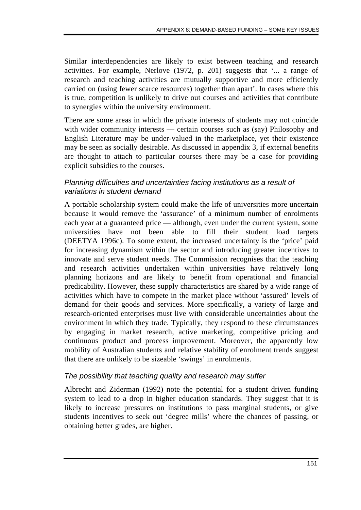Similar interdependencies are likely to exist between teaching and research activities. For example, Nerlove (1972, p. 201) suggests that '... a range of research and teaching activities are mutually supportive and more efficiently carried on (using fewer scarce resources) together than apart'. In cases where this is true, competition is unlikely to drive out courses and activities that contribute to synergies within the university environment.

There are some areas in which the private interests of students may not coincide with wider community interests — certain courses such as (say) Philosophy and English Literature may be under-valued in the marketplace, yet their existence may be seen as socially desirable. As discussed in appendix 3, if external benefits are thought to attach to particular courses there may be a case for providing explicit subsidies to the courses.

#### *Planning difficulties and uncertainties facing institutions as a result of variations in student demand*

A portable scholarship system could make the life of universities more uncertain because it would remove the 'assurance' of a minimum number of enrolments each year at a guaranteed price — although, even under the current system, some universities have not been able to fill their student load targets (DEETYA 1996c). To some extent, the increased uncertainty is the 'price' paid for increasing dynamism within the sector and introducing greater incentives to innovate and serve student needs. The Commission recognises that the teaching and research activities undertaken within universities have relatively long planning horizons and are likely to benefit from operational and financial predicability. However, these supply characteristics are shared by a wide range of activities which have to compete in the market place without 'assured' levels of demand for their goods and services. More specifically, a variety of large and research-oriented enterprises must live with considerable uncertainties about the environment in which they trade. Typically, they respond to these circumstances by engaging in market research, active marketing, competitive pricing and continuous product and process improvement. Moreover, the apparently low mobility of Australian students and relative stability of enrolment trends suggest that there are unlikely to be sizeable 'swings' in enrolments.

### *The possibility that teaching quality and research may suffer*

Albrecht and Ziderman (1992) note the potential for a student driven funding system to lead to a drop in higher education standards. They suggest that it is likely to increase pressures on institutions to pass marginal students, or give students incentives to seek out 'degree mills' where the chances of passing, or obtaining better grades, are higher.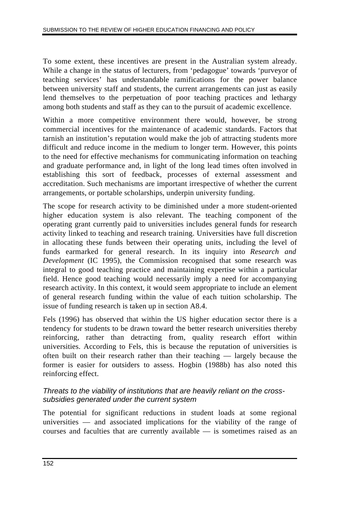To some extent, these incentives are present in the Australian system already. While a change in the status of lecturers, from 'pedagogue' towards 'purveyor of teaching services' has understandable ramifications for the power balance between university staff and students, the current arrangements can just as easily lend themselves to the perpetuation of poor teaching practices and lethargy among both students and staff as they can to the pursuit of academic excellence.

Within a more competitive environment there would, however, be strong commercial incentives for the maintenance of academic standards. Factors that tarnish an institution's reputation would make the job of attracting students more difficult and reduce income in the medium to longer term. However, this points to the need for effective mechanisms for communicating information on teaching and graduate performance and, in light of the long lead times often involved in establishing this sort of feedback, processes of external assessment and accreditation. Such mechanisms are important irrespective of whether the current arrangements, or portable scholarships, underpin university funding.

The scope for research activity to be diminished under a more student-oriented higher education system is also relevant. The teaching component of the operating grant currently paid to universities includes general funds for research activity linked to teaching and research training. Universities have full discretion in allocating these funds between their operating units, including the level of funds earmarked for general research. In its inquiry into *Research and Development* (IC 1995), the Commission recognised that some research was integral to good teaching practice and maintaining expertise within a particular field. Hence good teaching would necessarily imply a need for accompanying research activity. In this context, it would seem appropriate to include an element of general research funding within the value of each tuition scholarship. The issue of funding research is taken up in section A8.4.

Fels (1996) has observed that within the US higher education sector there is a tendency for students to be drawn toward the better research universities thereby reinforcing, rather than detracting from, quality research effort within universities. According to Fels, this is because the reputation of universities is often built on their research rather than their teaching — largely because the former is easier for outsiders to assess. Hogbin (1988b) has also noted this reinforcing effect.

### *Threats to the viability of institutions that are heavily reliant on the crosssubsidies generated under the current system*

The potential for significant reductions in student loads at some regional universities — and associated implications for the viability of the range of courses and faculties that are currently available — is sometimes raised as an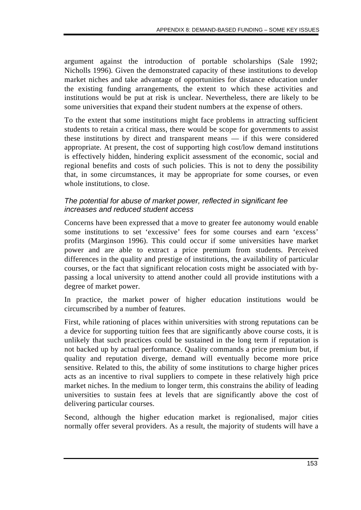argument against the introduction of portable scholarships (Sale 1992; Nicholls 1996). Given the demonstrated capacity of these institutions to develop market niches and take advantage of opportunities for distance education under the existing funding arrangements, the extent to which these activities and institutions would be put at risk is unclear. Nevertheless, there are likely to be some universities that expand their student numbers at the expense of others.

To the extent that some institutions might face problems in attracting sufficient students to retain a critical mass, there would be scope for governments to assist these institutions by direct and transparent means — if this were considered appropriate. At present, the cost of supporting high cost/low demand institutions is effectively hidden, hindering explicit assessment of the economic, social and regional benefits and costs of such policies. This is not to deny the possibility that, in some circumstances, it may be appropriate for some courses, or even whole institutions, to close.

#### *The potential for abuse of market power, reflected in significant fee increases and reduced student access*

Concerns have been expressed that a move to greater fee autonomy would enable some institutions to set 'excessive' fees for some courses and earn 'excess' profits (Marginson 1996). This could occur if some universities have market power and are able to extract a price premium from students. Perceived differences in the quality and prestige of institutions, the availability of particular courses, or the fact that significant relocation costs might be associated with bypassing a local university to attend another could all provide institutions with a degree of market power.

In practice, the market power of higher education institutions would be circumscribed by a number of features.

First, while rationing of places within universities with strong reputations can be a device for supporting tuition fees that are significantly above course costs, it is unlikely that such practices could be sustained in the long term if reputation is not backed up by actual performance. Quality commands a price premium but, if quality and reputation diverge, demand will eventually become more price sensitive. Related to this, the ability of some institutions to charge higher prices acts as an incentive to rival suppliers to compete in these relatively high price market niches. In the medium to longer term, this constrains the ability of leading universities to sustain fees at levels that are significantly above the cost of delivering particular courses.

Second, although the higher education market is regionalised, major cities normally offer several providers. As a result, the majority of students will have a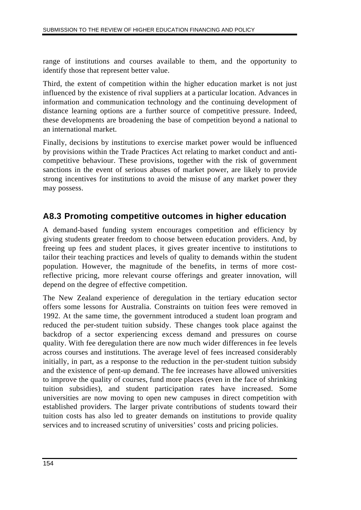range of institutions and courses available to them, and the opportunity to identify those that represent better value.

Third, the extent of competition within the higher education market is not just influenced by the existence of rival suppliers at a particular location. Advances in information and communication technology and the continuing development of distance learning options are a further source of competitive pressure. Indeed, these developments are broadening the base of competition beyond a national to an international market.

Finally, decisions by institutions to exercise market power would be influenced by provisions within the Trade Practices Act relating to market conduct and anticompetitive behaviour. These provisions, together with the risk of government sanctions in the event of serious abuses of market power, are likely to provide strong incentives for institutions to avoid the misuse of any market power they may possess.

## **A8.3 Promoting competitive outcomes in higher education**

A demand-based funding system encourages competition and efficiency by giving students greater freedom to choose between education providers. And, by freeing up fees and student places, it gives greater incentive to institutions to tailor their teaching practices and levels of quality to demands within the student population. However, the magnitude of the benefits, in terms of more costreflective pricing, more relevant course offerings and greater innovation, will depend on the degree of effective competition.

The New Zealand experience of deregulation in the tertiary education sector offers some lessons for Australia. Constraints on tuition fees were removed in 1992. At the same time, the government introduced a student loan program and reduced the per-student tuition subsidy. These changes took place against the backdrop of a sector experiencing excess demand and pressures on course quality. With fee deregulation there are now much wider differences in fee levels across courses and institutions. The average level of fees increased considerably initially, in part, as a response to the reduction in the per-student tuition subsidy and the existence of pent-up demand. The fee increases have allowed universities to improve the quality of courses, fund more places (even in the face of shrinking tuition subsidies), and student participation rates have increased. Some universities are now moving to open new campuses in direct competition with established providers. The larger private contributions of students toward their tuition costs has also led to greater demands on institutions to provide quality services and to increased scrutiny of universities' costs and pricing policies.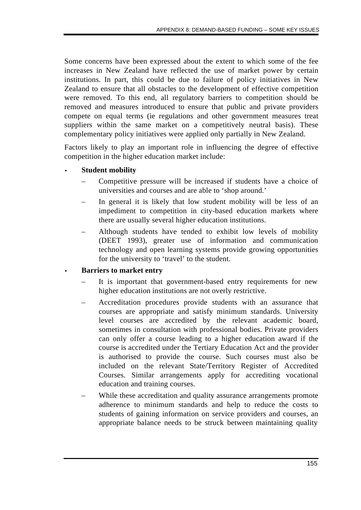Some concerns have been expressed about the extent to which some of the fee increases in New Zealand have reflected the use of market power by certain institutions. In part, this could be due to failure of policy initiatives in New Zealand to ensure that all obstacles to the development of effective competition were removed. To this end, all regulatory barriers to competition should be removed and measures introduced to ensure that public and private providers compete on equal terms (ie regulations and other government measures treat suppliers within the same market on a competitively neutral basis). These complementary policy initiatives were applied only partially in New Zealand.

Factors likely to play an important role in influencing the degree of effective competition in the higher education market include:

#### • **Student mobility**

- Competitive pressure will be increased if students have a choice of universities and courses and are able to 'shop around.'
- In general it is likely that low student mobility will be less of an impediment to competition in city-based education markets where there are usually several higher education institutions.
- Although students have tended to exhibit low levels of mobility (DEET 1993), greater use of information and communication technology and open learning systems provide growing opportunities for the university to 'travel' to the student.

### • **Barriers to market entry**

- It is important that government-based entry requirements for new higher education institutions are not overly restrictive.
- Accreditation procedures provide students with an assurance that courses are appropriate and satisfy minimum standards. University level courses are accredited by the relevant academic board, sometimes in consultation with professional bodies. Private providers can only offer a course leading to a higher education award if the course is accredited under the Tertiary Education Act and the provider is authorised to provide the course. Such courses must also be included on the relevant State/Territory Register of Accredited Courses. Similar arrangements apply for accrediting vocational education and training courses.
- While these accreditation and quality assurance arrangements promote adherence to minimum standards and help to reduce the costs to students of gaining information on service providers and courses, an appropriate balance needs to be struck between maintaining quality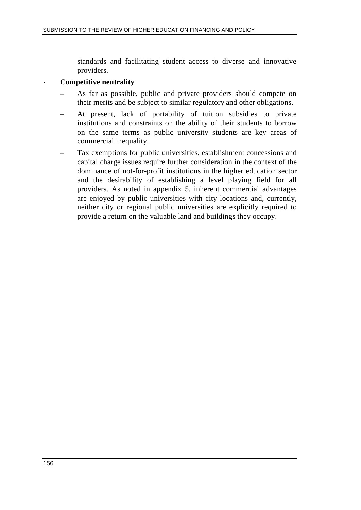standards and facilitating student access to diverse and innovative providers.

#### • **Competitive neutrality**

- As far as possible, public and private providers should compete on their merits and be subject to similar regulatory and other obligations.
- At present, lack of portability of tuition subsidies to private institutions and constraints on the ability of their students to borrow on the same terms as public university students are key areas of commercial inequality.
- Tax exemptions for public universities, establishment concessions and capital charge issues require further consideration in the context of the dominance of not-for-profit institutions in the higher education sector and the desirability of establishing a level playing field for all providers. As noted in appendix 5, inherent commercial advantages are enjoyed by public universities with city locations and, currently, neither city or regional public universities are explicitly required to provide a return on the valuable land and buildings they occupy.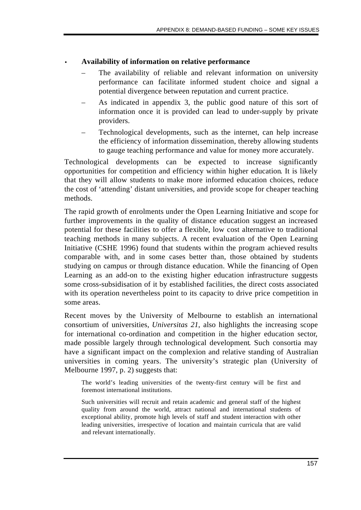#### • **Availability of information on relative performance**

- The availability of reliable and relevant information on university performance can facilitate informed student choice and signal a potential divergence between reputation and current practice.
- As indicated in appendix 3, the public good nature of this sort of information once it is provided can lead to under-supply by private providers.
- Technological developments, such as the internet, can help increase the efficiency of information dissemination, thereby allowing students to gauge teaching performance and value for money more accurately.

Technological developments can be expected to increase significantly opportunities for competition and efficiency within higher education. It is likely that they will allow students to make more informed education choices, reduce the cost of 'attending' distant universities, and provide scope for cheaper teaching methods.

The rapid growth of enrolments under the Open Learning Initiative and scope for further improvements in the quality of distance education suggest an increased potential for these facilities to offer a flexible, low cost alternative to traditional teaching methods in many subjects. A recent evaluation of the Open Learning Initiative (CSHE 1996) found that students within the program achieved results comparable with, and in some cases better than, those obtained by students studying on campus or through distance education. While the financing of Open Learning as an add-on to the existing higher education infrastructure suggests some cross-subsidisation of it by established facilities, the direct costs associated with its operation nevertheless point to its capacity to drive price competition in some areas.

Recent moves by the University of Melbourne to establish an international consortium of universities, *Universitas 21*, also highlights the increasing scope for international co-ordination and competition in the higher education sector, made possible largely through technological development. Such consortia may have a significant impact on the complexion and relative standing of Australian universities in coming years. The university's strategic plan (University of Melbourne 1997, p. 2) suggests that:

The world's leading universities of the twenty-first century will be first and foremost international institutions.

Such universities will recruit and retain academic and general staff of the highest quality from around the world, attract national and international students of exceptional ability, promote high levels of staff and student interaction with other leading universities, irrespective of location and maintain curricula that are valid and relevant internationally.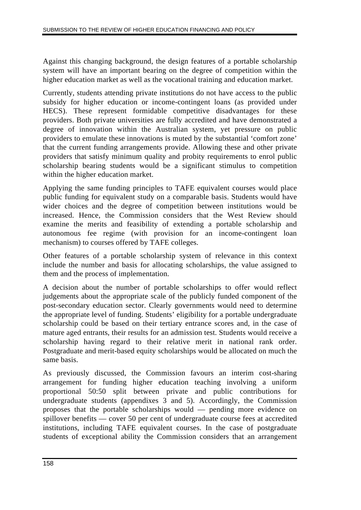Against this changing background, the design features of a portable scholarship system will have an important bearing on the degree of competition within the higher education market as well as the vocational training and education market.

Currently, students attending private institutions do not have access to the public subsidy for higher education or income-contingent loans (as provided under HECS). These represent formidable competitive disadvantages for these providers. Both private universities are fully accredited and have demonstrated a degree of innovation within the Australian system, yet pressure on public providers to emulate these innovations is muted by the substantial 'comfort zone' that the current funding arrangements provide. Allowing these and other private providers that satisfy minimum quality and probity requirements to enrol public scholarship bearing students would be a significant stimulus to competition within the higher education market.

Applying the same funding principles to TAFE equivalent courses would place public funding for equivalent study on a comparable basis. Students would have wider choices and the degree of competition between institutions would be increased. Hence, the Commission considers that the West Review should examine the merits and feasibility of extending a portable scholarship and autonomous fee regime (with provision for an income-contingent loan mechanism) to courses offered by TAFE colleges.

Other features of a portable scholarship system of relevance in this context include the number and basis for allocating scholarships, the value assigned to them and the process of implementation.

A decision about the number of portable scholarships to offer would reflect judgements about the appropriate scale of the publicly funded component of the post-secondary education sector. Clearly governments would need to determine the appropriate level of funding. Students' eligibility for a portable undergraduate scholarship could be based on their tertiary entrance scores and, in the case of mature aged entrants, their results for an admission test. Students would receive a scholarship having regard to their relative merit in national rank order. Postgraduate and merit-based equity scholarships would be allocated on much the same basis.

As previously discussed, the Commission favours an interim cost-sharing arrangement for funding higher education teaching involving a uniform proportional 50:50 split between private and public contributions for undergraduate students (appendixes 3 and 5). Accordingly, the Commission proposes that the portable scholarships would — pending more evidence on spillover benefits — cover 50 per cent of undergraduate course fees at accredited institutions, including TAFE equivalent courses. In the case of postgraduate students of exceptional ability the Commission considers that an arrangement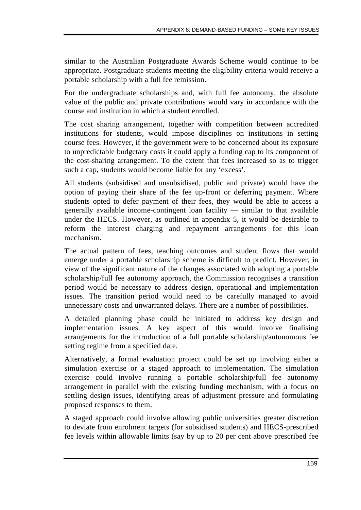similar to the Australian Postgraduate Awards Scheme would continue to be appropriate. Postgraduate students meeting the eligibility criteria would receive a portable scholarship with a full fee remission.

For the undergraduate scholarships and, with full fee autonomy, the absolute value of the public and private contributions would vary in accordance with the course and institution in which a student enrolled.

The cost sharing arrangement, together with competition between accredited institutions for students, would impose disciplines on institutions in setting course fees. However, if the government were to be concerned about its exposure to unpredictable budgetary costs it could apply a funding cap to its component of the cost-sharing arrangement. To the extent that fees increased so as to trigger such a cap, students would become liable for any 'excess'.

All students (subsidised and unsubsidised, public and private) would have the option of paying their share of the fee up-front or deferring payment. Where students opted to defer payment of their fees, they would be able to access a generally available income-contingent loan facility — similar to that available under the HECS. However, as outlined in appendix 5, it would be desirable to reform the interest charging and repayment arrangements for this loan mechanism.

The actual pattern of fees, teaching outcomes and student flows that would emerge under a portable scholarship scheme is difficult to predict. However, in view of the significant nature of the changes associated with adopting a portable scholarship/full fee autonomy approach, the Commission recognises a transition period would be necessary to address design, operational and implementation issues. The transition period would need to be carefully managed to avoid unnecessary costs and unwarranted delays. There are a number of possibilities.

A detailed planning phase could be initiated to address key design and implementation issues. A key aspect of this would involve finalising arrangements for the introduction of a full portable scholarship/autonomous fee setting regime from a specified date.

Alternatively, a formal evaluation project could be set up involving either a simulation exercise or a staged approach to implementation. The simulation exercise could involve running a portable scholarship/full fee autonomy arrangement in parallel with the existing funding mechanism, with a focus on settling design issues, identifying areas of adjustment pressure and formulating proposed responses to them.

A staged approach could involve allowing public universities greater discretion to deviate from enrolment targets (for subsidised students) and HECS-prescribed fee levels within allowable limits (say by up to 20 per cent above prescribed fee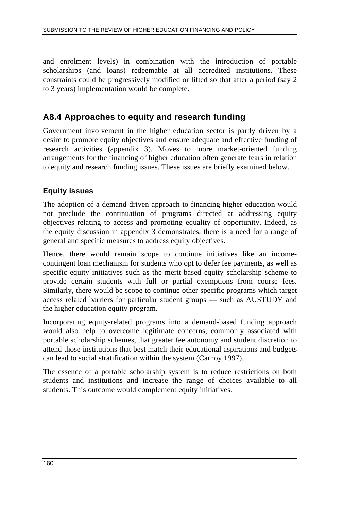and enrolment levels) in combination with the introduction of portable scholarships (and loans) redeemable at all accredited institutions. These constraints could be progressively modified or lifted so that after a period (say 2 to 3 years) implementation would be complete.

## **A8.4 Approaches to equity and research funding**

Government involvement in the higher education sector is partly driven by a desire to promote equity objectives and ensure adequate and effective funding of research activities (appendix 3). Moves to more market-oriented funding arrangements for the financing of higher education often generate fears in relation to equity and research funding issues. These issues are briefly examined below.

## **Equity issues**

The adoption of a demand-driven approach to financing higher education would not preclude the continuation of programs directed at addressing equity objectives relating to access and promoting equality of opportunity. Indeed, as the equity discussion in appendix 3 demonstrates, there is a need for a range of general and specific measures to address equity objectives.

Hence, there would remain scope to continue initiatives like an incomecontingent loan mechanism for students who opt to defer fee payments, as well as specific equity initiatives such as the merit-based equity scholarship scheme to provide certain students with full or partial exemptions from course fees. Similarly, there would be scope to continue other specific programs which target access related barriers for particular student groups — such as AUSTUDY and the higher education equity program.

Incorporating equity-related programs into a demand-based funding approach would also help to overcome legitimate concerns, commonly associated with portable scholarship schemes, that greater fee autonomy and student discretion to attend those institutions that best match their educational aspirations and budgets can lead to social stratification within the system (Carnoy 1997).

The essence of a portable scholarship system is to reduce restrictions on both students and institutions and increase the range of choices available to all students. This outcome would complement equity initiatives.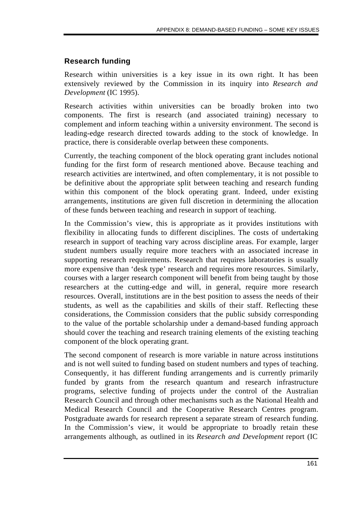## **Research funding**

Research within universities is a key issue in its own right. It has been extensively reviewed by the Commission in its inquiry into *Research and Development* (IC 1995).

Research activities within universities can be broadly broken into two components. The first is research (and associated training) necessary to complement and inform teaching within a university environment. The second is leading-edge research directed towards adding to the stock of knowledge. In practice, there is considerable overlap between these components.

Currently, the teaching component of the block operating grant includes notional funding for the first form of research mentioned above. Because teaching and research activities are intertwined, and often complementary, it is not possible to be definitive about the appropriate split between teaching and research funding within this component of the block operating grant. Indeed, under existing arrangements, institutions are given full discretion in determining the allocation of these funds between teaching and research in support of teaching.

In the Commission's view, this is appropriate as it provides institutions with flexibility in allocating funds to different disciplines. The costs of undertaking research in support of teaching vary across discipline areas. For example, larger student numbers usually require more teachers with an associated increase in supporting research requirements. Research that requires laboratories is usually more expensive than 'desk type' research and requires more resources. Similarly, courses with a larger research component will benefit from being taught by those researchers at the cutting-edge and will, in general, require more research resources. Overall, institutions are in the best position to assess the needs of their students, as well as the capabilities and skills of their staff. Reflecting these considerations, the Commission considers that the public subsidy corresponding to the value of the portable scholarship under a demand-based funding approach should cover the teaching and research training elements of the existing teaching component of the block operating grant.

The second component of research is more variable in nature across institutions and is not well suited to funding based on student numbers and types of teaching. Consequently, it has different funding arrangements and is currently primarily funded by grants from the research quantum and research infrastructure programs, selective funding of projects under the control of the Australian Research Council and through other mechanisms such as the National Health and Medical Research Council and the Cooperative Research Centres program. Postgraduate awards for research represent a separate stream of research funding. In the Commission's view, it would be appropriate to broadly retain these arrangements although, as outlined in its *Research and Development* report (IC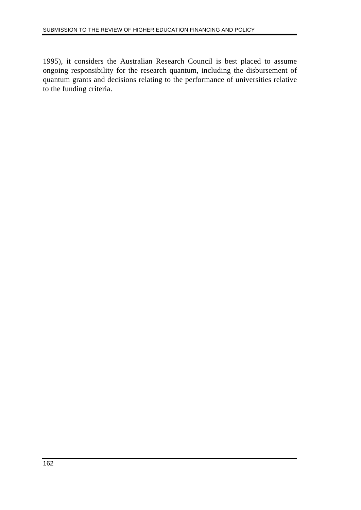1995), it considers the Australian Research Council is best placed to assume ongoing responsibility for the research quantum, including the disbursement of quantum grants and decisions relating to the performance of universities relative to the funding criteria.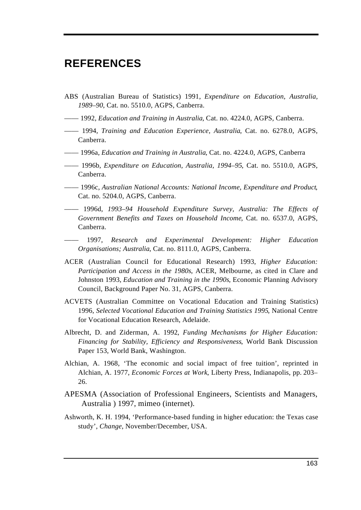# **REFERENCES**

- ABS (Australian Bureau of Statistics) 1991, *Expenditure on Education, Australia, 1989–90*, Cat. no. 5510.0, AGPS, Canberra.
- —— 1992, *Education and Training in Australia*, Cat. no. 4224.0, AGPS, Canberra.
- —— 1994, *Training and Education Experience, Australia*, Cat. no. 6278.0, AGPS, Canberra.
- —— 1996a, *Education and Training in Australia*, Cat. no. 4224.0, AGPS, Canberra
- —— 1996b, *Expenditure on Education, Australia, 1994–95*, Cat. no. 5510.0, AGPS, Canberra.
- —— 1996c, *Australian National Accounts: National Income, Expenditure and Product*, Cat. no. 5204.0, AGPS, Canberra.
- —— 1996d, *1993–94 Household Expenditure Survey, Australia: The Effects of Government Benefits and Taxes on Household Income*, Cat. no. 6537.0, AGPS, Canberra.
- —— 1997, *Research and Experimental Development: Higher Education Organisations; Australia*, Cat. no. 8111.0, AGPS, Canberra.
- ACER (Australian Council for Educational Research) 1993, *Higher Education: Participation and Access in the 1980s*, ACER, Melbourne, as cited in Clare and Johnston 1993, *Education and Training in the 1990s*, Economic Planning Advisory Council, Background Paper No. 31, AGPS, Canberra.
- ACVETS (Australian Committee on Vocational Education and Training Statistics) 1996, *Selected Vocational Education and Training Statistics 1995*, National Centre for Vocational Education Research, Adelaide.
- Albrecht, D. and Ziderman, A. 1992*, Funding Mechanisms for Higher Education: Financing for Stability, Efficiency and Responsiveness*, World Bank Discussion Paper 153, World Bank, Washington.
- Alchian, A. 1968, 'The economic and social impact of free tuition', reprinted in Alchian, A. 1977, *Economic Forces at Work*, Liberty Press, Indianapolis, pp. 203– 26.
- APESMA (Association of Professional Engineers, Scientists and Managers, Australia ) 1997, mimeo (internet).
- Ashworth, K. H. 1994, 'Performance-based funding in higher education: the Texas case study', *Change*, November/December, USA.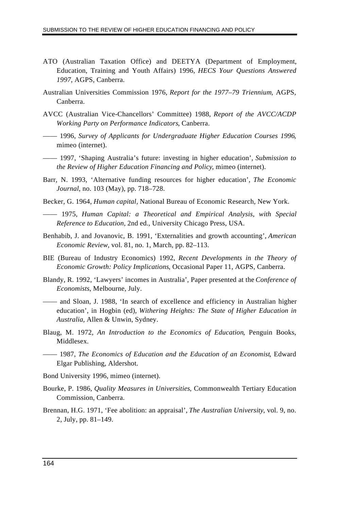- ATO (Australian Taxation Office) and DEETYA (Department of Employment, Education, Training and Youth Affairs) 1996, *HECS Your Questions Answered 1997*, AGPS, Canberra.
- Australian Universities Commission 1976, *Report for the 1977–79 Triennium*, AGPS, Canberra.
- AVCC (Australian Vice-Chancellors' Committee) 1988, *Report of the AVCC/ACDP Working Party on Performance Indicators*, Canberra.
- —— 1996, *Survey of Applicants for Undergraduate Higher Education Courses 1996*, mimeo (internet).
- —— 1997, 'Shaping Australia's future: investing in higher education', *Submission to the Review of Higher Education Financing and Policy*, mimeo (internet).
- Barr, N. 1993, 'Alternative funding resources for higher education', *The Economic Journal*, no. 103 (May), pp. 718–728.
- Becker, G. 1964, *Human capital,* National Bureau of Economic Research, New York.
- —— 1975, *Human Capital: a Theoretical and Empirical Analysis, with Special Reference to Education,* 2nd ed., University Chicago Press, USA.
- Benhabib, J. and Jovanovic, B. 1991, 'Externalities and growth accounting', *American Economic Review*, vol. 81, no. 1, March, pp. 82–113.
- BIE (Bureau of Industry Economics) 1992, *Recent Developments in the Theory of Economic Growth: Policy Implications*, Occasional Paper 11, AGPS, Canberra.
- Blandy, R. 1992, 'Lawyers' incomes in Australia', Paper presented at the *Conference of Economists*, Melbourne, July.
- —— and Sloan, J. 1988, 'In search of excellence and efficiency in Australian higher education', in Hogbin (ed), *Withering Heights: The State of Higher Education in Australia*, Allen & Unwin, Sydney.
- Blaug, M. 1972, *An Introduction to the Economics of Education*, Penguin Books, Middlesex.
- —— 1987, *The Economics of Education and the Education of an Economist*, Edward Elgar Publishing, Aldershot.
- Bond University 1996, mimeo (internet).
- Bourke, P. 1986, *Quality Measures in Universities*, Commonwealth Tertiary Education Commission, Canberra.
- Brennan, H.G. 1971, 'Fee abolition: an appraisal', *The Australian University*, vol. 9, no. 2, July, pp. 81–149.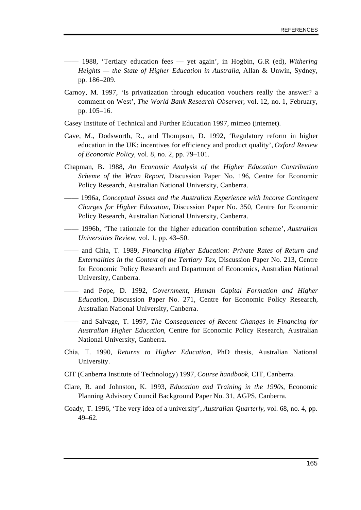- —— 1988, 'Tertiary education fees yet again', in Hogbin, G.R (ed), *Withering Heights — the State of Higher Education in Australia*, Allan & Unwin, Sydney, pp. 186–209.
- Carnoy, M. 1997, 'Is privatization through education vouchers really the answer? a comment on West', *The World Bank Research Observer*, vol. 12, no. 1, February, pp. 105–16.
- Casey Institute of Technical and Further Education 1997, mimeo (internet).
- Cave, M., Dodsworth, R., and Thompson, D. 1992, 'Regulatory reform in higher education in the UK: incentives for efficiency and product quality', *Oxford Review of Economic Policy*, vol. 8, no. 2, pp. 79–101.
- Chapman, B. 1988, *An Economic Analysis of the Higher Education Contribution Scheme of the Wran Report*, Discussion Paper No. 196, Centre for Economic Policy Research, Australian National University, Canberra.
- —— 1996a, *Conceptual Issues and the Australian Experience with Income Contingent Charges for Higher Education*, Discussion Paper No. 350, Centre for Economic Policy Research, Australian National University, Canberra.
- —— 1996b, 'The rationale for the higher education contribution scheme', *Australian Universities Review*, vol. 1, pp. 43–50.
- —— and Chia, T. 1989, *Financing Higher Education: Private Rates of Return and Externalities in the Context of the Tertiary Tax*, Discussion Paper No. 213, Centre for Economic Policy Research and Department of Economics, Australian National University, Canberra.
- —— and Pope, D. 1992*, Government, Human Capital Formation and Higher Education*, Discussion Paper No. 271, Centre for Economic Policy Research, Australian National University, Canberra.
- —— and Salvage, T. 1997, *The* C*onsequences of Recent Changes in Financing for Australian Higher Education*, Centre for Economic Policy Research, Australian National University, Canberra.
- Chia, T. 1990, *Returns to Higher Education,* PhD thesis, Australian National University.
- CIT (Canberra Institute of Technology) 1997, *Course handbook*, CIT, Canberra.
- Clare, R. and Johnston, K. 1993, *Education and Training in the 1990s*, Economic Planning Advisory Council Background Paper No. 31, AGPS, Canberra.
- Coady, T. 1996, 'The very idea of a university', *Australian Quarterly*, vol. 68, no. 4, pp. 49–62.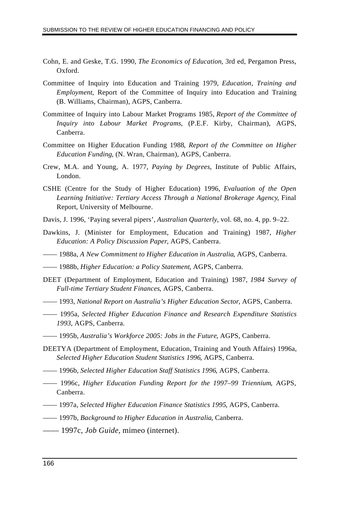- Cohn, E. and Geske, T.G. 1990, *The Economics of Education*, 3rd ed, Pergamon Press, Oxford.
- Committee of Inquiry into Education and Training 1979, *Education, Training and Employment*, Report of the Committee of Inquiry into Education and Training (B. Williams, Chairman), AGPS, Canberra.
- Committee of Inquiry into Labour Market Programs 1985, *Report of the Committee of Inquiry into Labour Market Programs*, (P.E.F. Kirby, Chairman), AGPS, Canberra.
- Committee on Higher Education Funding 1988*, Report of the Committee on Higher Education Funding*, (N. Wran, Chairman), AGPS, Canberra.
- Crew, M.A. and Young, A. 1977, *Paying by Degrees*, Institute of Public Affairs, London.
- CSHE (Centre for the Study of Higher Education) 1996, *Evaluation of the Open Learning Initiative: Tertiary Access Through a National Brokerage Agency*, Final Report, University of Melbourne.
- Davis, J. 1996, 'Paying several pipers', *Australian Quarterly*, vol. 68, no. 4, pp. 9–22.
- Dawkins, J. (Minister for Employment, Education and Training) 1987, *Higher Education: A Policy Discussion Paper*, AGPS, Canberra.
- —— 1988a, *A New Commitment to Higher Education in Australia*, AGPS, Canberra.
- —— 1988b, *Higher Education: a Policy Statement*, AGPS, Canberra.
- DEET (Department of Employment, Education and Training) 1987, *1984 Survey of Full-time Tertiary Student Finances*, AGPS, Canberra.
- —— 1993, *National Report on Australia's Higher Education Sector*, AGPS, Canberra.
- —— 1995a, *Selected Higher Education Finance and Research Expenditure Statistics 1993*, AGPS, Canberra.
- —— 1995b, *Australia's Workforce 2005: Jobs in the Future*, AGPS, Canberra.
- DEETYA (Department of Employment, Education, Training and Youth Affairs) 1996a, *Selected Higher Education Student Statistics 1996*, AGPS, Canberra.
- —— 1996b, *Selected Higher Education Staff Statistics 1996*, AGPS, Canberra.
- —— 1996c, *Higher Education Funding Report for the 1997–99 Triennium*, AGPS, Canberra.
- —— 1997a, *Selected Higher Education Finance Statistics 1995*, AGPS, Canberra.
- —— 1997b, *Background to Higher Education in Australia*, Canberra.
- —— 1997c, *Job Guide,* mimeo (internet).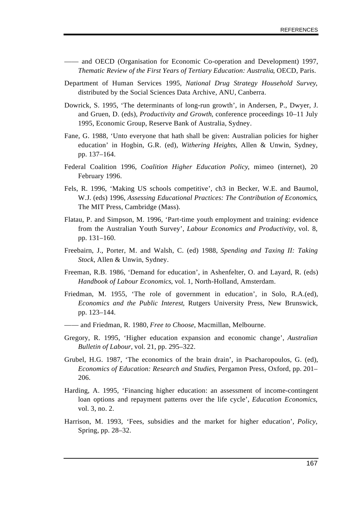- —— and OECD (Organisation for Economic Co-operation and Development) 1997, *Thematic Review of the First Years of Tertiary Education: Australia*, OECD, Paris.
- Department of Human Services 1995, *National Drug Strategy Household Survey*, distributed by the Social Sciences Data Archive, ANU, Canberra.
- Dowrick, S. 1995, 'The determinants of long-run growth', in Andersen, P., Dwyer, J. and Gruen, D. (eds), *Productivity and Growth*, conference proceedings 10–11 July 1995, Economic Group, Reserve Bank of Australia, Sydney.
- Fane, G. 1988, 'Unto everyone that hath shall be given: Australian policies for higher education' in Hogbin, G.R. (ed), *Withering Heights*, Allen & Unwin, Sydney, pp. 137–164.
- Federal Coalition 1996, *Coalition Higher Education Policy*, mimeo (internet), 20 February 1996.
- Fels, R. 1996, 'Making US schools competitive', ch3 in Becker, W.E. and Baumol, W.J. (eds) 1996, *Assessing Educational Practices: The Contribution of Economics*, The MIT Press, Cambridge (Mass).
- Flatau, P. and Simpson, M. 1996, 'Part-time youth employment and training: evidence from the Australian Youth Survey', *Labour Economics and Productivity,* vol. 8, pp. 131–160.
- Freebairn, J., Porter, M. and Walsh, C. (ed) 1988, *Spending and Taxing II: Taking Stock*, Allen & Unwin, Sydney.
- Freeman, R.B. 1986, 'Demand for education', in Ashenfelter, O. and Layard, R. (eds) *Handbook of Labour Economics*, vol. 1, North-Holland, Amsterdam.
- Friedman, M. 1955, 'The role of government in education', in Solo, R.A.(ed), *Economics and the Public Interest*, Rutgers University Press, New Brunswick, pp. 123–144.
- —— and Friedman, R. 1980, *Free to Choose*, Macmillan, Melbourne.
- Gregory, R. 1995, 'Higher education expansion and economic change', *Australian Bulletin of Labour,* vol. 21, pp. 295–322.
- Grubel, H.G. 1987, 'The economics of the brain drain', in Psacharopoulos, G. (ed), *Economics of Education: Research and Studies*, Pergamon Press, Oxford, pp. 201– 206.
- Harding, A. 1995, 'Financing higher education: an assessment of income-contingent loan options and repayment patterns over the life cycle', *Education Economics*, vol. 3, no. 2.
- Harrison, M. 1993, 'Fees, subsidies and the market for higher education', *Policy*, Spring, pp. 28–32.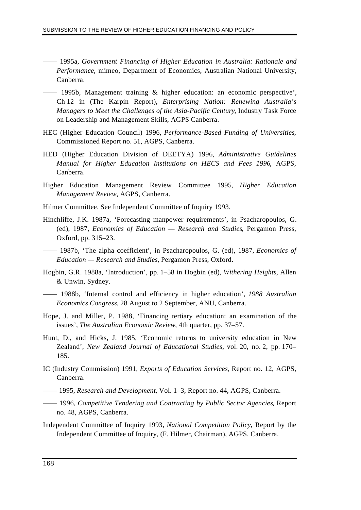- —— 1995a, *Government Financing of Higher Education in Australia: Rationale and Performance*, mimeo, Department of Economics, Australian National University, Canberra.
- —— 1995b, Management training & higher education: an economic perspective', Ch 12 in (The Karpin Report), *Enterprising Nation: Renewing Australia's Managers to Meet the Challenges of the Asia-Pacific Century*, Industry Task Force on Leadership and Management Skills, AGPS Canberra.
- HEC (Higher Education Council) 1996, *Performance-Based Funding of Universities*, Commissioned Report no. 51, AGPS, Canberra.
- HED (Higher Education Division of DEETYA) 1996, *Administrative Guidelines Manual for Higher Education Institutions on HECS and Fees 1996*, AGPS, Canberra.
- Higher Education Management Review Committee 1995, *Higher Education Management Review*, AGPS, Canberra.
- Hilmer Committee. See Independent Committee of Inquiry 1993.
- Hinchliffe, J.K. 1987a, 'Forecasting manpower requirements', in Psacharopoulos, G. (ed), 1987, *Economics of Education — Research and Studies*, Pergamon Press, Oxford, pp. 315–23.
- —— 1987b, 'The alpha coefficient', in Psacharopoulos, G. (ed), 1987, *Economics of Education — Research and Studies*, Pergamon Press, Oxford.
- Hogbin, G.R. 1988a, 'Introduction', pp. 1–58 in Hogbin (ed), *Withering Heights*, Allen & Unwin, Sydney.
- —— 1988b, 'Internal control and efficiency in higher education', *1988 Australian Economics Congress*, 28 August to 2 September, ANU, Canberra.
- Hope, J. and Miller, P. 1988, 'Financing tertiary education: an examination of the issues', *The Australian Economic Review*, 4th quarter, pp. 37–57.
- Hunt, D., and Hicks, J. 1985, 'Economic returns to university education in New Zealand', *New Zealand Journal of Educational Studies,* vol. 20, no. 2, pp. 170– 185.
- IC (Industry Commission) 1991, *Exports of Education Services,* Report no. 12, AGPS, Canberra.
- —— 1995, *Research and Development*, Vol. 1–3, Report no. 44, AGPS, Canberra.
- —— 1996, *Competitive Tendering and Contracting by Public Sector Agencies*, Report no. 48, AGPS, Canberra.
- Independent Committee of Inquiry 1993, *National Competition Policy*, Report by the Independent Committee of Inquiry, (F. Hilmer, Chairman), AGPS, Canberra.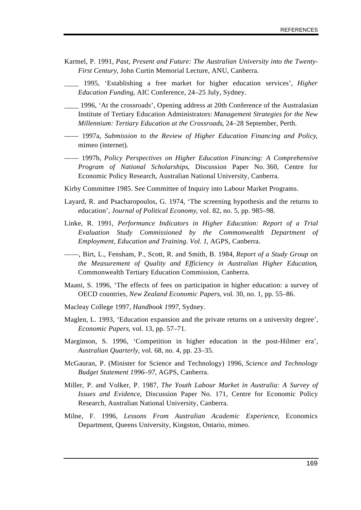- Karmel, P. 1991, *Past, Present and Future: The Australian University into the Twenty-First Century*, John Curtin Memorial Lecture, ANU, Canberra.
- \_\_\_\_ 1995, 'Establishing a free market for higher education services', *Higher Education Funding*, AIC Conference, 24–25 July, Sydney.
- \_\_\_\_ 1996, 'At the crossroads', Opening address at 20th Conference of the Australasian Institute of Tertiary Education Administrators: *Management Strategies for the New Millennium: Tertiary Education at the Crossroads*, 24–28 September, Perth.
- —— 1997a, *Submission to the Review of Higher Education Financing and Policy*, mimeo (internet).
- —— 1997b, *Policy Perspectives on Higher Education Financing: A Comprehensive Program of National Scholarships*, Discussion Paper No. 360, Centre for Economic Policy Research, Australian National University, Canberra.
- Kirby Committee 1985. See Committee of Inquiry into Labour Market Programs.
- Layard, R. and Psacharopoulos, G. 1974, 'The screening hypothesis and the returns to education', *Journal of Political Economy*, vol. 82, no. 5, pp. 985–98.
- Linke, R. 1991, *Performance Indicators in Higher Education: Report of a Trial Evaluation Study Commissioned by the Commonwealth Department of Employment, Education and Training. Vol. 1*, AGPS, Canberra.
- ——, Birt, L., Fensham, P., Scott, R. and Smith, B. 1984, *Report of a Study Group on the Measurement of Quality and Efficiency in Australian Higher Education*, Commonwealth Tertiary Education Commission, Canberra.
- Maani, S. 1996, 'The effects of fees on participation in higher education: a survey of OECD countries, *New Zealand Economic Papers*, vol. 30, no. 1, pp. 55–86.
- Macleay College 1997, *Handbook 1997*, Sydney.
- Maglen, L. 1993, 'Education expansion and the private returns on a university degree', *Economic Papers*, vol. 13, pp. 57–71.
- Marginson, S. 1996, 'Competition in higher education in the post-Hilmer era', *Australian Quarterly*, vol. 68, no. 4, pp. 23–35.
- McGauran, P. (Minister for Science and Technology) 1996, *Science and Technology Budget Statement 1996–97*, AGPS, Canberra.
- Miller, P. and Volker, P. 1987, *The Youth Labour Market in Australia: A Survey of Issues and Evidence*, Discussion Paper No. 171, Centre for Economic Policy Research, Australian National University, Canberra.
- Milne, F. 1996, *Lessons From Australian Academic Experience*, Economics Department, Queens University, Kingston, Ontario, mimeo.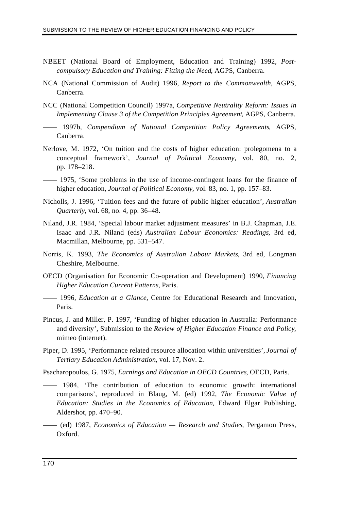- NBEET (National Board of Employment, Education and Training) 1992, *Postcompulsory Education and Training: Fitting the Need*, AGPS, Canberra.
- NCA (National Commission of Audit) 1996, *Report to the Commonwealth*, AGPS, Canberra.
- NCC (National Competition Council) 1997a, *Competitive Neutrality Reform: Issues in Implementing Clause 3 of the Competition Principles Agreement*, AGPS, Canberra.
- —— 1997b*, Compendium of National Competition Policy Agreements*, AGPS, Canberra.
- Nerlove, M. 1972, 'On tuition and the costs of higher education: prolegomena to a conceptual framework', *Journal of Political Economy,* vol. 80, no. 2, pp. 178–218.
- —— 1975, 'Some problems in the use of income-contingent loans for the finance of higher education, *Journal of Political Economy*, vol. 83, no. 1, pp. 157–83.
- Nicholls, J. 1996, 'Tuition fees and the future of public higher education', *Australian Quarterly*, vol. 68, no. 4, pp. 36–48.
- Niland, J.R. 1984, 'Special labour market adjustment measures' in B.J. Chapman, J.E. Isaac and J.R. Niland (eds) *Australian Labour Economics: Readings*, 3rd ed, Macmillan, Melbourne, pp. 531–547.
- Norris, K. 1993, *The Economics of Australian Labour Markets*, 3rd ed, Longman Cheshire, Melbourne.
- OECD (Organisation for Economic Co-operation and Development) 1990, *Financing Higher Education Current Patterns*, Paris.
- —— 1996, *Education at a Glance*, Centre for Educational Research and Innovation, Paris.
- Pincus, J. and Miller, P. 1997, 'Funding of higher education in Australia: Performance and diversity', Submission to the *Review of Higher Education Finance and Policy*, mimeo (internet).
- Piper, D. 1995, 'Performance related resource allocation within universities', *Journal of Tertiary Education Administration*, vol. 17, Nov. 2.

Psacharopoulos, G. 1975, *Earnings and Education in OECD Countries*, OECD, Paris.

- —— 1984, 'The contribution of education to economic growth: international comparisons', reproduced in Blaug, M. (ed) 1992, *The Economic Value of Education: Studies in the Economics of Education*, Edward Elgar Publishing, Aldershot, pp. 470–90.
- —— (ed) 1987, *Economics of Education Research and Studies*, Pergamon Press, Oxford.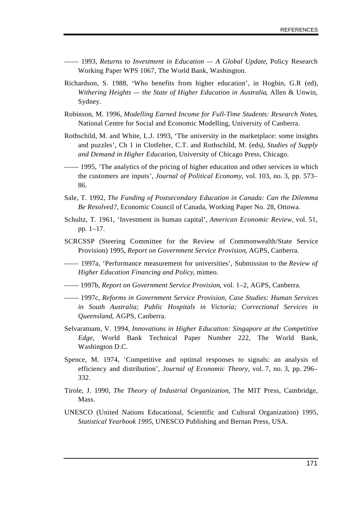- —— 1993, *Returns to Investment in Education A Global Update*, Policy Research Working Paper WPS 1067, The World Bank, Washington.
- Richardson, S. 1988, 'Who benefits from higher education', in Hogbin, G.R (ed), *Withering Heights — the State of Higher Education in Australia*, Allen & Unwin, Sydney.
- Robinson, M. 1996, *Modelling Earned Income for Full-Time Students: Research Notes*, National Centre for Social and Economic Modelling, University of Canberra.
- Rothschild, M. and White, L.J. 1993, 'The university in the marketplace: some insights and puzzles', Ch 1 in Clotfelter, C.T. and Rothschild, M. (eds*), Studies of Supply and Demand in Higher Education*, University of Chicago Press, Chicago.
- 1995, 'The analytics of the pricing of higher education and other services in which the customers are inputs', *Journal of Political Economy*, vol. 103, no. 3, pp. 573– 86.
- Sale, T. 1992, *The Funding of Postsecondary Education in Canada: Can the Dilemma Be Resolved?*, Economic Council of Canada, Working Paper No. 28, Ottowa.
- Schultz, T. 1961, 'Investment in human capital', *American Economic Review,* vol. 51, pp. 1–17.
- SCRCSSP (Steering Committee for the Review of Commonwealth/State Service Provision) 1995, *Report on Government Service Provision*, AGPS, Canberra.
- —— 1997a, 'Performance measurement for universities', Submission to the *Review of Higher Education Financing and Policy*, mimeo.
- —— 1997b, *Report on Government Service Provision*, vol. 1–2, AGPS, Canberra.
- —— 1997c, *Reforms in Government Service Provision, Case Studies: Human Services in South Australia; Public Hospitals in Victoria; Correctional Services in Queensland*, AGPS, Canberra.
- Selvaratnam, V. 1994, *Innovations in Higher Education: Singapore at the Competitive Edge*, World Bank Technical Paper Number 222, The World Bank, Washington D.C.
- Spence, M. 1974, 'Competitive and optimal responses to signals: an analysis of efficiency and distribution', *Journal of Economic Theory,* vol. 7, no. 3, pp. 296– 332.
- Tirole, J. 1990, *The Theory of Industrial Organization*, The MIT Press, Cambridge, Mass.
- UNESCO (United Nations Educational, Scientific and Cultural Organization) 1995, *Statistical Yearbook 1995*, UNESCO Publishing and Bernan Press, USA.